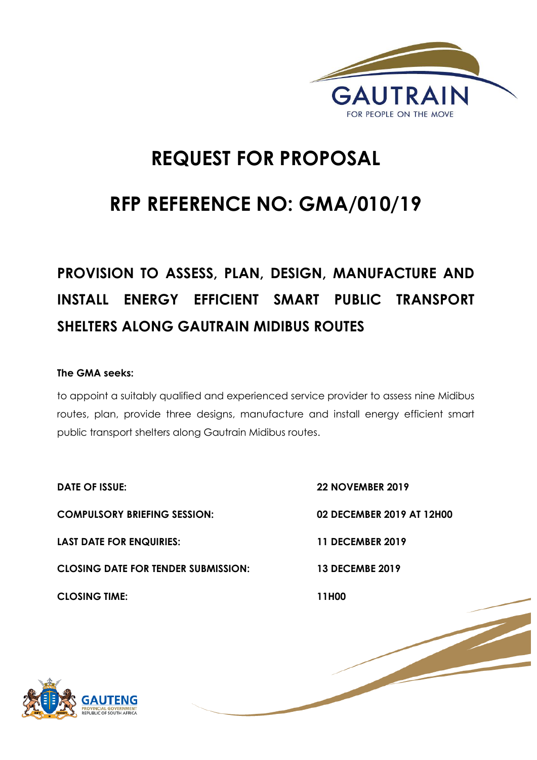

## **REQUEST FOR PROPOSAL**

## **RFP REFERENCE NO: GMA/010/19**

# **PROVISION TO ASSESS, PLAN, DESIGN, MANUFACTURE AND INSTALL ENERGY EFFICIENT SMART PUBLIC TRANSPORT SHELTERS ALONG GAUTRAIN MIDIBUS ROUTES**

## **The GMA seeks:**

to appoint a suitably qualified and experienced service provider to assess nine Midibus routes, plan, provide three designs, manufacture and install energy efficient smart public transport shelters along Gautrain Midibus routes.

**DATE OF ISSUE: 22 NOVEMBER 2019 COMPULSORY BRIEFING SESSION: 02 DECEMBER 2019 AT 12H00 LAST DATE FOR ENQUIRIES: 11 DECEMBER 2019 CLOSING DATE FOR TENDER SUBMISSION: 13 DECEMBE 2019 CLOSING TIME: 11H00** 

1 | P a g e

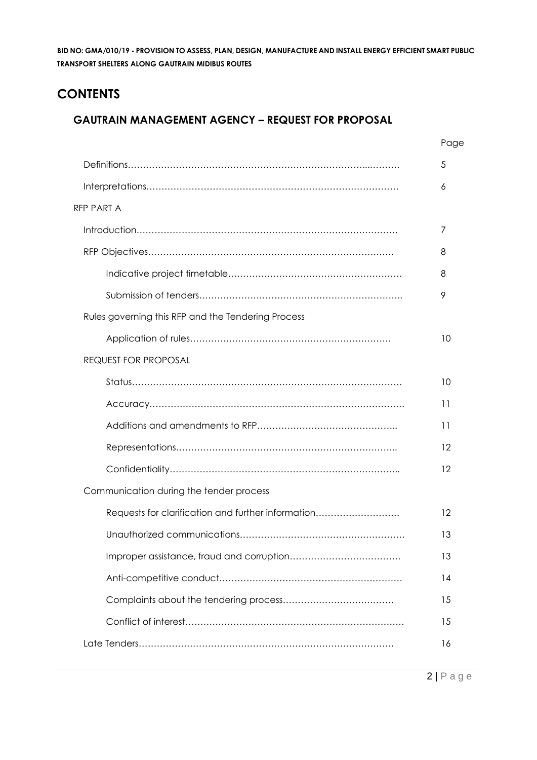## **CONTENTS**

## **GAUTRAIN MANAGEMENT AGENCY – REQUEST FOR PROPOSAL**

|                                                    | Page |
|----------------------------------------------------|------|
|                                                    | 5    |
|                                                    | 6    |
| RFP PART A                                         |      |
|                                                    | 7    |
|                                                    | 8    |
|                                                    | 8    |
|                                                    | 9    |
| Rules governing this RFP and the Tendering Process |      |
|                                                    | 10   |
| <b>REQUEST FOR PROPOSAL</b>                        |      |
|                                                    | 10   |
|                                                    | 11   |
|                                                    | 11   |
|                                                    | 12   |
|                                                    | 12   |
| Communication during the tender process            |      |
| Requests for clarification and further information | 12   |
|                                                    | 13   |
|                                                    | 13   |
|                                                    | 14   |
|                                                    | 15   |
|                                                    | 15   |
|                                                    | 16   |
|                                                    |      |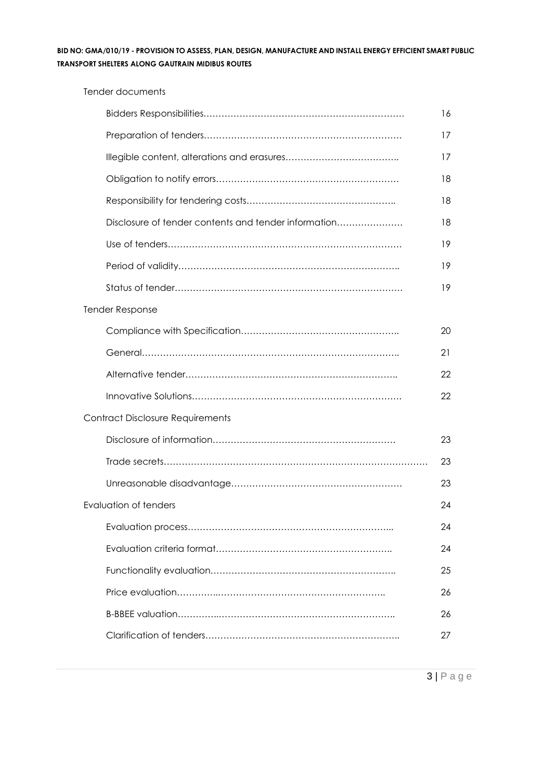Tender documents

|  |                                                      | 16 |
|--|------------------------------------------------------|----|
|  |                                                      | 17 |
|  |                                                      | 17 |
|  |                                                      | 18 |
|  |                                                      | 18 |
|  | Disclosure of tender contents and tender information | 18 |
|  |                                                      | 19 |
|  |                                                      | 19 |
|  |                                                      | 19 |
|  | <b>Tender Response</b>                               |    |
|  |                                                      | 20 |
|  |                                                      | 21 |
|  |                                                      | 22 |
|  |                                                      | 22 |
|  | <b>Contract Disclosure Requirements</b>              |    |
|  |                                                      | 23 |
|  |                                                      | 23 |
|  |                                                      | 23 |
|  | Evaluation of tenders                                | 24 |
|  |                                                      | 24 |
|  |                                                      | 24 |
|  |                                                      | 25 |
|  |                                                      | 26 |
|  |                                                      | 26 |
|  |                                                      | 27 |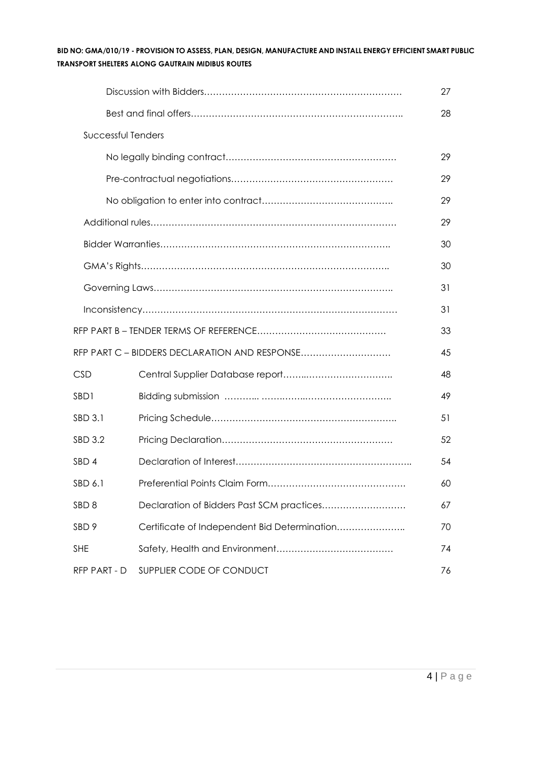|                           |                                               | 27 |
|---------------------------|-----------------------------------------------|----|
|                           |                                               | 28 |
| <b>Successful Tenders</b> |                                               |    |
|                           |                                               | 29 |
|                           |                                               | 29 |
|                           |                                               | 29 |
|                           |                                               | 29 |
|                           |                                               | 30 |
|                           |                                               | 30 |
|                           |                                               | 31 |
|                           |                                               | 31 |
|                           |                                               | 33 |
|                           | RFP PART C - BIDDERS DECLARATION AND RESPONSE | 45 |
| <b>CSD</b>                |                                               | 48 |
| SBD1                      |                                               | 49 |
| SBD 3.1                   |                                               | 51 |
| SBD 3.2                   |                                               | 52 |
| SBD 4                     |                                               | 54 |
| SBD 6.1                   |                                               | 60 |
| SBD <sub>8</sub>          | Declaration of Bidders Past SCM practices     | 67 |
| SBD 9                     | Certificate of Independent Bid Determination  | 70 |
| <b>SHE</b>                |                                               | 74 |
| RFP PART - D              | SUPPLIER CODE OF CONDUCT                      | 76 |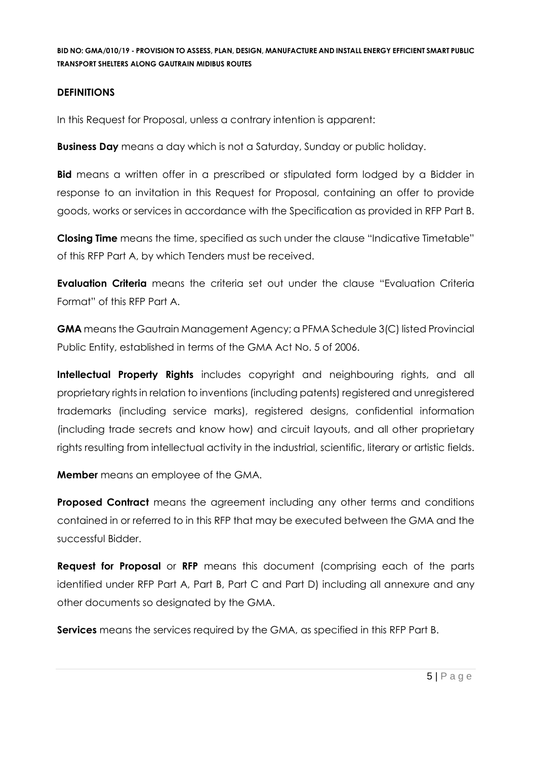## **DEFINITIONS**

In this Request for Proposal, unless a contrary intention is apparent:

**Business Day** means a day which is not a Saturday, Sunday or public holiday.

**Bid** means a written offer in a prescribed or stipulated form lodged by a Bidder in response to an invitation in this Request for Proposal, containing an offer to provide goods, works or services in accordance with the Specification as provided in RFP Part B.

**Closing Time** means the time, specified as such under the clause "Indicative Timetable" of this RFP Part A, by which Tenders must be received.

**Evaluation Criteria** means the criteria set out under the clause "Evaluation Criteria Format" of this RFP Part A.

**GMA** means the Gautrain Management Agency; a PFMA Schedule 3(C) listed Provincial Public Entity, established in terms of the GMA Act No. 5 of 2006.

**Intellectual Property Rights** includes copyright and neighbouring rights, and all proprietary rights in relation to inventions (including patents) registered and unregistered trademarks (including service marks), registered designs, confidential information (including trade secrets and know how) and circuit layouts, and all other proprietary rights resulting from intellectual activity in the industrial, scientific, literary or artistic fields.

**Member** means an employee of the GMA.

**Proposed Contract** means the agreement including any other terms and conditions contained in or referred to in this RFP that may be executed between the GMA and the successful Bidder.

**Request for Proposal** or **RFP** means this document (comprising each of the parts identified under RFP Part A, Part B, Part C and Part D) including all annexure and any other documents so designated by the GMA.

**Services** means the services required by the GMA, as specified in this RFP Part B.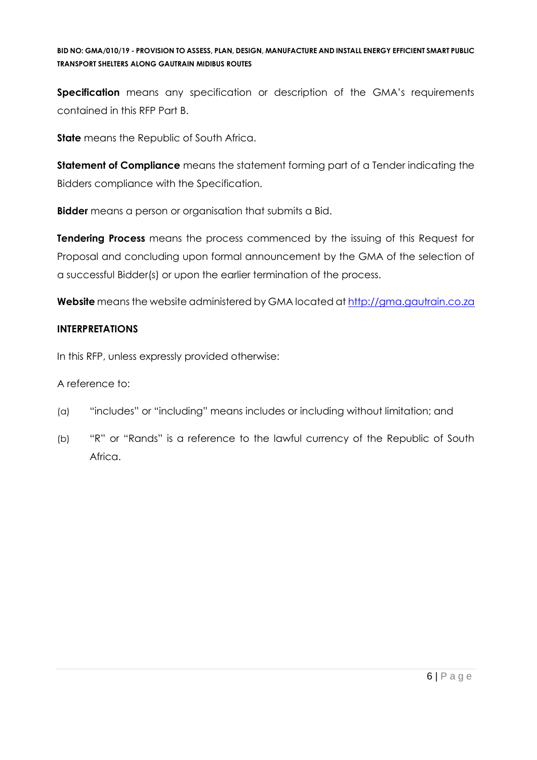**Specification** means any specification or description of the GMA's requirements contained in this RFP Part B.

**State** means the Republic of South Africa.

**Statement of Compliance** means the statement forming part of a Tender indicating the Bidders compliance with the Specification.

**Bidder** means a person or organisation that submits a Bid.

**Tendering Process** means the process commenced by the issuing of this Request for Proposal and concluding upon formal announcement by the GMA of the selection of a successful Bidder(s) or upon the earlier termination of the process.

**Website** means the website administered by GMA located at [http://gma.gautrain.co.za](http://gma.gautrain.co.za/)

## **INTERPRETATIONS**

In this RFP, unless expressly provided otherwise:

A reference to:

- (a) "includes" or "including" means includes or including without limitation; and
- (b) "R" or "Rands" is a reference to the lawful currency of the Republic of South Africa.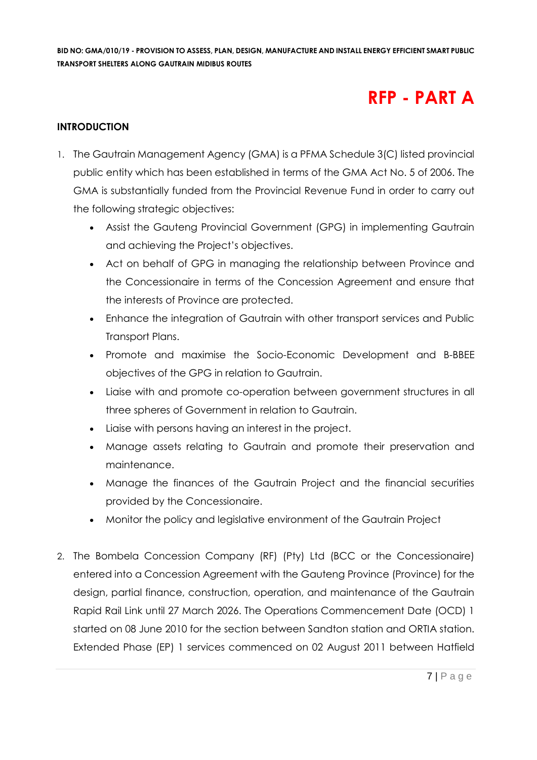## **RFP - PART A**

## **INTRODUCTION**

- 1. The Gautrain Management Agency (GMA) is a PFMA Schedule 3(C) listed provincial public entity which has been established in terms of the GMA Act No. 5 of 2006. The GMA is substantially funded from the Provincial Revenue Fund in order to carry out the following strategic objectives:
	- Assist the Gauteng Provincial Government (GPG) in implementing Gautrain and achieving the Project's objectives.
	- Act on behalf of GPG in managing the relationship between Province and the Concessionaire in terms of the Concession Agreement and ensure that the interests of Province are protected.
	- Enhance the integration of Gautrain with other transport services and Public Transport Plans.
	- Promote and maximise the Socio-Economic Development and B-BBEE objectives of the GPG in relation to Gautrain.
	- Liaise with and promote co-operation between government structures in all three spheres of Government in relation to Gautrain.
	- Liaise with persons having an interest in the project.
	- Manage assets relating to Gautrain and promote their preservation and maintenance.
	- Manage the finances of the Gautrain Project and the financial securities provided by the Concessionaire.
	- Monitor the policy and legislative environment of the Gautrain Project
- 2. The Bombela Concession Company (RF) (Pty) Ltd (BCC or the Concessionaire) entered into a Concession Agreement with the Gauteng Province (Province) for the design, partial finance, construction, operation, and maintenance of the Gautrain Rapid Rail Link until 27 March 2026. The Operations Commencement Date (OCD) 1 started on 08 June 2010 for the section between Sandton station and ORTIA station. Extended Phase (EP) 1 services commenced on 02 August 2011 between Hatfield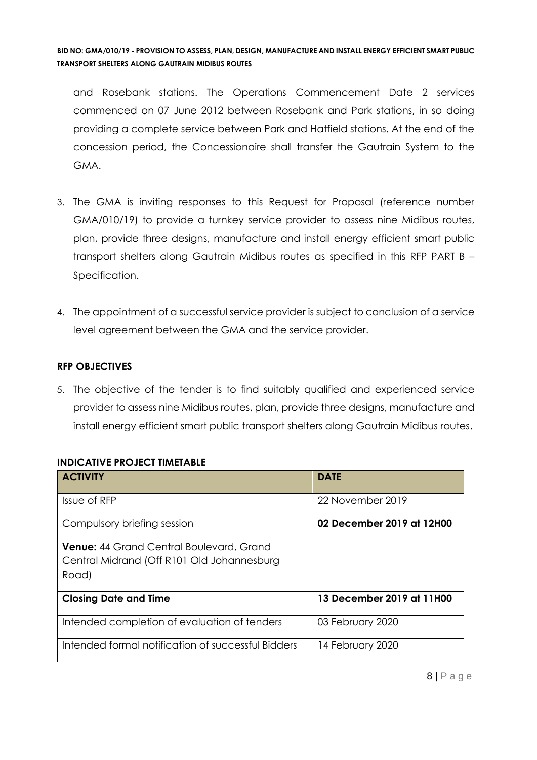and Rosebank stations. The Operations Commencement Date 2 services commenced on 07 June 2012 between Rosebank and Park stations, in so doing providing a complete service between Park and Hatfield stations. At the end of the concession period, the Concessionaire shall transfer the Gautrain System to the GMA.

- 3. The GMA is inviting responses to this Request for Proposal (reference number GMA/010/19) to provide a turnkey service provider to assess nine Midibus routes, plan, provide three designs, manufacture and install energy efficient smart public transport shelters along Gautrain Midibus routes as specified in this RFP PART B – Specification.
- 4. The appointment of a successful service provider is subject to conclusion of a service level agreement between the GMA and the service provider.

## **RFP OBJECTIVES**

5. The objective of the tender is to find suitably qualified and experienced service provider to assess nine Midibus routes, plan, provide three designs, manufacture and install energy efficient smart public transport shelters along Gautrain Midibus routes.

| <b>ACTIVITY</b>                                    | <b>DATE</b>               |
|----------------------------------------------------|---------------------------|
| Issue of RFP                                       | 22 November 2019          |
| Compulsory briefing session                        | 02 December 2019 at 12H00 |
| <b>Venue: 44 Grand Central Boulevard, Grand</b>    |                           |
| Central Midrand (Off R101 Old Johannesburg         |                           |
| Road)                                              |                           |
| <b>Closing Date and Time</b>                       | 13 December 2019 at 11H00 |
| Intended completion of evaluation of tenders       | 03 February 2020          |
| Intended formal notification of successful Bidders | 14 February 2020          |

## **INDICATIVE PROJECT TIMETABLE**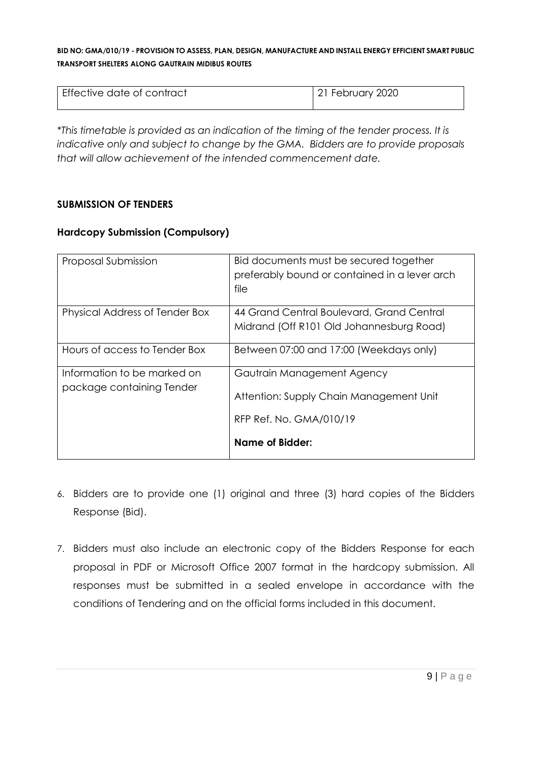| l Effective date of contract | 21 February 2020 |
|------------------------------|------------------|
|                              |                  |

*\*This timetable is provided as an indication of the timing of the tender process. It is indicative only and subject to change by the GMA. Bidders are to provide proposals that will allow achievement of the intended commencement date.*

## **SUBMISSION OF TENDERS**

## **Hardcopy Submission (Compulsory)**

| Proposal Submission                                      | Bid documents must be secured together<br>preferably bound or contained in a lever arch<br>file  |
|----------------------------------------------------------|--------------------------------------------------------------------------------------------------|
| Physical Address of Tender Box                           | 44 Grand Central Boulevard, Grand Central<br>Midrand (Off R101 Old Johannesburg Road)            |
| Hours of access to Tender Box                            | Between 07:00 and 17:00 (Weekdays only)                                                          |
| Information to be marked on<br>package containing Tender | Gautrain Management Agency<br>Attention: Supply Chain Management Unit<br>RFP Ref. No. GMA/010/19 |
|                                                          | Name of Bidder:                                                                                  |

- 6. Bidders are to provide one (1) original and three (3) hard copies of the Bidders Response (Bid).
- 7. Bidders must also include an electronic copy of the Bidders Response for each proposal in PDF or Microsoft Office 2007 format in the hardcopy submission. All responses must be submitted in a sealed envelope in accordance with the conditions of Tendering and on the official forms included in this document.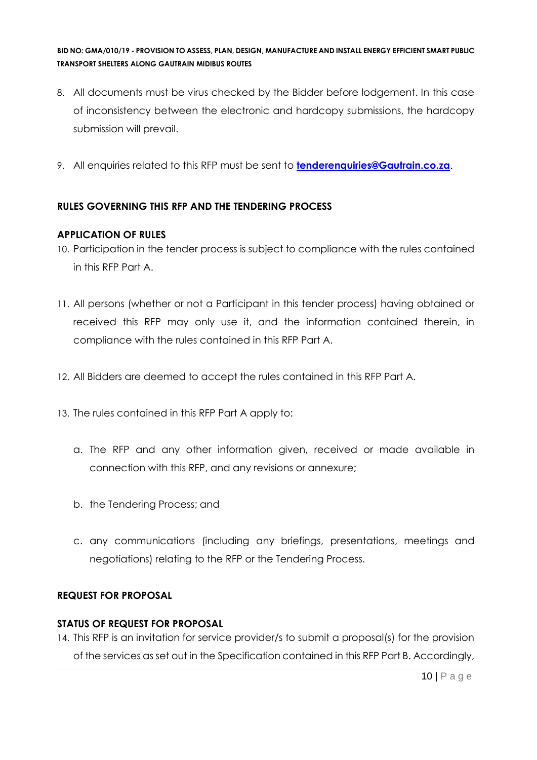- 8. All documents must be virus checked by the Bidder before lodgement. In this case of inconsistency between the electronic and hardcopy submissions, the hardcopy submission will prevail.
- 9. All enquiries related to this RFP must be sent to **[tenderenquiries@Gautrain.co.za](mailto:tenderenquiries@Gautrain.co.za)**.

## **RULES GOVERNING THIS RFP AND THE TENDERING PROCESS**

## **APPLICATION OF RULES**

- 10. Participation in the tender process is subject to compliance with the rules contained in this RFP Part A.
- 11. All persons (whether or not a Participant in this tender process) having obtained or received this RFP may only use it, and the information contained therein, in compliance with the rules contained in this RFP Part A.
- 12. All Bidders are deemed to accept the rules contained in this RFP Part A.
- 13. The rules contained in this RFP Part A apply to:
	- a. The RFP and any other information given, received or made available in connection with this RFP, and any revisions or annexure;
	- b. the Tendering Process; and
	- c. any communications (including any briefings, presentations, meetings and negotiations) relating to the RFP or the Tendering Process.

## **REQUEST FOR PROPOSAL**

#### **STATUS OF REQUEST FOR PROPOSAL**

14. This RFP is an invitation for service provider/s to submit a proposal(s) for the provision of the services as set out in the Specification contained in this RFP Part B. Accordingly,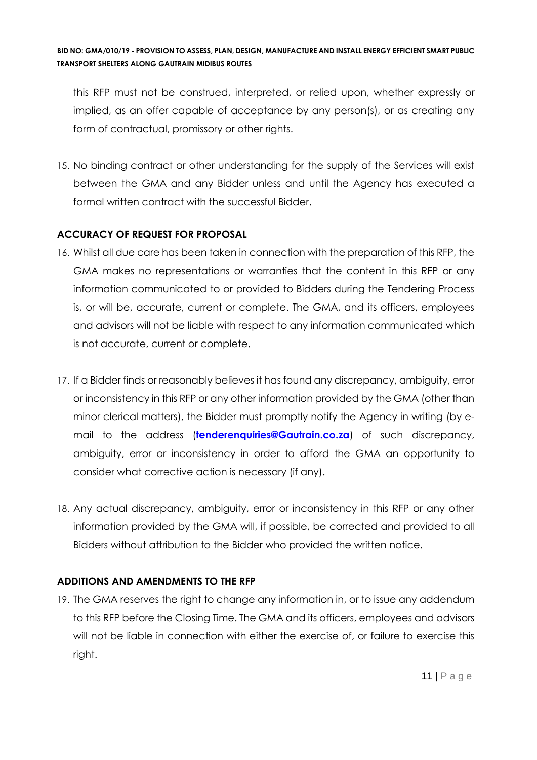this RFP must not be construed, interpreted, or relied upon, whether expressly or implied, as an offer capable of acceptance by any person(s), or as creating any form of contractual, promissory or other rights.

15. No binding contract or other understanding for the supply of the Services will exist between the GMA and any Bidder unless and until the Agency has executed a formal written contract with the successful Bidder.

## **ACCURACY OF REQUEST FOR PROPOSAL**

- 16. Whilst all due care has been taken in connection with the preparation of this RFP, the GMA makes no representations or warranties that the content in this RFP or any information communicated to or provided to Bidders during the Tendering Process is, or will be, accurate, current or complete. The GMA, and its officers, employees and advisors will not be liable with respect to any information communicated which is not accurate, current or complete.
- 17. If a Bidder finds or reasonably believes it has found any discrepancy, ambiguity, error or inconsistency in this RFP or any other information provided by the GMA (other than minor clerical matters), the Bidder must promptly notify the Agency in writing (by email to the address (**[tenderenquiries@Gautrain.co.za](mailto:tenderenquiries@Gautrain.co.za)**) of such discrepancy, ambiguity, error or inconsistency in order to afford the GMA an opportunity to consider what corrective action is necessary (if any).
- 18. Any actual discrepancy, ambiguity, error or inconsistency in this RFP or any other information provided by the GMA will, if possible, be corrected and provided to all Bidders without attribution to the Bidder who provided the written notice.

## **ADDITIONS AND AMENDMENTS TO THE RFP**

19. The GMA reserves the right to change any information in, or to issue any addendum to this RFP before the Closing Time. The GMA and its officers, employees and advisors will not be liable in connection with either the exercise of, or failure to exercise this right.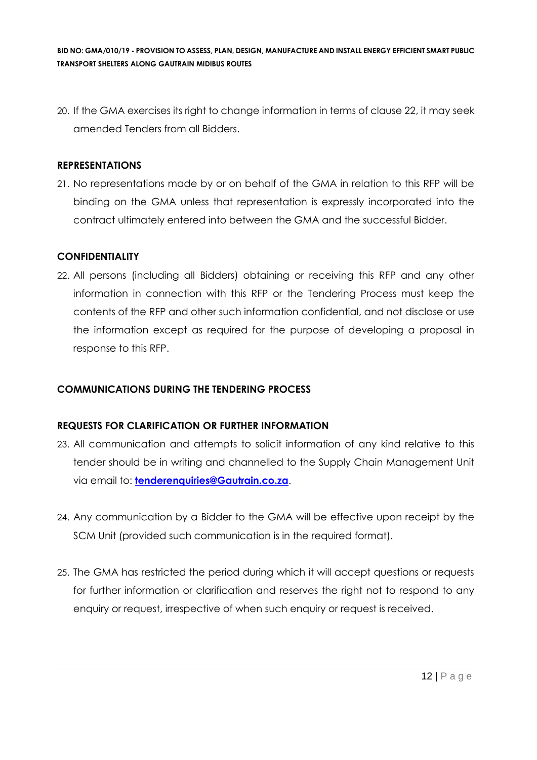20. If the GMA exercises its right to change information in terms of clause 22, it may seek amended Tenders from all Bidders.

### **REPRESENTATIONS**

21. No representations made by or on behalf of the GMA in relation to this RFP will be binding on the GMA unless that representation is expressly incorporated into the contract ultimately entered into between the GMA and the successful Bidder.

### **CONFIDENTIALITY**

22. All persons (including all Bidders) obtaining or receiving this RFP and any other information in connection with this RFP or the Tendering Process must keep the contents of the RFP and other such information confidential, and not disclose or use the information except as required for the purpose of developing a proposal in response to this RFP.

## **COMMUNICATIONS DURING THE TENDERING PROCESS**

## **REQUESTS FOR CLARIFICATION OR FURTHER INFORMATION**

- 23. All communication and attempts to solicit information of any kind relative to this tender should be in writing and channelled to the Supply Chain Management Unit via email to: **[tenderenquiries@Gautrain.co.za](mailto:tenderenquiries@gautrainpo.co.za)**.
- 24. Any communication by a Bidder to the GMA will be effective upon receipt by the SCM Unit (provided such communication is in the required format).
- 25. The GMA has restricted the period during which it will accept questions or requests for further information or clarification and reserves the right not to respond to any enquiry or request, irrespective of when such enquiry or request is received.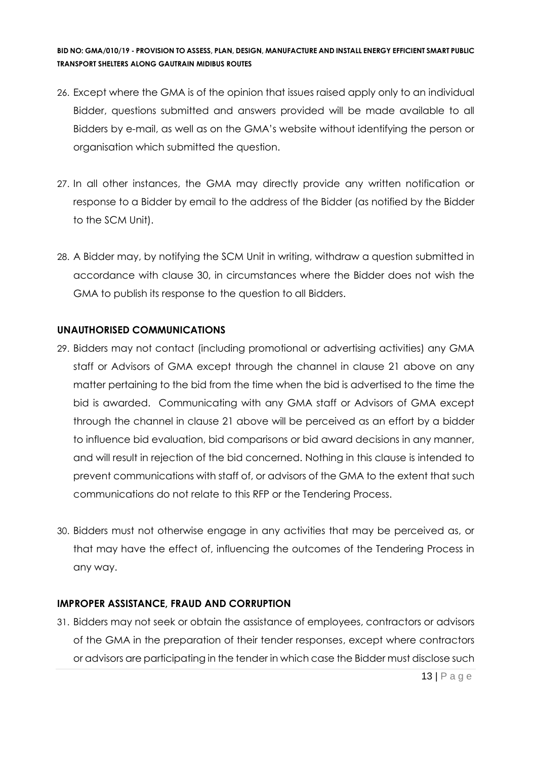- 26. Except where the GMA is of the opinion that issues raised apply only to an individual Bidder, questions submitted and answers provided will be made available to all Bidders by e-mail, as well as on the GMA's website without identifying the person or organisation which submitted the question.
- 27. In all other instances, the GMA may directly provide any written notification or response to a Bidder by email to the address of the Bidder (as notified by the Bidder to the SCM Unit).
- 28. A Bidder may, by notifying the SCM Unit in writing, withdraw a question submitted in accordance with clause 30, in circumstances where the Bidder does not wish the GMA to publish its response to the question to all Bidders.

### **UNAUTHORISED COMMUNICATIONS**

- 29. Bidders may not contact (including promotional or advertising activities) any GMA staff or Advisors of GMA except through the channel in clause 21 above on any matter pertaining to the bid from the time when the bid is advertised to the time the bid is awarded. Communicating with any GMA staff or Advisors of GMA except through the channel in clause 21 above will be perceived as an effort by a bidder to influence bid evaluation, bid comparisons or bid award decisions in any manner, and will result in rejection of the bid concerned. Nothing in this clause is intended to prevent communications with staff of, or advisors of the GMA to the extent that such communications do not relate to this RFP or the Tendering Process.
- 30. Bidders must not otherwise engage in any activities that may be perceived as, or that may have the effect of, influencing the outcomes of the Tendering Process in any way.

#### **IMPROPER ASSISTANCE, FRAUD AND CORRUPTION**

31. Bidders may not seek or obtain the assistance of employees, contractors or advisors of the GMA in the preparation of their tender responses, except where contractors or advisors are participating in the tender in which case the Bidder must disclose such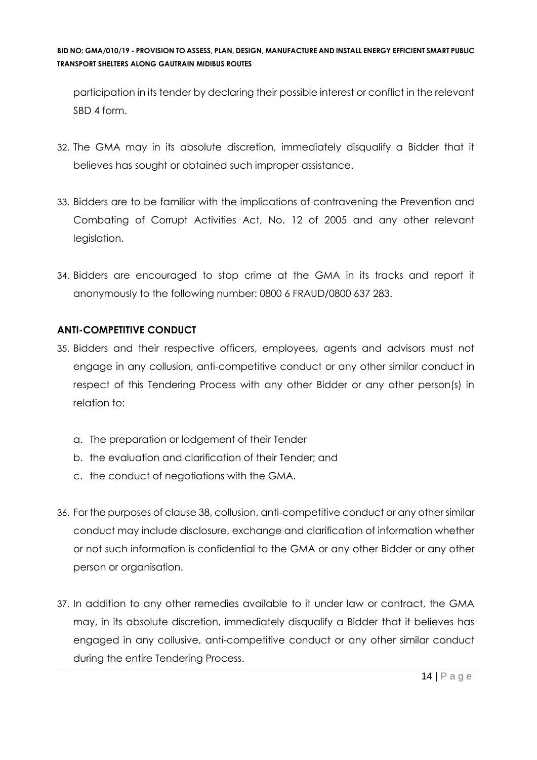participation in its tender by declaring their possible interest or conflict in the relevant SBD 4 form.

- 32. The GMA may in its absolute discretion, immediately disqualify a Bidder that it believes has sought or obtained such improper assistance.
- 33. Bidders are to be familiar with the implications of contravening the Prevention and Combating of Corrupt Activities Act, No. 12 of 2005 and any other relevant legislation.
- 34. Bidders are encouraged to stop crime at the GMA in its tracks and report it anonymously to the following number: 0800 6 FRAUD/0800 637 283.

## **ANTI-COMPETITIVE CONDUCT**

- 35. Bidders and their respective officers, employees, agents and advisors must not engage in any collusion, anti-competitive conduct or any other similar conduct in respect of this Tendering Process with any other Bidder or any other person(s) in relation to:
	- a. The preparation or lodgement of their Tender
	- b. the evaluation and clarification of their Tender; and
	- c. the conduct of negotiations with the GMA.
- 36. For the purposes of clause 38, collusion, anti-competitive conduct or any other similar conduct may include disclosure, exchange and clarification of information whether or not such information is confidential to the GMA or any other Bidder or any other person or organisation.
- 37. In addition to any other remedies available to it under law or contract, the GMA may, in its absolute discretion, immediately disqualify a Bidder that it believes has engaged in any collusive, anti-competitive conduct or any other similar conduct during the entire Tendering Process.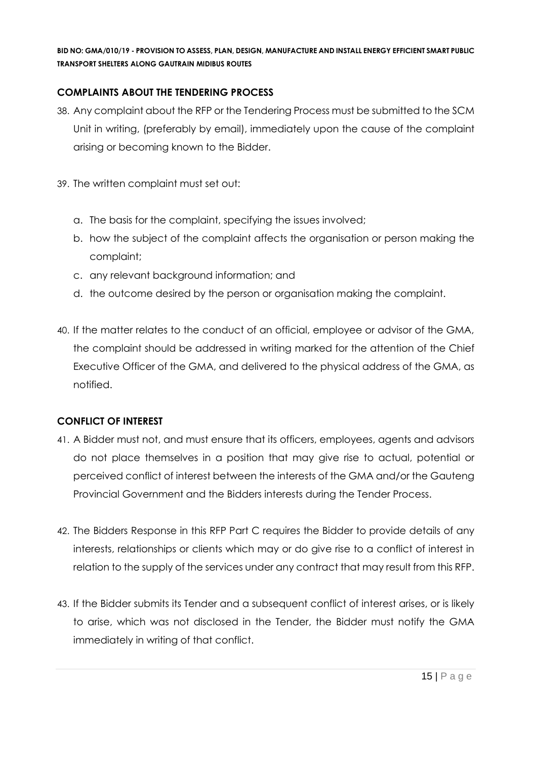## **COMPLAINTS ABOUT THE TENDERING PROCESS**

- 38. Any complaint about the RFP or the Tendering Process must be submitted to the SCM Unit in writing, (preferably by email), immediately upon the cause of the complaint arising or becoming known to the Bidder.
- 39. The written complaint must set out:
	- a. The basis for the complaint, specifying the issues involved;
	- b. how the subject of the complaint affects the organisation or person making the complaint;
	- c. any relevant background information; and
	- d. the outcome desired by the person or organisation making the complaint.
- 40. If the matter relates to the conduct of an official, employee or advisor of the GMA, the complaint should be addressed in writing marked for the attention of the Chief Executive Officer of the GMA, and delivered to the physical address of the GMA, as notified.

## **CONFLICT OF INTEREST**

- 41. A Bidder must not, and must ensure that its officers, employees, agents and advisors do not place themselves in a position that may give rise to actual, potential or perceived conflict of interest between the interests of the GMA and/or the Gauteng Provincial Government and the Bidders interests during the Tender Process.
- 42. The Bidders Response in this RFP Part C requires the Bidder to provide details of any interests, relationships or clients which may or do give rise to a conflict of interest in relation to the supply of the services under any contract that may result from this RFP.
- 43. If the Bidder submits its Tender and a subsequent conflict of interest arises, or is likely to arise, which was not disclosed in the Tender, the Bidder must notify the GMA immediately in writing of that conflict.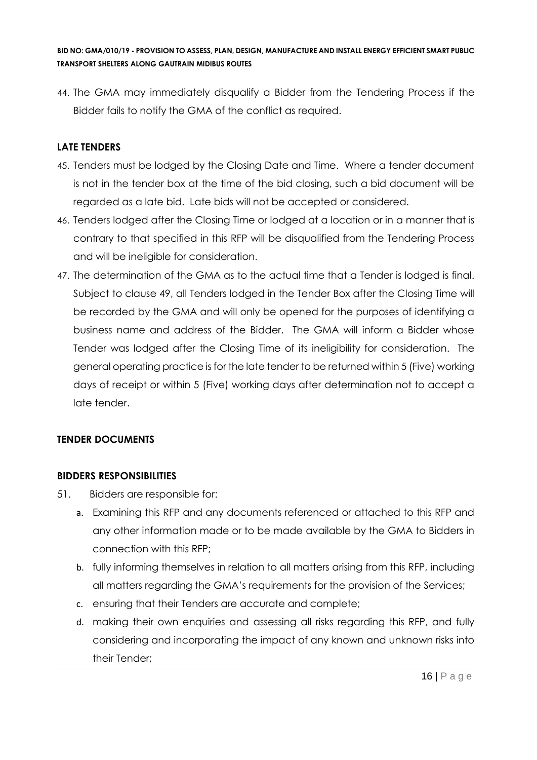44. The GMA may immediately disqualify a Bidder from the Tendering Process if the Bidder fails to notify the GMA of the conflict as required.

## **LATE TENDERS**

- 45. Tenders must be lodged by the Closing Date and Time. Where a tender document is not in the tender box at the time of the bid closing, such a bid document will be regarded as a late bid. Late bids will not be accepted or considered.
- 46. Tenders lodged after the Closing Time or lodged at a location or in a manner that is contrary to that specified in this RFP will be disqualified from the Tendering Process and will be ineligible for consideration.
- 47. The determination of the GMA as to the actual time that a Tender is lodged is final. Subject to clause 49, all Tenders lodged in the Tender Box after the Closing Time will be recorded by the GMA and will only be opened for the purposes of identifying a business name and address of the Bidder. The GMA will inform a Bidder whose Tender was lodged after the Closing Time of its ineligibility for consideration. The general operating practice is for the late tender to be returned within 5 (Five) working days of receipt or within 5 (Five) working days after determination not to accept a late tender.

## **TENDER DOCUMENTS**

## **BIDDERS RESPONSIBILITIES**

- 51. Bidders are responsible for:
	- a. Examining this RFP and any documents referenced or attached to this RFP and any other information made or to be made available by the GMA to Bidders in connection with this RFP;
	- b. fully informing themselves in relation to all matters arising from this RFP, including all matters regarding the GMA's requirements for the provision of the Services;
	- c. ensuring that their Tenders are accurate and complete;
	- d. making their own enquiries and assessing all risks regarding this RFP, and fully considering and incorporating the impact of any known and unknown risks into their Tender;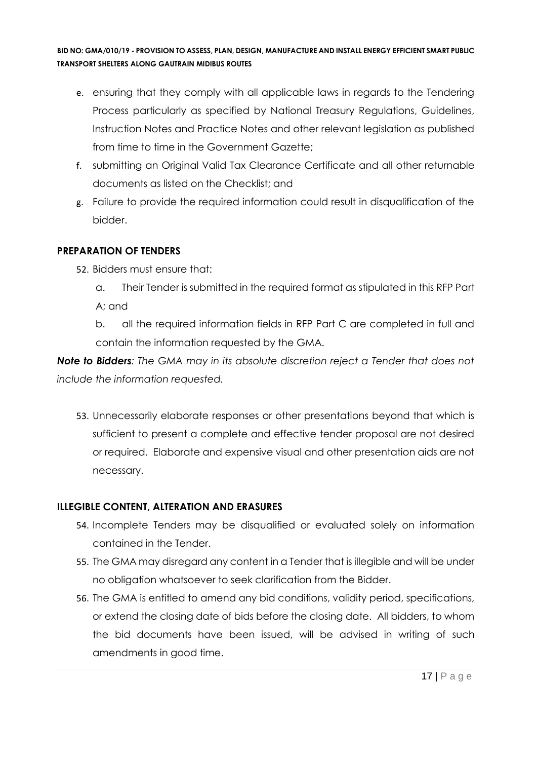- e. ensuring that they comply with all applicable laws in regards to the Tendering Process particularly as specified by National Treasury Regulations, Guidelines, Instruction Notes and Practice Notes and other relevant legislation as published from time to time in the Government Gazette;
- f. submitting an Original Valid Tax Clearance Certificate and all other returnable documents as listed on the Checklist; and
- g. Failure to provide the required information could result in disqualification of the bidder.

## **PREPARATION OF TENDERS**

- 52. Bidders must ensure that:
	- a. Their Tender is submitted in the required format as stipulated in this RFP Part A; and

b. all the required information fields in RFP Part C are completed in full and contain the information requested by the GMA.

*Note to Bidders: The GMA may in its absolute discretion reject a Tender that does not include the information requested.*

53. Unnecessarily elaborate responses or other presentations beyond that which is sufficient to present a complete and effective tender proposal are not desired or required. Elaborate and expensive visual and other presentation aids are not necessary.

## **ILLEGIBLE CONTENT, ALTERATION AND ERASURES**

- 54. Incomplete Tenders may be disqualified or evaluated solely on information contained in the Tender.
- 55. The GMA may disregard any content in a Tender that is illegible and will be under no obligation whatsoever to seek clarification from the Bidder.
- 56. The GMA is entitled to amend any bid conditions, validity period, specifications, or extend the closing date of bids before the closing date. All bidders, to whom the bid documents have been issued, will be advised in writing of such amendments in good time.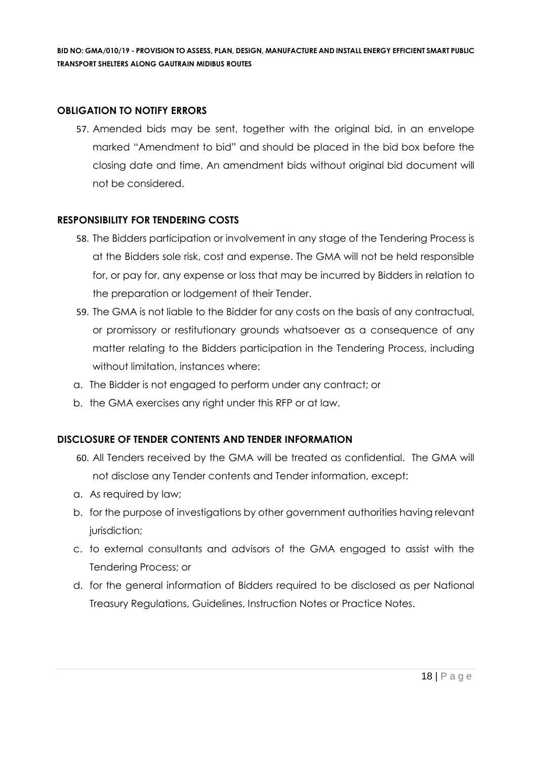## **OBLIGATION TO NOTIFY ERRORS**

57. Amended bids may be sent, together with the original bid, in an envelope marked "Amendment to bid" and should be placed in the bid box before the closing date and time. An amendment bids without original bid document will not be considered.

## **RESPONSIBILITY FOR TENDERING COSTS**

- 58. The Bidders participation or involvement in any stage of the Tendering Process is at the Bidders sole risk, cost and expense. The GMA will not be held responsible for, or pay for, any expense or loss that may be incurred by Bidders in relation to the preparation or lodgement of their Tender.
- 59. The GMA is not liable to the Bidder for any costs on the basis of any contractual, or promissory or restitutionary grounds whatsoever as a consequence of any matter relating to the Bidders participation in the Tendering Process, including without limitation, instances where:
- a. The Bidder is not engaged to perform under any contract; or
- b. the GMA exercises any right under this RFP or at law.

## **DISCLOSURE OF TENDER CONTENTS AND TENDER INFORMATION**

- 60. All Tenders received by the GMA will be treated as confidential. The GMA will not disclose any Tender contents and Tender information, except:
- a. As required by law;
- b. for the purpose of investigations by other government authorities having relevant jurisdiction;
- c. to external consultants and advisors of the GMA engaged to assist with the Tendering Process; or
- d. for the general information of Bidders required to be disclosed as per National Treasury Regulations, Guidelines, Instruction Notes or Practice Notes.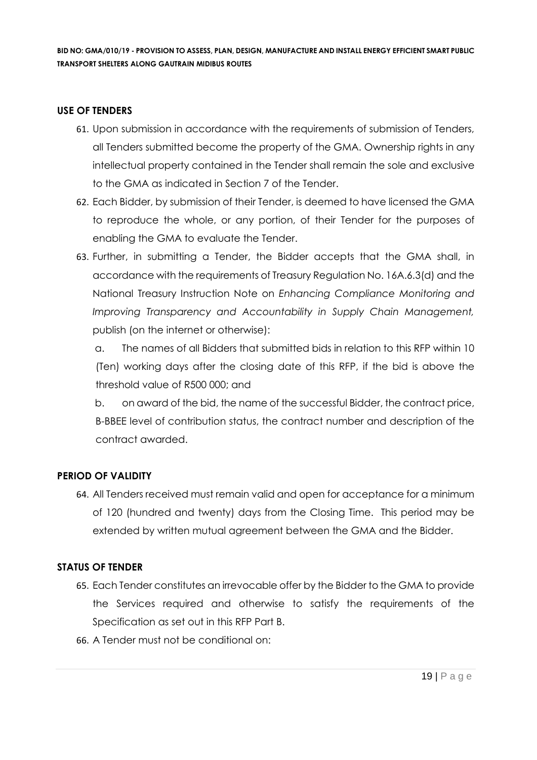## **USE OF TENDERS**

- 61. Upon submission in accordance with the requirements of submission of Tenders, all Tenders submitted become the property of the GMA. Ownership rights in any intellectual property contained in the Tender shall remain the sole and exclusive to the GMA as indicated in Section 7 of the Tender.
- 62. Each Bidder, by submission of their Tender, is deemed to have licensed the GMA to reproduce the whole, or any portion, of their Tender for the purposes of enabling the GMA to evaluate the Tender.
- 63. Further, in submitting a Tender, the Bidder accepts that the GMA shall, in accordance with the requirements of Treasury Regulation No. 16A.6.3(d) and the National Treasury Instruction Note on *Enhancing Compliance Monitoring and Improving Transparency and Accountability in Supply Chain Management,*  publish (on the internet or otherwise):

a. The names of all Bidders that submitted bids in relation to this RFP within 10 (Ten) working days after the closing date of this RFP, if the bid is above the threshold value of R500 000; and

b. on award of the bid, the name of the successful Bidder, the contract price, B-BBEE level of contribution status, the contract number and description of the contract awarded.

## **PERIOD OF VALIDITY**

64. All Tenders received must remain valid and open for acceptance for a minimum of 120 (hundred and twenty) days from the Closing Time. This period may be extended by written mutual agreement between the GMA and the Bidder.

#### **STATUS OF TENDER**

- 65. Each Tender constitutes an irrevocable offer by the Bidder to the GMA to provide the Services required and otherwise to satisfy the requirements of the Specification as set out in this RFP Part B.
- 66. A Tender must not be conditional on: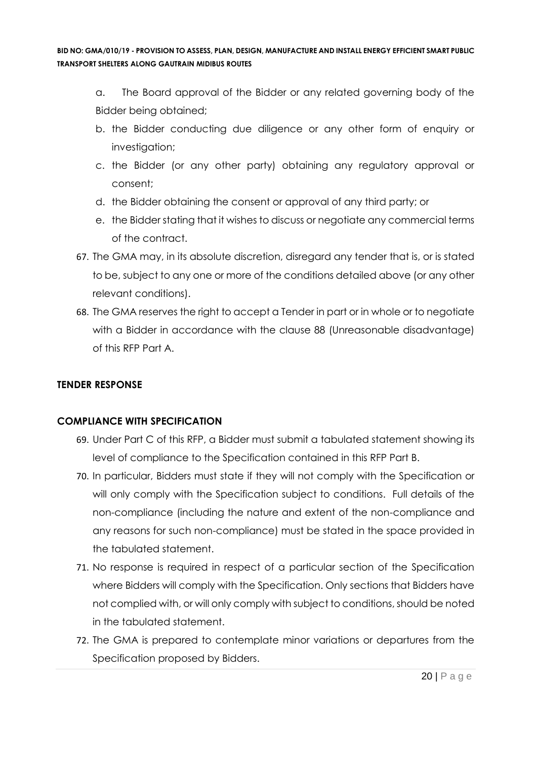- a. The Board approval of the Bidder or any related governing body of the Bidder being obtained;
- b. the Bidder conducting due diligence or any other form of enquiry or investigation;
- c. the Bidder (or any other party) obtaining any regulatory approval or consent;
- d. the Bidder obtaining the consent or approval of any third party; or
- e. the Bidder stating that it wishes to discuss or negotiate any commercial terms of the contract.
- 67. The GMA may, in its absolute discretion, disregard any tender that is, or is stated to be, subject to any one or more of the conditions detailed above (or any other relevant conditions).
- 68. The GMA reserves the right to accept a Tender in part or in whole or to negotiate with a Bidder in accordance with the clause 88 (Unreasonable disadvantage) of this RFP Part A.

## **TENDER RESPONSE**

## **COMPLIANCE WITH SPECIFICATION**

- 69. Under Part C of this RFP, a Bidder must submit a tabulated statement showing its level of compliance to the Specification contained in this RFP Part B.
- 70. In particular, Bidders must state if they will not comply with the Specification or will only comply with the Specification subject to conditions. Full details of the non-compliance (including the nature and extent of the non-compliance and any reasons for such non-compliance) must be stated in the space provided in the tabulated statement.
- 71. No response is required in respect of a particular section of the Specification where Bidders will comply with the Specification. Only sections that Bidders have not complied with, or will only comply with subject to conditions, should be noted in the tabulated statement.
- 72. The GMA is prepared to contemplate minor variations or departures from the Specification proposed by Bidders.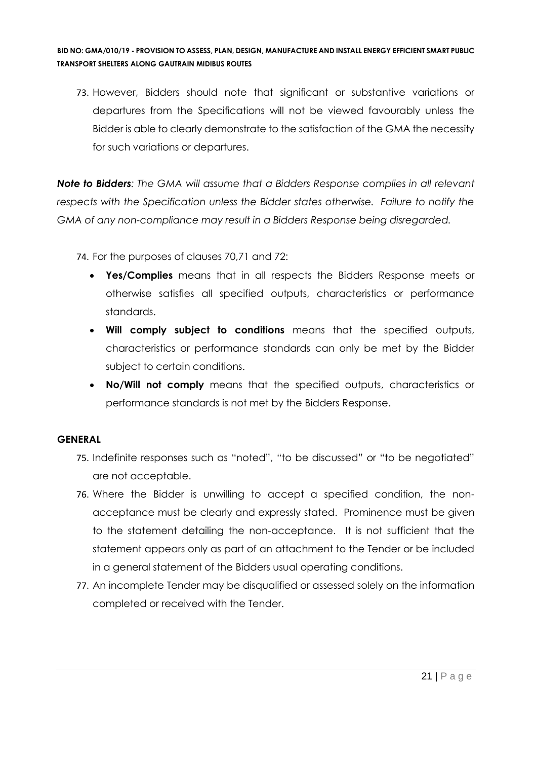73. However, Bidders should note that significant or substantive variations or departures from the Specifications will not be viewed favourably unless the Bidder is able to clearly demonstrate to the satisfaction of the GMA the necessity for such variations or departures.

*Note to Bidders: The GMA will assume that a Bidders Response complies in all relevant respects with the Specification unless the Bidder states otherwise. Failure to notify the GMA of any non-compliance may result in a Bidders Response being disregarded.*

74. For the purposes of clauses 70,71 and 72:

- **Yes/Complies** means that in all respects the Bidders Response meets or otherwise satisfies all specified outputs, characteristics or performance standards.
- **Will comply subject to conditions** means that the specified outputs, characteristics or performance standards can only be met by the Bidder subject to certain conditions.
- **No/Will not comply** means that the specified outputs, characteristics or performance standards is not met by the Bidders Response.

## **GENERAL**

- 75. Indefinite responses such as "noted", "to be discussed" or "to be negotiated" are not acceptable.
- 76. Where the Bidder is unwilling to accept a specified condition, the nonacceptance must be clearly and expressly stated. Prominence must be given to the statement detailing the non-acceptance. It is not sufficient that the statement appears only as part of an attachment to the Tender or be included in a general statement of the Bidders usual operating conditions.
- 77. An incomplete Tender may be disqualified or assessed solely on the information completed or received with the Tender.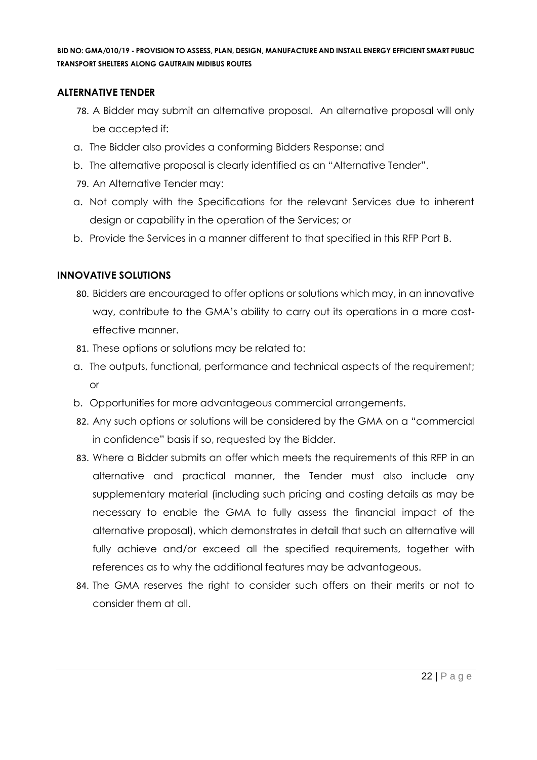## **ALTERNATIVE TENDER**

- 78. A Bidder may submit an alternative proposal. An alternative proposal will only be accepted if:
- a. The Bidder also provides a conforming Bidders Response; and
- b. The alternative proposal is clearly identified as an "Alternative Tender".
- 79. An Alternative Tender may:
- a. Not comply with the Specifications for the relevant Services due to inherent design or capability in the operation of the Services; or
- b. Provide the Services in a manner different to that specified in this RFP Part B.

## **INNOVATIVE SOLUTIONS**

- 80. Bidders are encouraged to offer options or solutions which may, in an innovative way, contribute to the GMA's ability to carry out its operations in a more costeffective manner.
- 81. These options or solutions may be related to:
- a. The outputs, functional, performance and technical aspects of the requirement; or
- b. Opportunities for more advantageous commercial arrangements.
- 82. Any such options or solutions will be considered by the GMA on a "commercial in confidence" basis if so, requested by the Bidder.
- 83. Where a Bidder submits an offer which meets the requirements of this RFP in an alternative and practical manner, the Tender must also include any supplementary material (including such pricing and costing details as may be necessary to enable the GMA to fully assess the financial impact of the alternative proposal), which demonstrates in detail that such an alternative will fully achieve and/or exceed all the specified requirements, together with references as to why the additional features may be advantageous.
- 84. The GMA reserves the right to consider such offers on their merits or not to consider them at all.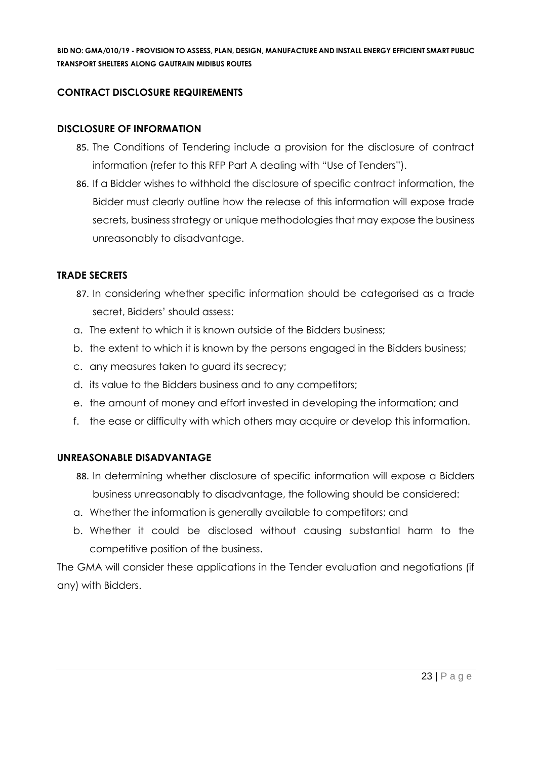## **CONTRACT DISCLOSURE REQUIREMENTS**

#### **DISCLOSURE OF INFORMATION**

- 85. The Conditions of Tendering include a provision for the disclosure of contract information (refer to this RFP Part A dealing with "Use of Tenders").
- 86. If a Bidder wishes to withhold the disclosure of specific contract information, the Bidder must clearly outline how the release of this information will expose trade secrets, business strategy or unique methodologies that may expose the business unreasonably to disadvantage.

#### **TRADE SECRETS**

- 87. In considering whether specific information should be categorised as a trade secret, Bidders' should assess:
- a. The extent to which it is known outside of the Bidders business;
- b. the extent to which it is known by the persons engaged in the Bidders business;
- c. any measures taken to guard its secrecy;
- d. its value to the Bidders business and to any competitors;
- e. the amount of money and effort invested in developing the information; and
- f. the ease or difficulty with which others may acquire or develop this information.

#### **UNREASONABLE DISADVANTAGE**

- 88. In determining whether disclosure of specific information will expose a Bidders business unreasonably to disadvantage, the following should be considered:
- a. Whether the information is generally available to competitors; and
- b. Whether it could be disclosed without causing substantial harm to the competitive position of the business.

The GMA will consider these applications in the Tender evaluation and negotiations (if any) with Bidders.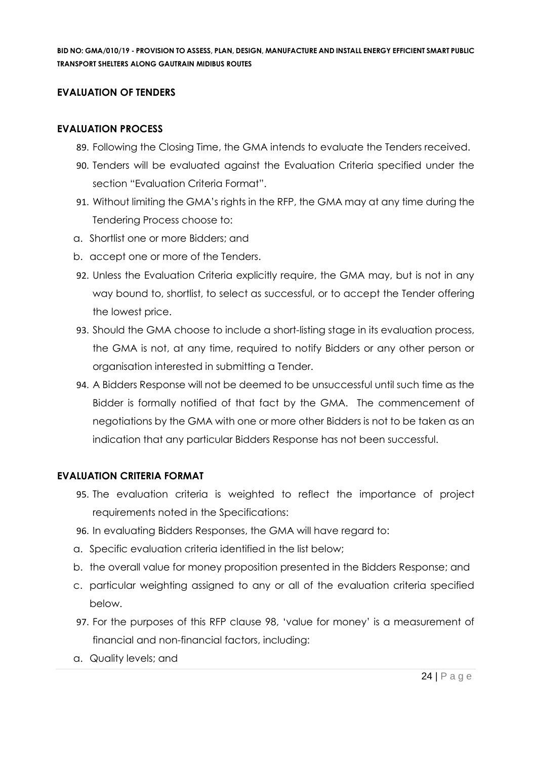## **EVALUATION OF TENDERS**

### **EVALUATION PROCESS**

- 89. Following the Closing Time, the GMA intends to evaluate the Tenders received.
- 90. Tenders will be evaluated against the Evaluation Criteria specified under the section "Evaluation Criteria Format".
- 91. Without limiting the GMA's rights in the RFP, the GMA may at any time during the Tendering Process choose to:
- a. Shortlist one or more Bidders; and
- b. accept one or more of the Tenders.
- 92. Unless the Evaluation Criteria explicitly require, the GMA may, but is not in any way bound to, shortlist, to select as successful, or to accept the Tender offering the lowest price.
- 93. Should the GMA choose to include a short-listing stage in its evaluation process, the GMA is not, at any time, required to notify Bidders or any other person or organisation interested in submitting a Tender.
- 94. A Bidders Response will not be deemed to be unsuccessful until such time as the Bidder is formally notified of that fact by the GMA. The commencement of negotiations by the GMA with one or more other Bidders is not to be taken as an indication that any particular Bidders Response has not been successful.

#### **EVALUATION CRITERIA FORMAT**

- 95. The evaluation criteria is weighted to reflect the importance of project requirements noted in the Specifications:
- 96. In evaluating Bidders Responses, the GMA will have regard to:
- a. Specific evaluation criteria identified in the list below;
- b. the overall value for money proposition presented in the Bidders Response; and
- c. particular weighting assigned to any or all of the evaluation criteria specified below.
- 97. For the purposes of this RFP clause 98, 'value for money' is a measurement of financial and non-financial factors, including:
- a. Quality levels; and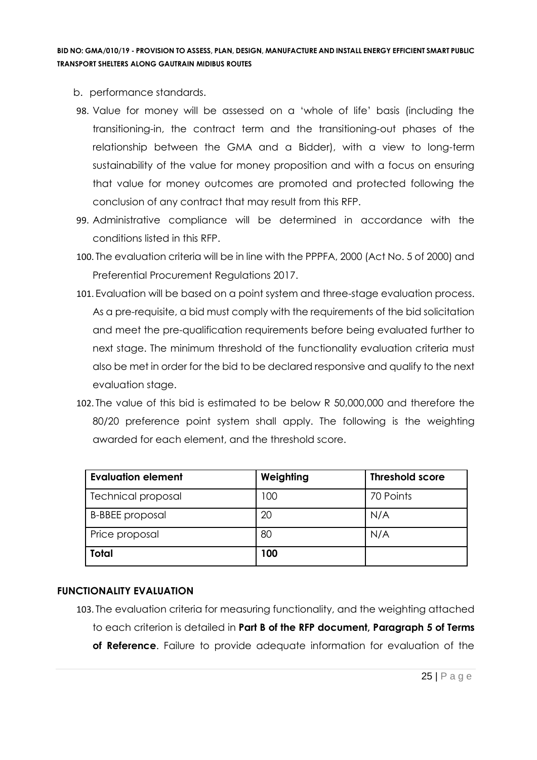- b. performance standards.
- 98. Value for money will be assessed on a 'whole of life' basis (including the transitioning-in, the contract term and the transitioning-out phases of the relationship between the GMA and a Bidder), with a view to long-term sustainability of the value for money proposition and with a focus on ensuring that value for money outcomes are promoted and protected following the conclusion of any contract that may result from this RFP.
- 99. Administrative compliance will be determined in accordance with the conditions listed in this RFP.
- 100. The evaluation criteria will be in line with the PPPFA, 2000 (Act No. 5 of 2000) and Preferential Procurement Regulations 2017.
- 101. Evaluation will be based on a point system and three-stage evaluation process. As a pre-requisite, a bid must comply with the requirements of the bid solicitation and meet the pre-qualification requirements before being evaluated further to next stage. The minimum threshold of the functionality evaluation criteria must also be met in order for the bid to be declared responsive and qualify to the next evaluation stage.
- 102. The value of this bid is estimated to be below R 50,000,000 and therefore the 80/20 preference point system shall apply. The following is the weighting awarded for each element, and the threshold score.

| <b>Evaluation element</b> | Weighting | <b>Threshold score</b> |
|---------------------------|-----------|------------------------|
| <b>Technical proposal</b> | 100       | 70 Points              |
| <b>B-BBEE</b> proposal    | 20        | N/A                    |
| Price proposal            | 80        | N/A                    |
| Total                     | 100       |                        |

## **FUNCTIONALITY EVALUATION**

103. The evaluation criteria for measuring functionality, and the weighting attached to each criterion is detailed in **Part B of the RFP document, Paragraph 5 of Terms of Reference**. Failure to provide adequate information for evaluation of the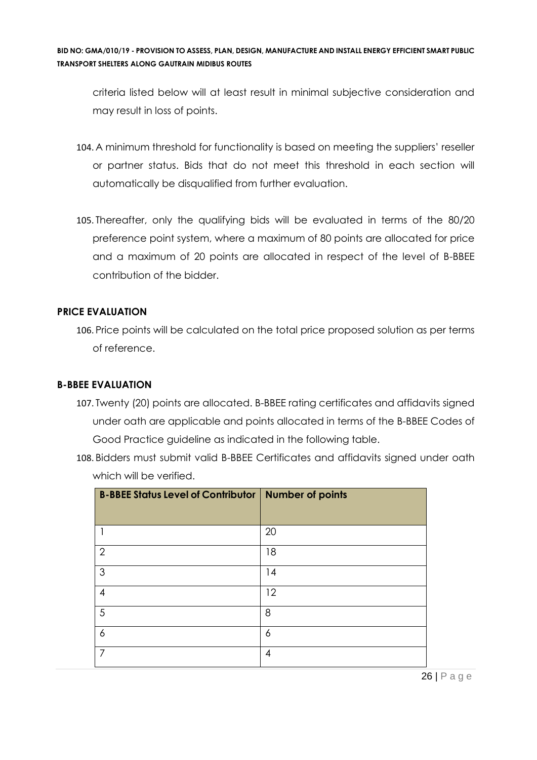criteria listed below will at least result in minimal subjective consideration and may result in loss of points.

- 104. A minimum threshold for functionality is based on meeting the suppliers' reseller or partner status. Bids that do not meet this threshold in each section will automatically be disqualified from further evaluation.
- 105. Thereafter, only the qualifying bids will be evaluated in terms of the 80/20 preference point system, where a maximum of 80 points are allocated for price and a maximum of 20 points are allocated in respect of the level of B-BBEE contribution of the bidder.

## **PRICE EVALUATION**

106. Price points will be calculated on the total price proposed solution as per terms of reference.

## **B-BBEE EVALUATION**

- 107. Twenty (20) points are allocated. B-BBEE rating certificates and affidavits signed under oath are applicable and points allocated in terms of the B-BBEE Codes of Good Practice guideline as indicated in the following table.
- 108. Bidders must submit valid B-BBEE Certificates and affidavits signed under oath which will be verified.

| <b>B-BBEE Status Level of Contributor   Number of points</b> |    |
|--------------------------------------------------------------|----|
|                                                              |    |
|                                                              | 20 |
| $\overline{2}$                                               | 18 |
| 3                                                            | 14 |
| 4                                                            | 12 |
| 5                                                            | 8  |
| 6                                                            | 6  |
|                                                              | 4  |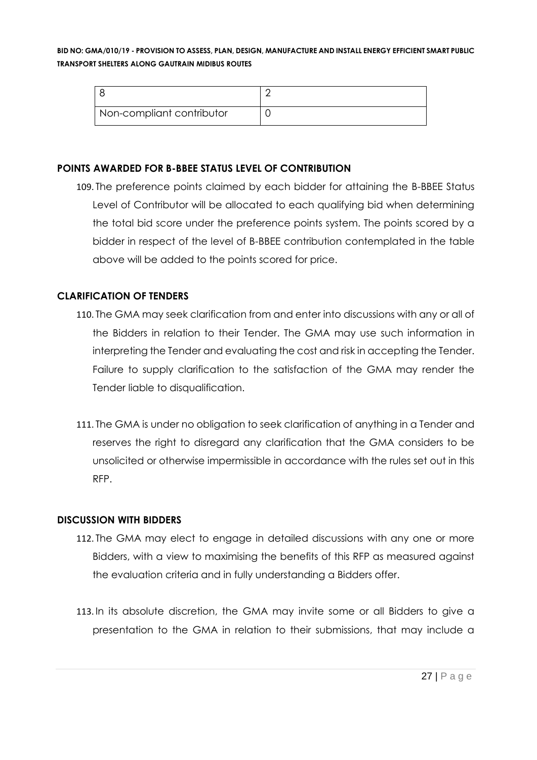| Non-compliant contributor |  |
|---------------------------|--|

## **POINTS AWARDED FOR B-BBEE STATUS LEVEL OF CONTRIBUTION**

109. The preference points claimed by each bidder for attaining the B-BBEE Status Level of Contributor will be allocated to each qualifying bid when determining the total bid score under the preference points system. The points scored by a bidder in respect of the level of B-BBEE contribution contemplated in the table above will be added to the points scored for price.

## **CLARIFICATION OF TENDERS**

- 110. The GMA may seek clarification from and enter into discussions with any or all of the Bidders in relation to their Tender. The GMA may use such information in interpreting the Tender and evaluating the cost and risk in accepting the Tender. Failure to supply clarification to the satisfaction of the GMA may render the Tender liable to disqualification.
- 111. The GMA is under no obligation to seek clarification of anything in a Tender and reserves the right to disregard any clarification that the GMA considers to be unsolicited or otherwise impermissible in accordance with the rules set out in this RFP.

## **DISCUSSION WITH BIDDERS**

- 112. The GMA may elect to engage in detailed discussions with any one or more Bidders, with a view to maximising the benefits of this RFP as measured against the evaluation criteria and in fully understanding a Bidders offer.
- 113. In its absolute discretion, the GMA may invite some or all Bidders to give a presentation to the GMA in relation to their submissions, that may include a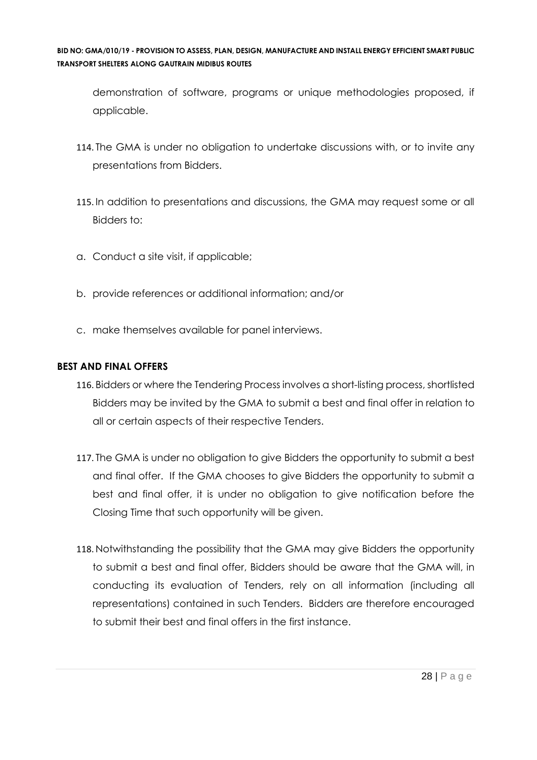demonstration of software, programs or unique methodologies proposed, if applicable.

- 114. The GMA is under no obligation to undertake discussions with, or to invite any presentations from Bidders.
- 115. In addition to presentations and discussions, the GMA may request some or all Bidders to:
- a. Conduct a site visit, if applicable;
- b. provide references or additional information; and/or
- c. make themselves available for panel interviews.

## **BEST AND FINAL OFFERS**

- 116. Bidders or where the Tendering Process involves a short-listing process, shortlisted Bidders may be invited by the GMA to submit a best and final offer in relation to all or certain aspects of their respective Tenders.
- 117. The GMA is under no obligation to give Bidders the opportunity to submit a best and final offer. If the GMA chooses to give Bidders the opportunity to submit a best and final offer, it is under no obligation to give notification before the Closing Time that such opportunity will be given.
- 118. Notwithstanding the possibility that the GMA may give Bidders the opportunity to submit a best and final offer, Bidders should be aware that the GMA will, in conducting its evaluation of Tenders, rely on all information (including all representations) contained in such Tenders. Bidders are therefore encouraged to submit their best and final offers in the first instance.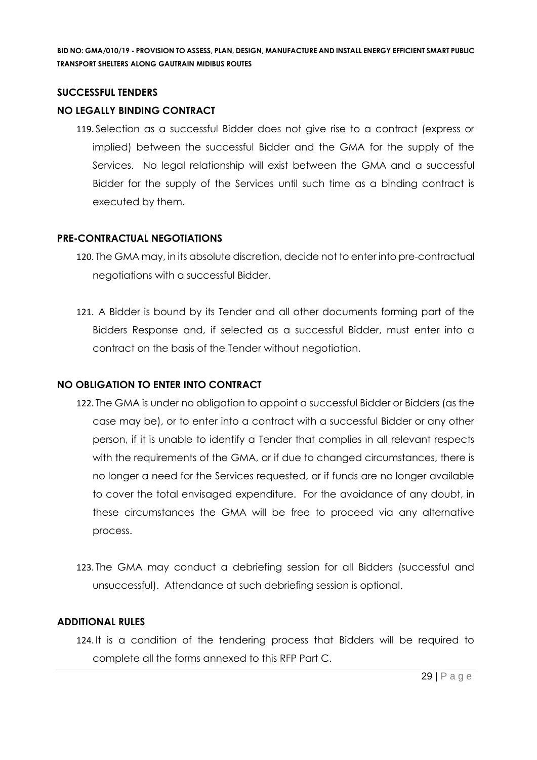#### **SUCCESSFUL TENDERS**

## **NO LEGALLY BINDING CONTRACT**

119. Selection as a successful Bidder does not give rise to a contract (express or implied) between the successful Bidder and the GMA for the supply of the Services. No legal relationship will exist between the GMA and a successful Bidder for the supply of the Services until such time as a binding contract is executed by them.

### **PRE-CONTRACTUAL NEGOTIATIONS**

- 120. The GMA may, in its absolute discretion, decide not to enter into pre-contractual negotiations with a successful Bidder.
- 121. A Bidder is bound by its Tender and all other documents forming part of the Bidders Response and, if selected as a successful Bidder, must enter into a contract on the basis of the Tender without negotiation.

## **NO OBLIGATION TO ENTER INTO CONTRACT**

- 122. The GMA is under no obligation to appoint a successful Bidder or Bidders (as the case may be), or to enter into a contract with a successful Bidder or any other person, if it is unable to identify a Tender that complies in all relevant respects with the requirements of the GMA, or if due to changed circumstances, there is no longer a need for the Services requested, or if funds are no longer available to cover the total envisaged expenditure. For the avoidance of any doubt, in these circumstances the GMA will be free to proceed via any alternative process.
- 123. The GMA may conduct a debriefing session for all Bidders (successful and unsuccessful). Attendance at such debriefing session is optional.

#### **ADDITIONAL RULES**

124. It is a condition of the tendering process that Bidders will be required to complete all the forms annexed to this RFP Part C.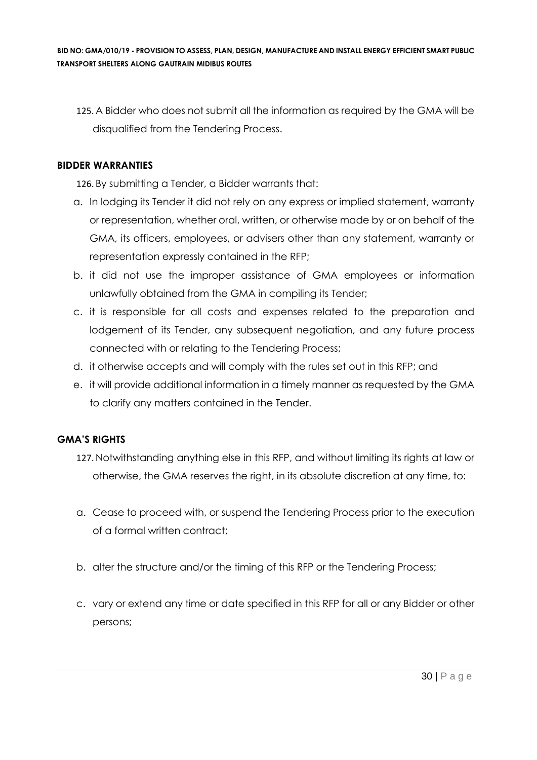125. A Bidder who does not submit all the information as required by the GMA will be disqualified from the Tendering Process.

## **BIDDER WARRANTIES**

126. By submitting a Tender, a Bidder warrants that:

- a. In lodging its Tender it did not rely on any express or implied statement, warranty or representation, whether oral, written, or otherwise made by or on behalf of the GMA, its officers, employees, or advisers other than any statement, warranty or representation expressly contained in the RFP;
- b. it did not use the improper assistance of GMA employees or information unlawfully obtained from the GMA in compiling its Tender;
- c. it is responsible for all costs and expenses related to the preparation and lodgement of its Tender, any subsequent negotiation, and any future process connected with or relating to the Tendering Process;
- d. it otherwise accepts and will comply with the rules set out in this RFP; and
- e. it will provide additional information in a timely manner as requested by the GMA to clarify any matters contained in the Tender.

## **GMA'S RIGHTS**

- 127. Notwithstanding anything else in this RFP, and without limiting its rights at law or otherwise, the GMA reserves the right, in its absolute discretion at any time, to:
- a. Cease to proceed with, or suspend the Tendering Process prior to the execution of a formal written contract;
- b. alter the structure and/or the timing of this RFP or the Tendering Process;
- c. vary or extend any time or date specified in this RFP for all or any Bidder or other persons;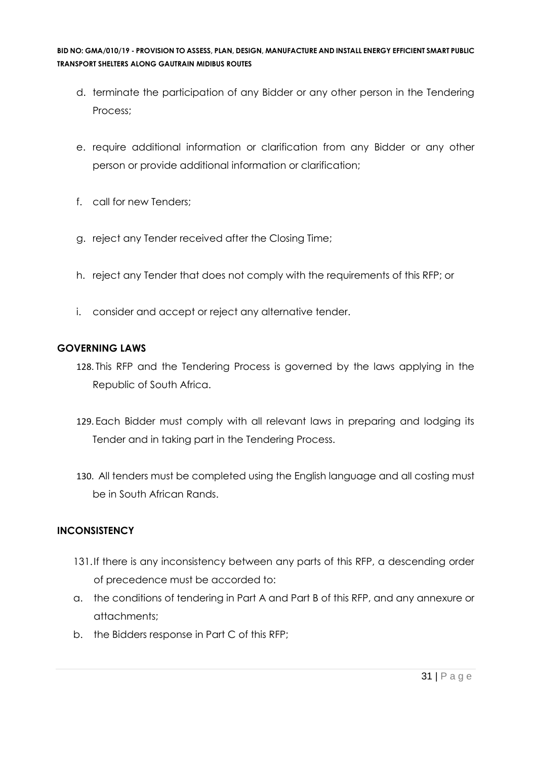- d. terminate the participation of any Bidder or any other person in the Tendering Process;
- e. require additional information or clarification from any Bidder or any other person or provide additional information or clarification;
- f. call for new Tenders;
- g. reject any Tender received after the Closing Time;
- h. reject any Tender that does not comply with the requirements of this RFP; or
- i. consider and accept or reject any alternative tender.

## **GOVERNING LAWS**

- 128. This RFP and the Tendering Process is governed by the laws applying in the Republic of South Africa.
- 129. Each Bidder must comply with all relevant laws in preparing and lodging its Tender and in taking part in the Tendering Process.
- 130. All tenders must be completed using the English language and all costing must be in South African Rands.

## **INCONSISTENCY**

- 131.If there is any inconsistency between any parts of this RFP, a descending order of precedence must be accorded to:
- a. the conditions of tendering in Part A and Part B of this RFP, and any annexure or attachments;
- b. the Bidders response in Part C of this RFP;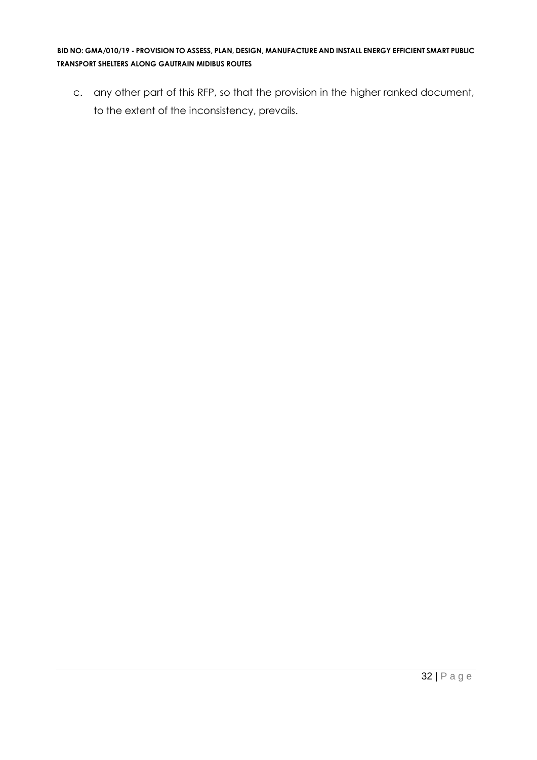c. any other part of this RFP, so that the provision in the higher ranked document, to the extent of the inconsistency, prevails.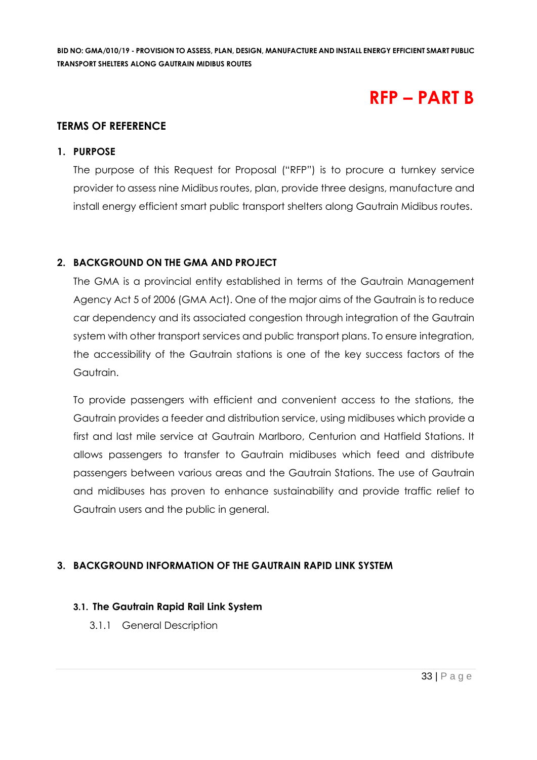## **RFP – PART B**

## **TERMS OF REFERENCE**

### **1. PURPOSE**

The purpose of this Request for Proposal ("RFP") is to procure a turnkey service provider to assess nine Midibus routes, plan, provide three designs, manufacture and install energy efficient smart public transport shelters along Gautrain Midibus routes.

## **2. BACKGROUND ON THE GMA AND PROJECT**

The GMA is a provincial entity established in terms of the Gautrain Management Agency Act 5 of 2006 (GMA Act). One of the major aims of the Gautrain is to reduce car dependency and its associated congestion through integration of the Gautrain system with other transport services and public transport plans. To ensure integration, the accessibility of the Gautrain stations is one of the key success factors of the Gautrain.

To provide passengers with efficient and convenient access to the stations, the Gautrain provides a feeder and distribution service, using midibuses which provide a first and last mile service at Gautrain Marlboro, Centurion and Hatfield Stations. It allows passengers to transfer to Gautrain midibuses which feed and distribute passengers between various areas and the Gautrain Stations. The use of Gautrain and midibuses has proven to enhance sustainability and provide traffic relief to Gautrain users and the public in general.

## **3. BACKGROUND INFORMATION OF THE GAUTRAIN RAPID LINK SYSTEM**

## **3.1. The Gautrain Rapid Rail Link System**

3.1.1 General Description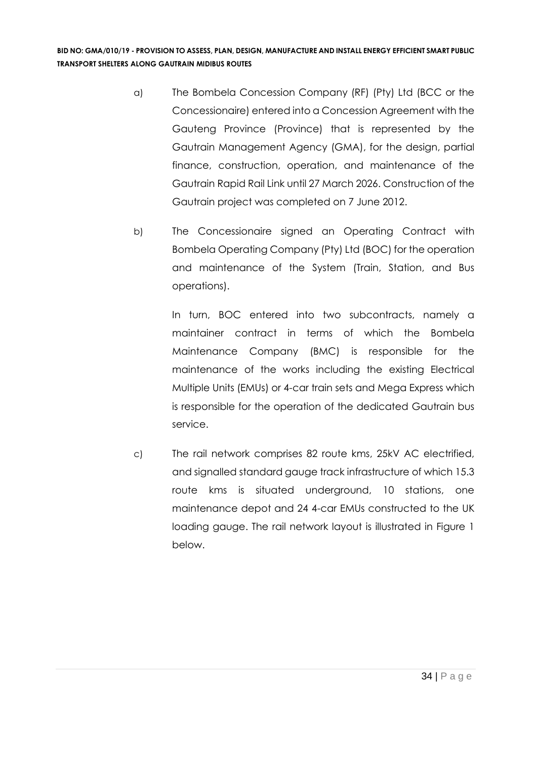- a) The Bombela Concession Company (RF) (Pty) Ltd (BCC or the Concessionaire) entered into a Concession Agreement with the Gauteng Province (Province) that is represented by the Gautrain Management Agency (GMA), for the design, partial finance, construction, operation, and maintenance of the Gautrain Rapid Rail Link until 27 March 2026. Construction of the Gautrain project was completed on 7 June 2012.
- b) The Concessionaire signed an Operating Contract with Bombela Operating Company (Pty) Ltd (BOC) for the operation and maintenance of the System (Train, Station, and Bus operations).

In turn, BOC entered into two subcontracts, namely a maintainer contract in terms of which the Bombela Maintenance Company (BMC) is responsible for the maintenance of the works including the existing Electrical Multiple Units (EMUs) or 4-car train sets and Mega Express which is responsible for the operation of the dedicated Gautrain bus service.

c) The rail network comprises 82 route kms, 25kV AC electrified, and signalled standard gauge track infrastructure of which 15.3 route kms is situated underground, 10 stations, one maintenance depot and 24 4-car EMUs constructed to the UK loading gauge. The rail network layout is illustrated in Figure 1 below.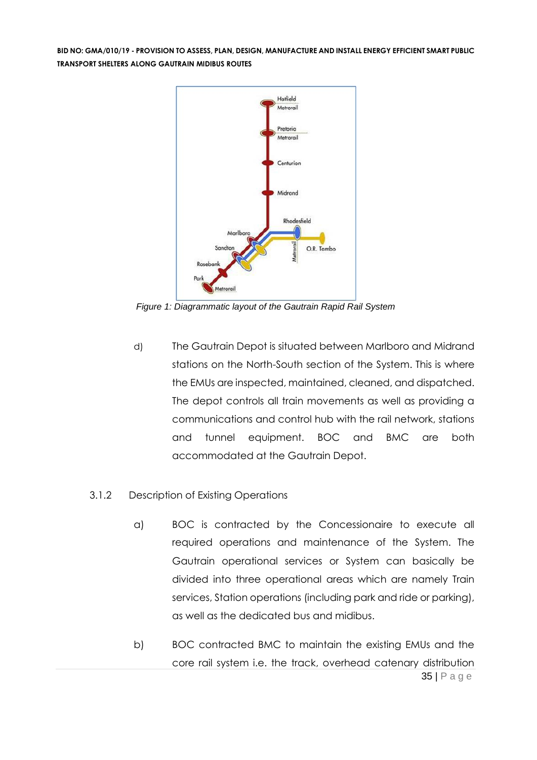

*Figure 1: Diagrammatic layout of the Gautrain Rapid Rail System*

d) The Gautrain Depot is situated between Marlboro and Midrand stations on the North-South section of the System. This is where the EMUs are inspected, maintained, cleaned, and dispatched. The depot controls all train movements as well as providing a communications and control hub with the rail network, stations and tunnel equipment. BOC and BMC are both accommodated at the Gautrain Depot.

#### 3.1.2 Description of Existing Operations

- a) BOC is contracted by the Concessionaire to execute all required operations and maintenance of the System. The Gautrain operational services or System can basically be divided into three operational areas which are namely Train services, Station operations (including park and ride or parking), as well as the dedicated bus and midibus.
- 35 | P a g e b) BOC contracted BMC to maintain the existing EMUs and the core rail system i.e. the track, overhead catenary distribution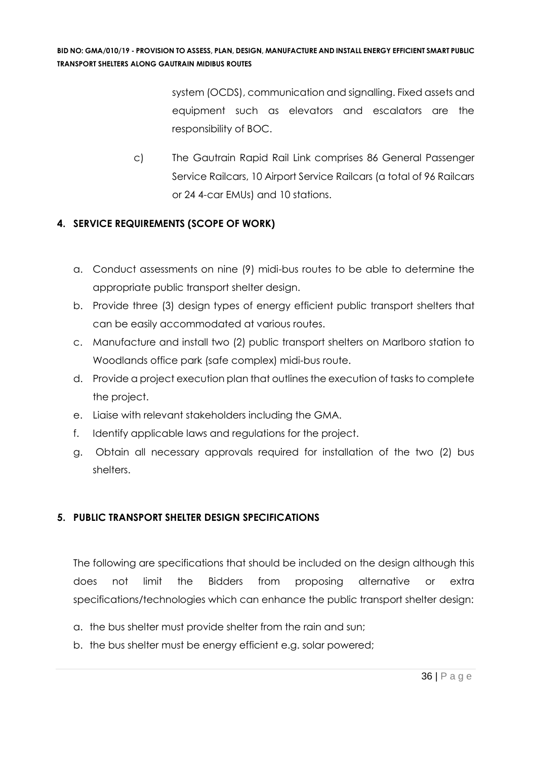system (OCDS), communication and signalling. Fixed assets and equipment such as elevators and escalators are the responsibility of BOC.

c) The Gautrain Rapid Rail Link comprises 86 General Passenger Service Railcars, 10 Airport Service Railcars (a total of 96 Railcars or 24 4-car EMUs) and 10 stations.

## **4. SERVICE REQUIREMENTS (SCOPE OF WORK)**

- a. Conduct assessments on nine (9) midi-bus routes to be able to determine the appropriate public transport shelter design.
- b. Provide three (3) design types of energy efficient public transport shelters that can be easily accommodated at various routes.
- c. Manufacture and install two (2) public transport shelters on Marlboro station to Woodlands office park (safe complex) midi-bus route.
- d. Provide a project execution plan that outlines the execution of tasks to complete the project.
- e. Liaise with relevant stakeholders including the GMA.
- f. Identify applicable laws and regulations for the project.
- g. Obtain all necessary approvals required for installation of the two (2) bus shelters.

## **5. PUBLIC TRANSPORT SHELTER DESIGN SPECIFICATIONS**

The following are specifications that should be included on the design although this does not limit the Bidders from proposing alternative or extra specifications/technologies which can enhance the public transport shelter design:

- a. the bus shelter must provide shelter from the rain and sun;
- b. the bus shelter must be energy efficient e.g. solar powered;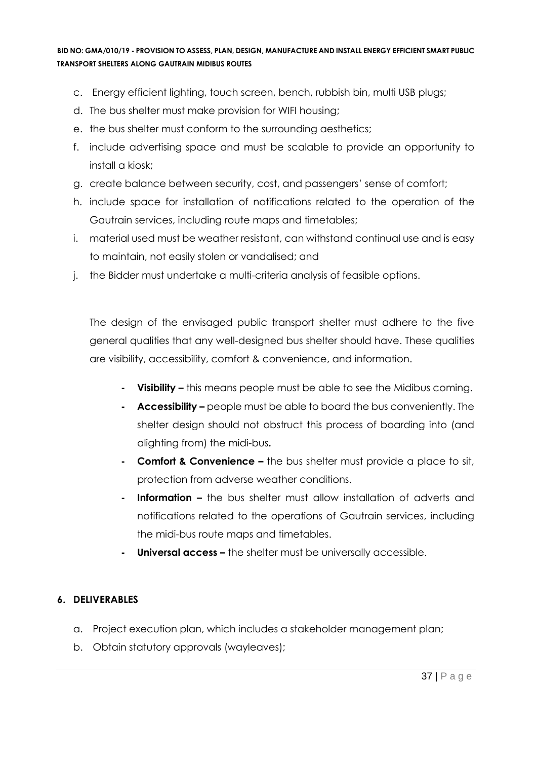- c. Energy efficient lighting, touch screen, bench, rubbish bin, multi USB plugs;
- d. The bus shelter must make provision for WIFI housing;
- e. the bus shelter must conform to the surrounding aesthetics;
- f. include advertising space and must be scalable to provide an opportunity to install a kiosk;
- g. create balance between security, cost, and passengers' sense of comfort;
- h. include space for installation of notifications related to the operation of the Gautrain services, including route maps and timetables;
- i. material used must be weather resistant, can withstand continual use and is easy to maintain, not easily stolen or vandalised; and
- j. the Bidder must undertake a multi-criteria analysis of feasible options.

The design of the envisaged public transport shelter must adhere to the five general qualities that any well-designed bus shelter should have. These qualities are visibility, accessibility, comfort & convenience, and information.

- **- Visibility –** this means people must be able to see the Midibus coming.
- **- Accessibility –** people must be able to board the bus conveniently. The shelter design should not obstruct this process of boarding into (and alighting from) the midi-bus**.**
- **- Comfort & Convenience –** the bus shelter must provide a place to sit, protection from adverse weather conditions.
- **- Information –** the bus shelter must allow installation of adverts and notifications related to the operations of Gautrain services, including the midi-bus route maps and timetables.
- **- Universal access –** the shelter must be universally accessible.

# **6. DELIVERABLES**

- a. Project execution plan, which includes a stakeholder management plan;
- b. Obtain statutory approvals (wayleaves);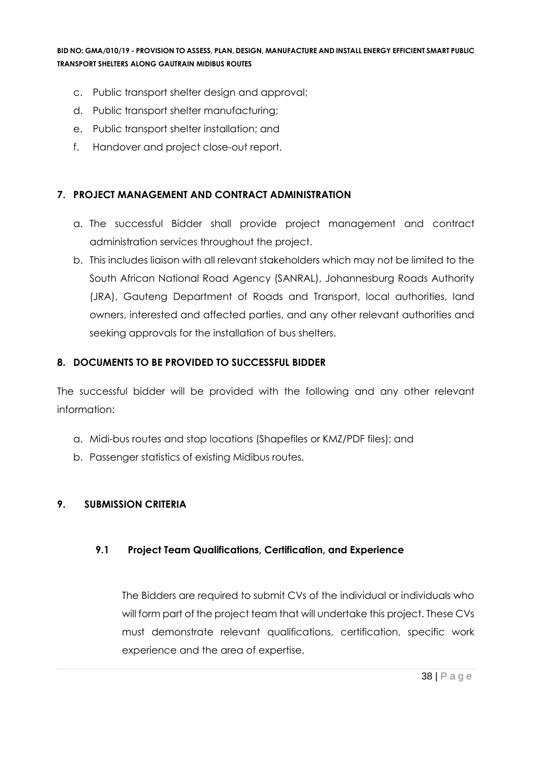- c. Public transport shelter design and approval;
- d. Public transport shelter manufacturing;
- e. Public transport shelter installation; and
- f. Handover and project close-out report.

#### **7. PROJECT MANAGEMENT AND CONTRACT ADMINISTRATION**

- a. The successful Bidder shall provide project management and contract administration services throughout the project.
- b. This includes liaison with all relevant stakeholders which may not be limited to the South African National Road Agency (SANRAL), Johannesburg Roads Authority (JRA), Gauteng Department of Roads and Transport, local authorities, land owners, interested and affected parties, and any other relevant authorities and seeking approvals for the installation of bus shelters.

#### **8. DOCUMENTS TO BE PROVIDED TO SUCCESSFUL BIDDER**

The successful bidder will be provided with the following and any other relevant information:

- a. Midi-bus routes and stop locations (Shapefiles or KMZ/PDF files); and
- b. Passenger statistics of existing Midibus routes.

#### **9. SUBMISSION CRITERIA**

#### **9.1 Project Team Qualifications, Certification, and Experience**

The Bidders are required to submit CVs of the individual or individuals who will form part of the project team that will undertake this project. These CVs must demonstrate relevant qualifications, certification, specific work experience and the area of expertise.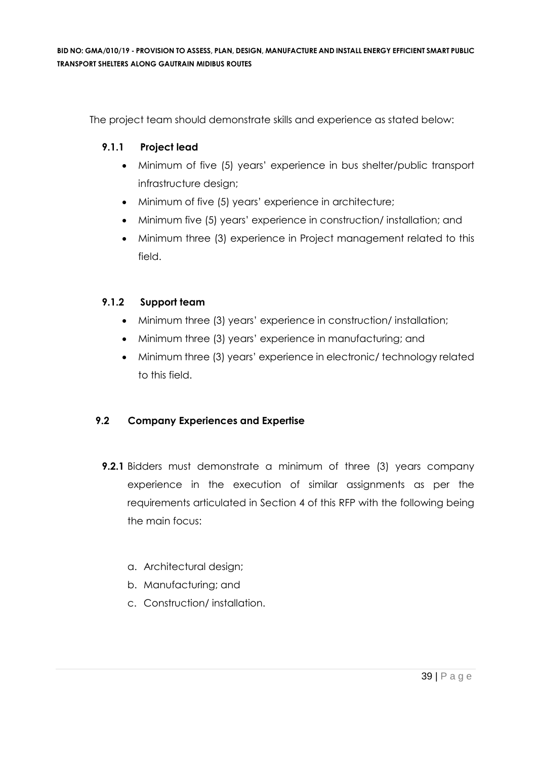The project team should demonstrate skills and experience as stated below:

### **9.1.1 Project lead**

- Minimum of five (5) years' experience in bus shelter/public transport infrastructure design;
- Minimum of five (5) years' experience in architecture;
- Minimum five (5) years' experience in construction/ installation; and
- Minimum three (3) experience in Project management related to this field.

### **9.1.2 Support team**

- Minimum three (3) years' experience in construction/ installation;
- Minimum three (3) years' experience in manufacturing; and
- Minimum three (3) years' experience in electronic/ technology related to this field.

# **9.2 Company Experiences and Expertise**

- **9.2.1** Bidders must demonstrate a minimum of three (3) years company experience in the execution of similar assignments as per the requirements articulated in Section 4 of this RFP with the following being the main focus:
	- a. Architectural design;
	- b. Manufacturing; and
	- c. Construction/ installation.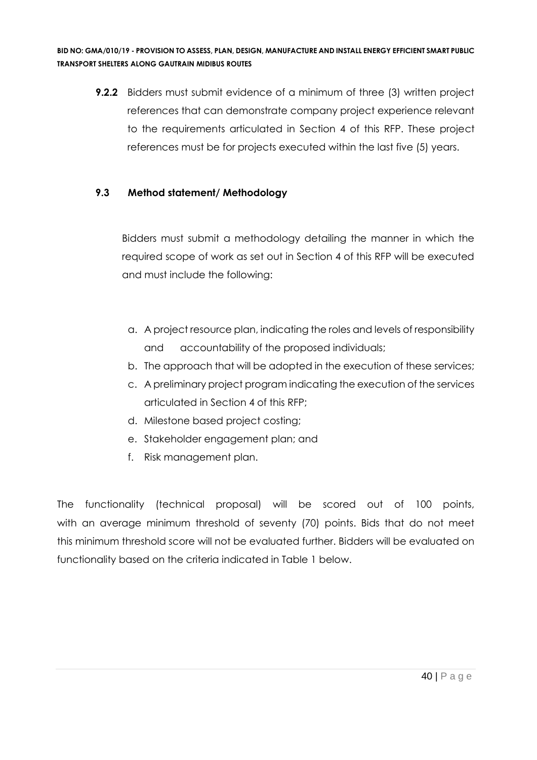**9.2.2** Bidders must submit evidence of a minimum of three (3) written project references that can demonstrate company project experience relevant to the requirements articulated in Section 4 of this RFP. These project references must be for projects executed within the last five (5) years.

### **9.3 Method statement/ Methodology**

Bidders must submit a methodology detailing the manner in which the required scope of work as set out in Section 4 of this RFP will be executed and must include the following:

- a. A project resource plan, indicating the roles and levels of responsibility and accountability of the proposed individuals;
- b. The approach that will be adopted in the execution of these services;
- c. A preliminary project program indicating the execution of the services articulated in Section 4 of this RFP;
- d. Milestone based project costing;
- e. Stakeholder engagement plan; and
- f. Risk management plan.

The functionality (technical proposal) will be scored out of 100 points, with an average minimum threshold of seventy (70) points. Bids that do not meet this minimum threshold score will not be evaluated further. Bidders will be evaluated on functionality based on the criteria indicated in Table 1 below.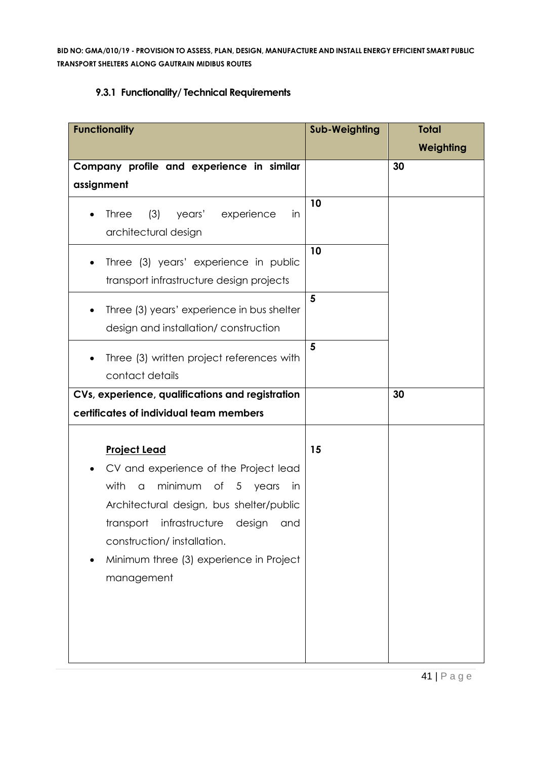# **9.3.1 Functionality/ Technical Requirements**

| <b>Functionality</b>                                                                                                                                                                                                                                                                                | <b>Sub-Weighting</b> | <b>Total</b><br>Weighting |
|-----------------------------------------------------------------------------------------------------------------------------------------------------------------------------------------------------------------------------------------------------------------------------------------------------|----------------------|---------------------------|
| Company profile and experience in similar<br>assignment                                                                                                                                                                                                                                             |                      | 30                        |
| (3)<br>years'<br><b>Three</b><br>experience<br>in<br>architectural design                                                                                                                                                                                                                           | 10                   |                           |
| Three (3) years' experience in public<br>$\bullet$<br>transport infrastructure design projects                                                                                                                                                                                                      | 10                   |                           |
| Three (3) years' experience in bus shelter<br>$\bullet$<br>design and installation/construction                                                                                                                                                                                                     | 5                    |                           |
| Three (3) written project references with<br>$\bullet$<br>contact details                                                                                                                                                                                                                           | 5                    |                           |
| CVs, experience, qualifications and registration<br>certificates of individual team members                                                                                                                                                                                                         |                      | 30                        |
| <b>Project Lead</b><br>CV and experience of the Project lead<br>$\bullet$<br>with<br>minimum of 5 years<br>$\alpha$<br>in<br>Architectural design, bus shelter/public<br>transport infrastructure design and<br>construction/installation.<br>Minimum three (3) experience in Project<br>management | 15                   |                           |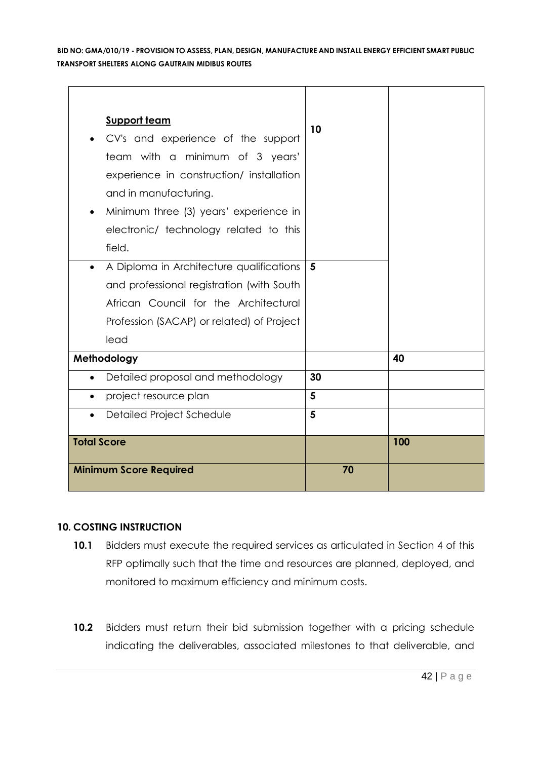| <b>Support team</b>                       |    |     |
|-------------------------------------------|----|-----|
| CV's and experience of the support        | 10 |     |
| team with a minimum of 3 years'           |    |     |
| experience in construction/ installation  |    |     |
| and in manufacturing.                     |    |     |
| Minimum three (3) years' experience in    |    |     |
| electronic/ technology related to this    |    |     |
| field.                                    |    |     |
| A Diploma in Architecture qualifications  | 5  |     |
| and professional registration (with South |    |     |
| African Council for the Architectural     |    |     |
| Profession (SACAP) or related) of Project |    |     |
| lead                                      |    |     |
| Methodology                               |    | 40  |
| Detailed proposal and methodology         | 30 |     |
| project resource plan                     | 5  |     |
| Detailed Project Schedule<br>$\bullet$    | 5  |     |
| <b>Total Score</b>                        |    | 100 |
|                                           |    |     |
| <b>Minimum Score Required</b>             | 70 |     |

#### **10. COSTING INSTRUCTION**

- **10.1** Bidders must execute the required services as articulated in Section 4 of this RFP optimally such that the time and resources are planned, deployed, and monitored to maximum efficiency and minimum costs.
- **10.2** Bidders must return their bid submission together with a pricing schedule indicating the deliverables, associated milestones to that deliverable, and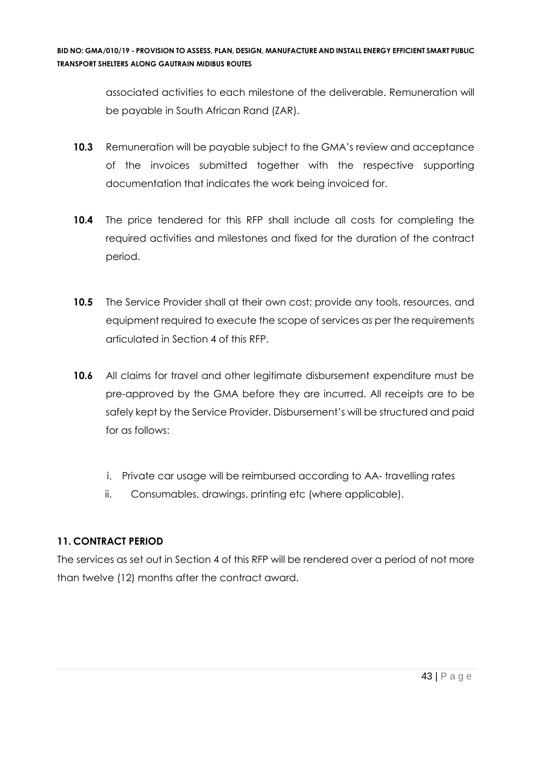associated activities to each milestone of the deliverable. Remuneration will be payable in South African Rand (ZAR).

- **10.3** Remuneration will be payable subject to the GMA's review and acceptance of the invoices submitted together with the respective supporting documentation that indicates the work being invoiced for.
- **10.4** The price tendered for this RFP shall include all costs for completing the required activities and milestones and fixed for the duration of the contract period.
- **10.5** The Service Provider shall at their own cost; provide any tools, resources, and equipment required to execute the scope of services as per the requirements articulated in Section 4 of this RFP.
- **10.6** All claims for travel and other legitimate disbursement expenditure must be pre-approved by the GMA before they are incurred. All receipts are to be safely kept by the Service Provider. Disbursement's will be structured and paid for as follows:
	- i. Private car usage will be reimbursed according to AA- travelling rates
	- ii. Consumables, drawings, printing etc (where applicable).

# **11. CONTRACT PERIOD**

The services as set out in Section 4 of this RFP will be rendered over a period of not more than twelve (12) months after the contract award.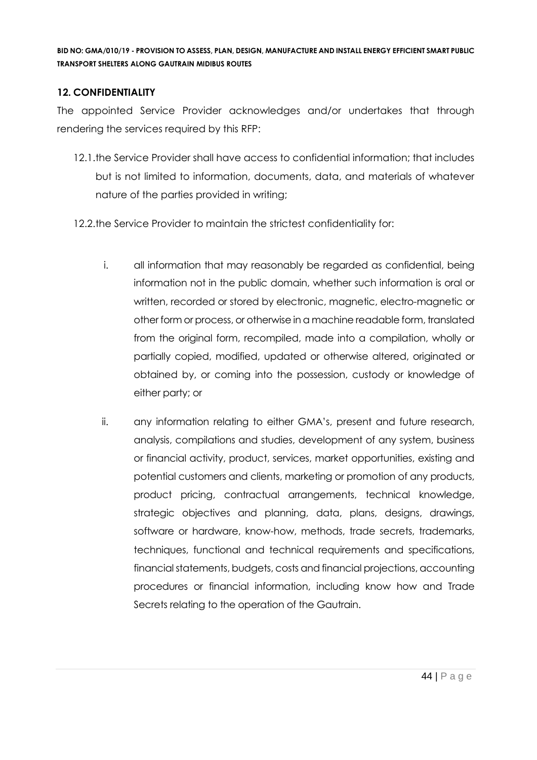### **12. CONFIDENTIALITY**

The appointed Service Provider acknowledges and/or undertakes that through rendering the services required by this RFP:

- 12.1.the Service Provider shall have access to confidential information; that includes but is not limited to information, documents, data, and materials of whatever nature of the parties provided in writing;
- 12.2.the Service Provider to maintain the strictest confidentiality for:
	- i. all information that may reasonably be regarded as confidential, being information not in the public domain, whether such information is oral or written, recorded or stored by electronic, magnetic, electro-magnetic or other form or process, or otherwise in a machine readable form, translated from the original form, recompiled, made into a compilation, wholly or partially copied, modified, updated or otherwise altered, originated or obtained by, or coming into the possession, custody or knowledge of either party; or
	- ii. any information relating to either GMA's, present and future research, analysis, compilations and studies, development of any system, business or financial activity, product, services, market opportunities, existing and potential customers and clients, marketing or promotion of any products, product pricing, contractual arrangements, technical knowledge, strategic objectives and planning, data, plans, designs, drawings, software or hardware, know-how, methods, trade secrets, trademarks, techniques, functional and technical requirements and specifications, financial statements, budgets, costs and financial projections, accounting procedures or financial information, including know how and Trade Secrets relating to the operation of the Gautrain.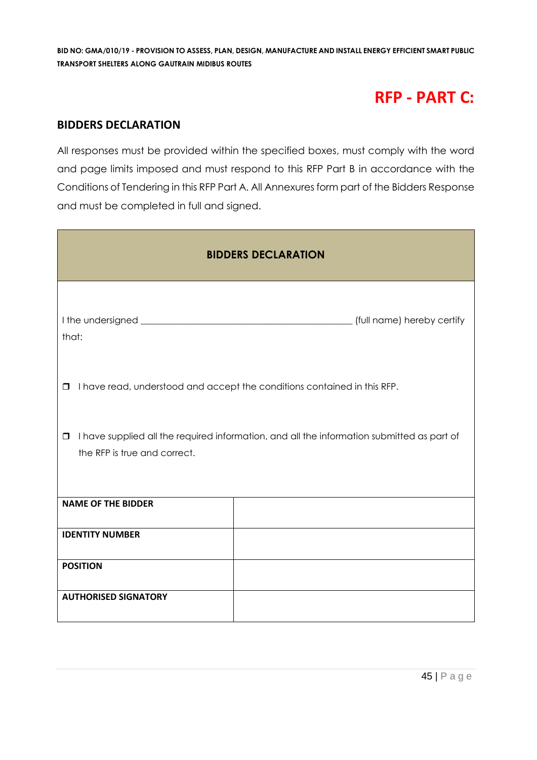# **RFP - PART C:**

### **BIDDERS DECLARATION**

All responses must be provided within the specified boxes, must comply with the word and page limits imposed and must respond to this RFP Part B in accordance with the Conditions of Tendering in this RFP Part A. All Annexures form part of the Bidders Response and must be completed in full and signed.

| <b>BIDDERS DECLARATION</b>                                                                                                           |  |  |  |
|--------------------------------------------------------------------------------------------------------------------------------------|--|--|--|
| that:                                                                                                                                |  |  |  |
| I have read, understood and accept the conditions contained in this RFP.<br>$\Box$                                                   |  |  |  |
| I have supplied all the required information, and all the information submitted as part of<br>$\Box$<br>the RFP is true and correct. |  |  |  |
| <b>NAME OF THE BIDDER</b>                                                                                                            |  |  |  |
| <b>IDENTITY NUMBER</b>                                                                                                               |  |  |  |
| <b>POSITION</b>                                                                                                                      |  |  |  |
| <b>AUTHORISED SIGNATORY</b>                                                                                                          |  |  |  |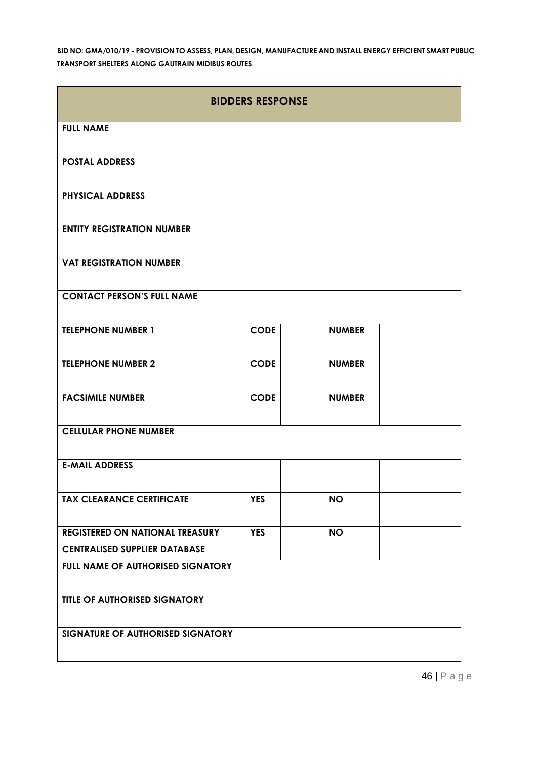| <b>BIDDERS RESPONSE</b>                |             |               |  |
|----------------------------------------|-------------|---------------|--|
| <b>FULL NAME</b>                       |             |               |  |
| <b>POSTAL ADDRESS</b>                  |             |               |  |
| <b>PHYSICAL ADDRESS</b>                |             |               |  |
| <b>ENTITY REGISTRATION NUMBER</b>      |             |               |  |
| <b>VAT REGISTRATION NUMBER</b>         |             |               |  |
| <b>CONTACT PERSON'S FULL NAME</b>      |             |               |  |
| <b>TELEPHONE NUMBER 1</b>              | <b>CODE</b> | <b>NUMBER</b> |  |
| <b>TELEPHONE NUMBER 2</b>              | <b>CODE</b> | <b>NUMBER</b> |  |
| <b>FACSIMILE NUMBER</b>                | <b>CODE</b> | <b>NUMBER</b> |  |
| <b>CELLULAR PHONE NUMBER</b>           |             |               |  |
| <b>E-MAIL ADDRESS</b>                  |             |               |  |
| <b>TAX CLEARANCE CERTIFICATE</b>       | <b>YES</b>  | <b>NO</b>     |  |
| <b>REGISTERED ON NATIONAL TREASURY</b> | <b>YES</b>  | <b>NO</b>     |  |
| <b>CENTRALISED SUPPLIER DATABASE</b>   |             |               |  |
| FULL NAME OF AUTHORISED SIGNATORY      |             |               |  |
| <b>TITLE OF AUTHORISED SIGNATORY</b>   |             |               |  |
| SIGNATURE OF AUTHORISED SIGNATORY      |             |               |  |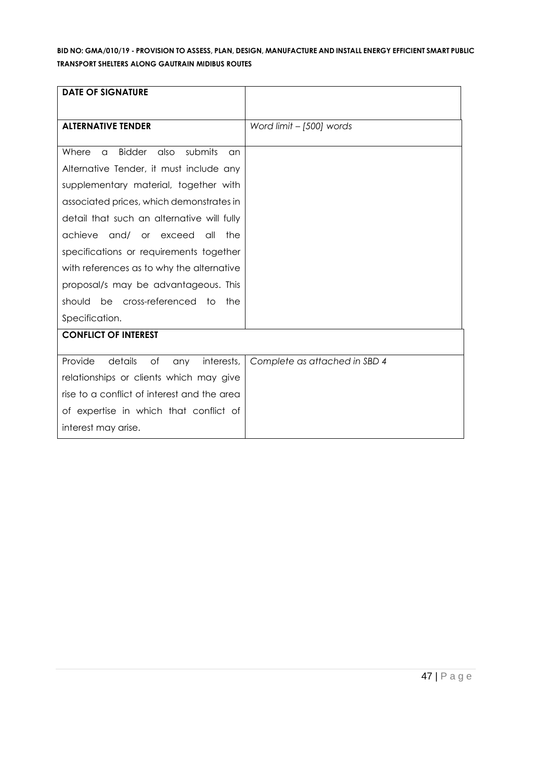| <b>DATE OF SIGNATURE</b>                                    |                               |
|-------------------------------------------------------------|-------------------------------|
|                                                             |                               |
| <b>ALTERNATIVE TENDER</b>                                   | Word limit - [500] words      |
|                                                             |                               |
| <b>Bidder</b><br>submits<br>Where<br>also<br>$\alpha$<br>an |                               |
| Alternative Tender, it must include any                     |                               |
| supplementary material, together with                       |                               |
| associated prices, which demonstrates in                    |                               |
| detail that such an alternative will fully                  |                               |
| achieve<br>and/<br>or exceed<br>the<br>all                  |                               |
| specifications or requirements together                     |                               |
| with references as to why the alternative                   |                               |
| proposal/s may be advantageous. This                        |                               |
| be cross-referenced to<br>should<br>the                     |                               |
| Specification.                                              |                               |
| <b>CONFLICT OF INTEREST</b>                                 |                               |
|                                                             |                               |
| Provide<br>details<br>of<br>interests,<br>any               | Complete as attached in SBD 4 |
| relationships or clients which may give                     |                               |
| rise to a conflict of interest and the area                 |                               |
| of expertise in which that conflict of                      |                               |
| interest may arise.                                         |                               |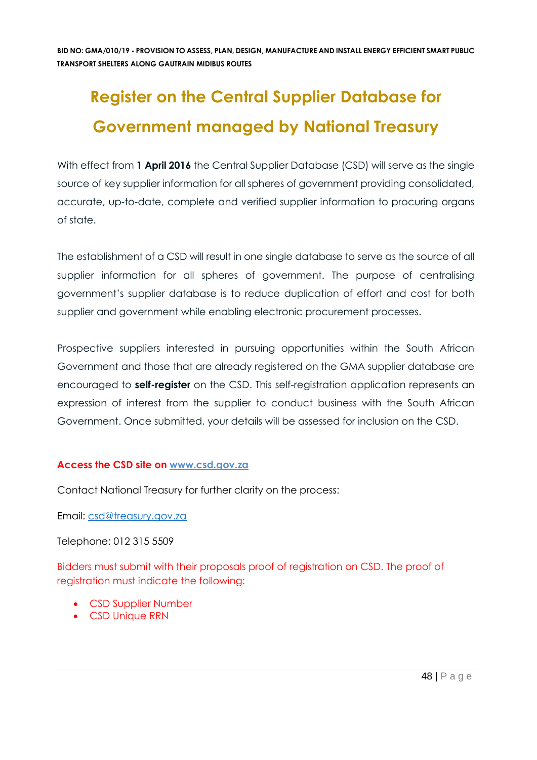# **Register on the Central Supplier Database for Government managed by National Treasury**

With effect from 1 **April 2016** the Central Supplier Database (CSD) will serve as the single source of key supplier information for all spheres of government providing consolidated, accurate, up-to-date, complete and verified supplier information to procuring organs of state.

The establishment of a CSD will result in one single database to serve as the source of all supplier information for all spheres of government. The purpose of centralising government's supplier database is to reduce duplication of effort and cost for both supplier and government while enabling electronic procurement processes.

Prospective suppliers interested in pursuing opportunities within the South African Government and those that are already registered on the GMA supplier database are encouraged to **self-register** on the CSD. This self-registration application represents an expression of interest from the supplier to conduct business with the South African Government. Once submitted, your details will be assessed for inclusion on the CSD.

#### **Access the CSD site on [www.csd.gov.za](http://www.csd.gov.za/)**

Contact National Treasury for further clarity on the process:

Email: [csd@treasury.gov.za](mailto:csd@treasury.gov.za)

Telephone: 012 315 5509

Bidders must submit with their proposals proof of registration on CSD. The proof of registration must indicate the following:

- CSD Supplier Number
- CSD Unique RRN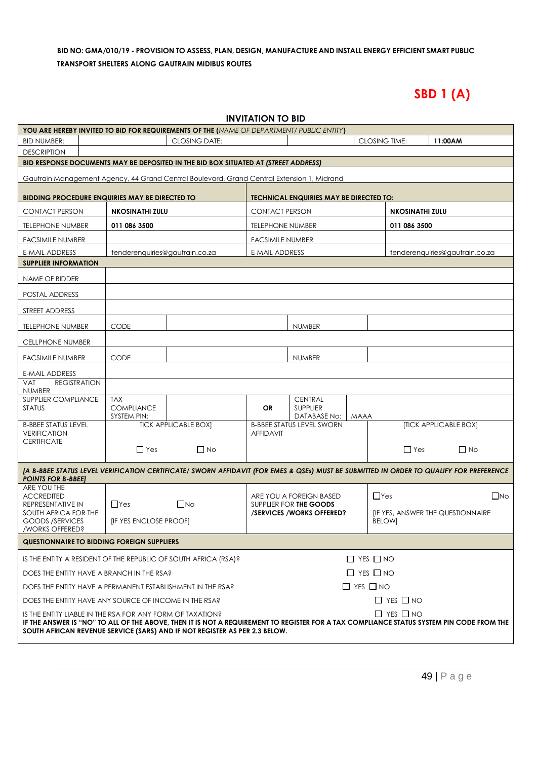# **SBD 1 (A)**

| <b>INVITATION TO BID</b>                                                                                                                                                                                               |                                  |                             |                         |                                                    |                                                       |                        |  |                                |  |
|------------------------------------------------------------------------------------------------------------------------------------------------------------------------------------------------------------------------|----------------------------------|-----------------------------|-------------------------|----------------------------------------------------|-------------------------------------------------------|------------------------|--|--------------------------------|--|
| YOU ARE HEREBY INVITED TO BID FOR REQUIREMENTS OF THE (NAME OF DEPARTMENT/ PUBLIC ENTITY)                                                                                                                              |                                  |                             |                         |                                                    |                                                       |                        |  |                                |  |
| <b>BID NUMBER:</b>                                                                                                                                                                                                     |                                  | <b>CLOSING DATE:</b>        |                         |                                                    |                                                       | <b>CLOSING TIME:</b>   |  | 11:00AM                        |  |
| <b>DESCRIPTION</b>                                                                                                                                                                                                     |                                  |                             |                         |                                                    |                                                       |                        |  |                                |  |
| BID RESPONSE DOCUMENTS MAY BE DEPOSITED IN THE BID BOX SITUATED AT (STREET ADDRESS)                                                                                                                                    |                                  |                             |                         |                                                    |                                                       |                        |  |                                |  |
| Gautrain Management Agency, 44 Grand Central Boulevard, Grand Central Extension 1, Midrand                                                                                                                             |                                  |                             |                         |                                                    |                                                       |                        |  |                                |  |
| <b>BIDDING PROCEDURE ENQUIRIES MAY BE DIRECTED TO</b>                                                                                                                                                                  |                                  |                             |                         | <b>TECHNICAL ENQUIRIES MAY BE DIRECTED TO:</b>     |                                                       |                        |  |                                |  |
| <b>CONTACT PERSON</b>                                                                                                                                                                                                  | <b>NKOSINATHI ZULU</b>           |                             | <b>CONTACT PERSON</b>   |                                                    |                                                       | <b>NKOSINATHI ZULU</b> |  |                                |  |
| <b>TELEPHONE NUMBER</b>                                                                                                                                                                                                | 011 086 3500                     |                             | <b>TELEPHONE NUMBER</b> |                                                    |                                                       | 011 086 3500           |  |                                |  |
| <b>FACSIMILE NUMBER</b>                                                                                                                                                                                                |                                  |                             | <b>FACSIMILE NUMBER</b> |                                                    |                                                       |                        |  |                                |  |
| <b>E-MAIL ADDRESS</b>                                                                                                                                                                                                  | tenderenquiries@gautrain.co.za   |                             | <b>E-MAIL ADDRESS</b>   |                                                    |                                                       |                        |  | tenderenquiries@gautrain.co.za |  |
| <b>SUPPLIER INFORMATION</b>                                                                                                                                                                                            |                                  |                             |                         |                                                    |                                                       |                        |  |                                |  |
| NAME OF BIDDER                                                                                                                                                                                                         |                                  |                             |                         |                                                    |                                                       |                        |  |                                |  |
| POSTAL ADDRESS                                                                                                                                                                                                         |                                  |                             |                         |                                                    |                                                       |                        |  |                                |  |
| STREET ADDRESS                                                                                                                                                                                                         |                                  |                             |                         |                                                    |                                                       |                        |  |                                |  |
| TELEPHONE NUMBER                                                                                                                                                                                                       | <b>CODE</b>                      |                             |                         | <b>NUMBER</b>                                      |                                                       |                        |  |                                |  |
| <b>CELLPHONE NUMBER</b>                                                                                                                                                                                                |                                  |                             |                         |                                                    |                                                       |                        |  |                                |  |
| <b>FACSIMILE NUMBER</b>                                                                                                                                                                                                | <b>CODE</b>                      |                             |                         | <b>NUMBER</b>                                      |                                                       |                        |  |                                |  |
| E-MAIL ADDRESS                                                                                                                                                                                                         |                                  |                             |                         |                                                    |                                                       |                        |  |                                |  |
| <b>REGISTRATION</b><br><b>VAT</b>                                                                                                                                                                                      |                                  |                             |                         |                                                    |                                                       |                        |  |                                |  |
| <b>NUMBER</b><br>SUPPLIER COMPLIANCE                                                                                                                                                                                   | <b>TAX</b>                       |                             |                         | <b>CENTRAL</b>                                     |                                                       |                        |  |                                |  |
| <b>STATUS</b>                                                                                                                                                                                                          | <b>COMPLIANCE</b><br>SYSTEM PIN: |                             | OR                      | <b>SUPPLIER</b><br>DATABASE No:                    | <b>MAAA</b>                                           |                        |  |                                |  |
| <b>B-BBEE STATUS LEVEL</b>                                                                                                                                                                                             |                                  | <b>TICK APPLICABLE BOX]</b> |                         | <b>B-BBEE STATUS LEVEL SWORN</b>                   |                                                       |                        |  | [TICK APPLICABLE BOX]          |  |
| <b>VERIFICATION</b><br><b>CERTIFICATE</b>                                                                                                                                                                              |                                  |                             | <b>AFFIDAVIT</b>        |                                                    |                                                       |                        |  |                                |  |
|                                                                                                                                                                                                                        | $\Box$ Yes                       | $\Box$ No                   |                         |                                                    |                                                       | $\Box$ Yes             |  | $\Box$ No                      |  |
| [A B-BBEE STATUS LEVEL VERIFICATION CERTIFICATE/ SWORN AFFIDAVIT (FOR EMES & QSEs) MUST BE SUBMITTED IN ORDER TO QUALIFY FOR PREFERENCE                                                                                |                                  |                             |                         |                                                    |                                                       |                        |  |                                |  |
| <b>POINTS FOR B-BBEEJ</b><br>ARE YOU THE                                                                                                                                                                               |                                  |                             |                         |                                                    |                                                       |                        |  |                                |  |
| <b>ACCREDITED</b>                                                                                                                                                                                                      |                                  |                             |                         | ARE YOU A FOREIGN BASED                            | $\Box$ Yes<br><b>IF YES, ANSWER THE QUESTIONNAIRE</b> |                        |  | $\square$ No                   |  |
| REPRESENTATIVE IN<br>SOUTH AFRICA FOR THE                                                                                                                                                                              | $\Box$ Yes                       | $\Box$ No                   |                         | SUPPLIER FOR THE GOODS<br>/SERVICES/WORKS OFFERED? |                                                       |                        |  |                                |  |
| <b>GOODS /SERVICES</b><br>/WORKS OFFERED?                                                                                                                                                                              | <b>[IF YES ENCLOSE PROOF]</b>    |                             |                         |                                                    |                                                       | <b>BELOW]</b>          |  |                                |  |
| <b>QUESTIONNAIRE TO BIDDING FOREIGN SUPPLIERS</b>                                                                                                                                                                      |                                  |                             |                         |                                                    |                                                       |                        |  |                                |  |
| IS THE ENTITY A RESIDENT OF THE REPUBLIC OF SOUTH AFRICA (RSA)?                                                                                                                                                        |                                  |                             |                         |                                                    | $\Box$ YES $\Box$ NO                                  |                        |  |                                |  |
| DOES THE ENTITY HAVE A BRANCH IN THE RSA?                                                                                                                                                                              |                                  |                             |                         | $\Box$ YES $\Box$ NO                               |                                                       |                        |  |                                |  |
| DOES THE ENTITY HAVE A PERMANENT ESTABLISHMENT IN THE RSA?                                                                                                                                                             |                                  |                             |                         | $\Box$ YES $\Box$ NO                               |                                                       |                        |  |                                |  |
| DOES THE ENTITY HAVE ANY SOURCE OF INCOME IN THE RSA?                                                                                                                                                                  |                                  |                             |                         |                                                    |                                                       | $\Box$ YES $\Box$ NO   |  |                                |  |
| IS THE ENTITY LIABLE IN THE RSA FOR ANY FORM OF TAXATION?                                                                                                                                                              |                                  |                             |                         |                                                    |                                                       | $\Box$ YES $\Box$ NO   |  |                                |  |
| IF THE ANSWER IS "NO" TO ALL OF THE ABOVE, THEN IT IS NOT A REQUIREMENT TO REGISTER FOR A TAX COMPLIANCE STATUS SYSTEM PIN CODE FROM THE<br>SOUTH AFRICAN REVENUE SERVICE (SARS) AND IF NOT REGISTER AS PER 2.3 BELOW. |                                  |                             |                         |                                                    |                                                       |                        |  |                                |  |
|                                                                                                                                                                                                                        |                                  |                             |                         |                                                    |                                                       |                        |  |                                |  |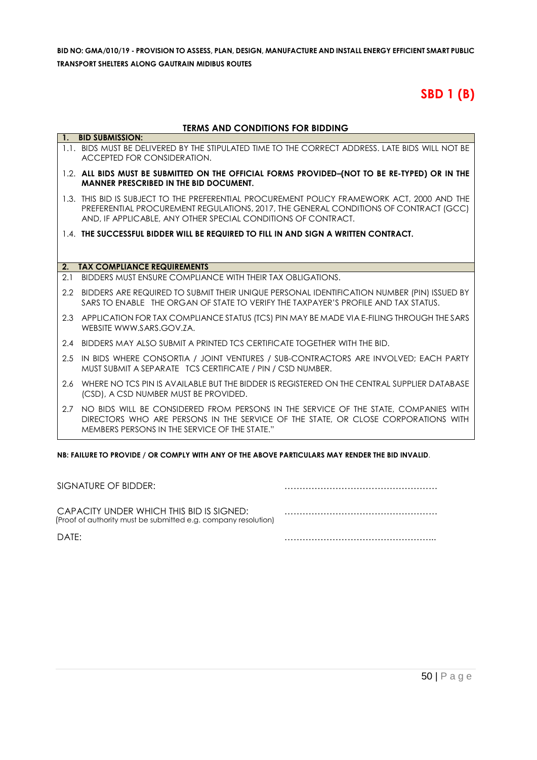# **SBD 1 (B)**

#### **TERMS AND CONDITIONS FOR BIDDING**

|     | 1. BID SUBMISSION:                                                                                                                                                                                                                                   |
|-----|------------------------------------------------------------------------------------------------------------------------------------------------------------------------------------------------------------------------------------------------------|
|     | 1.1. BIDS MUST BE DELIVERED BY THE STIPULATED TIME TO THE CORRECT ADDRESS. LATE BIDS WILL NOT BE<br>ACCEPTED FOR CONSIDERATION.                                                                                                                      |
|     | 1.2. ALL BIDS MUST BE SUBMITTED ON THE OFFICIAL FORMS PROVIDED-(NOT TO BE RE-TYPED) OR IN THE<br><b>MANNER PRESCRIBED IN THE BID DOCUMENT.</b>                                                                                                       |
|     | 1.3. THIS BID IS SUBJECT TO THE PREFERENTIAL PROCUREMENT POLICY FRAMEWORK ACT, 2000 AND THE<br>PREFERENTIAL PROCUREMENT REGULATIONS, 2017, THE GENERAL CONDITIONS OF CONTRACT (GCC)<br>AND, IF APPLICABLE, ANY OTHER SPECIAL CONDITIONS OF CONTRACT. |
|     | 1.4. THE SUCCESSFUL BIDDER WILL BE REQUIRED TO FILL IN AND SIGN A WRITTEN CONTRACT.                                                                                                                                                                  |
|     |                                                                                                                                                                                                                                                      |
| 2.  | <b>TAX COMPLIANCE REQUIREMENTS</b>                                                                                                                                                                                                                   |
| 2.1 | BIDDERS MUST ENSURE COMPLIANCE WITH THEIR TAX OBLIGATIONS.                                                                                                                                                                                           |
|     | 2.2 BIDDERS ARE REQUIRED TO SUBMIT THEIR UNIQUE PERSONAL IDENTIFICATION NUMBER (PIN) ISSUED BY<br>SARS TO ENABLE THE ORGAN OF STATE TO VERIFY THE TAXPAYER'S PROFILE AND TAX STATUS.                                                                 |
|     | 2.3 APPLICATION FOR TAX COMPLIANCE STATUS (TCS) PIN MAY BE MADE VIA E-FILING THROUGH THE SARS<br>WEBSITE WWW.SARS.GOV.ZA.                                                                                                                            |
|     | 2.4 BIDDERS MAY ALSO SUBMIT A PRINTED TCS CERTIFICATE TOGETHER WITH THE BID.                                                                                                                                                                         |
| 2.5 | IN BIDS WHERE CONSORTIA / JOINT VENTURES / SUB-CONTRACTORS ARE INVOLVED; EACH PARTY<br>MUST SUBMIT A SEPARATE TCS CERTIFICATE / PIN / CSD NUMBER.                                                                                                    |
|     | 2.6 WHERE NO TCS PIN IS AVAILABLE BUT THE BIDDER IS REGISTERED ON THE CENTRAL SUPPLIER DATABASE<br>(CSD), A CSD NUMBER MUST BE PROVIDED.                                                                                                             |
|     | 2.7 NO BIDS WILL BE CONSIDERED FROM PERSONS IN THE SERVICE OF THE STATE, COMPANIES WITH<br>DIRECTORS WHO ARE PERSONS IN THE SERVICE OF THE STATE, OR CLOSE CORPORATIONS WITH<br>MEMBERS PERSONS IN THE SERVICE OF THE STATE."                        |

**NB: FAILURE TO PROVIDE / OR COMPLY WITH ANY OF THE ABOVE PARTICULARS MAY RENDER THE BID INVALID**.

| SIGNATURE OF BIDDER:                                                                                       |  |
|------------------------------------------------------------------------------------------------------------|--|
| CAPACITY UNDER WHICH THIS BID IS SIGNED:<br>(Proof of authority must be submitted e.g. company resolution) |  |
| DATF:                                                                                                      |  |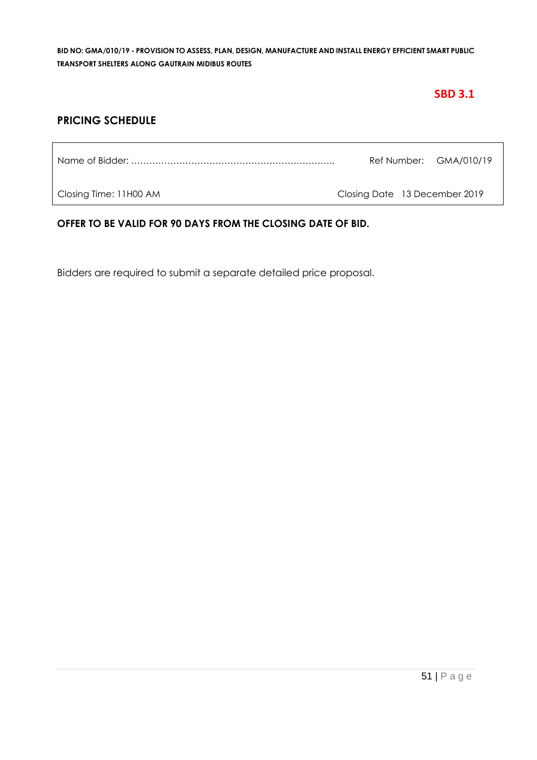# **SBD 3.1**

# **PRICING SCHEDULE**

|  | Ref Number: GMA/010/19 |
|--|------------------------|
|  |                        |

Closing Time: 11H00 AM Closing Date 13 December 2019

#### **OFFER TO BE VALID FOR 90 DAYS FROM THE CLOSING DATE OF BID.**

Bidders are required to submit a separate detailed price proposal.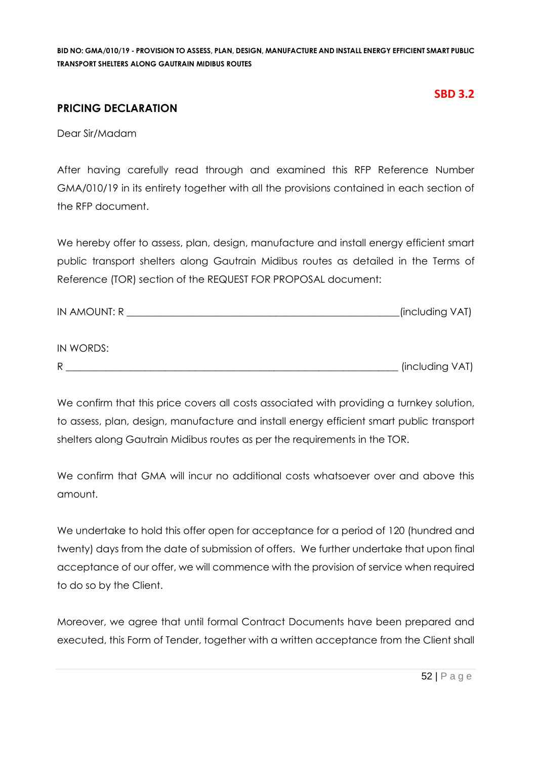### **SBD 3.2**

# **PRICING DECLARATION**

Dear Sir/Madam

After having carefully read through and examined this RFP Reference Number GMA/010/19 in its entirety together with all the provisions contained in each section of the RFP document.

We hereby offer to assess, plan, design, manufacture and install energy efficient smart public transport shelters along Gautrain Midibus routes as detailed in the Terms of Reference (TOR) section of the REQUEST FOR PROPOSAL document:

| IN AMOUNT: R | (including VAT) |
|--------------|-----------------|
|--------------|-----------------|

| IN WORDS: |                 |
|-----------|-----------------|
| R         | (including VAT) |

We confirm that this price covers all costs associated with providing a turnkey solution, to assess, plan, design, manufacture and install energy efficient smart public transport shelters along Gautrain Midibus routes as per the requirements in the TOR.

We confirm that GMA will incur no additional costs whatsoever over and above this amount.

We undertake to hold this offer open for acceptance for a period of 120 (hundred and twenty) days from the date of submission of offers. We further undertake that upon final acceptance of our offer, we will commence with the provision of service when required to do so by the Client.

Moreover, we agree that until formal Contract Documents have been prepared and executed, this Form of Tender, together with a written acceptance from the Client shall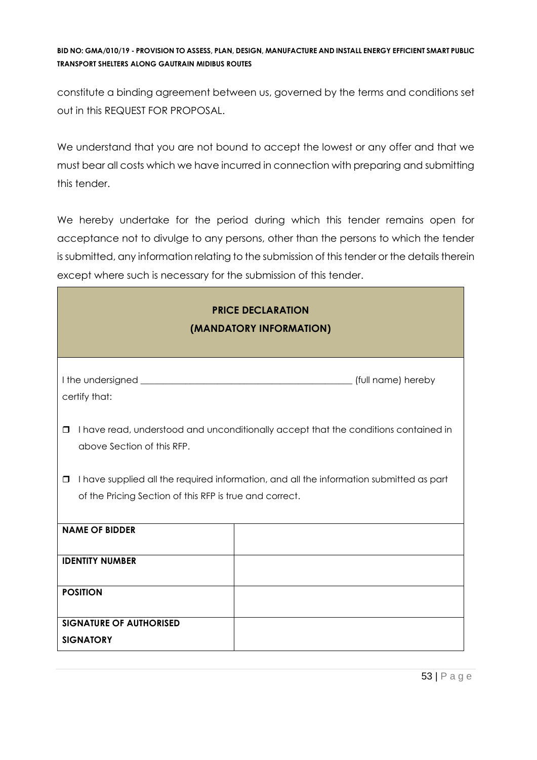constitute a binding agreement between us, governed by the terms and conditions set out in this REQUEST FOR PROPOSAL.

We understand that you are not bound to accept the lowest or any offer and that we must bear all costs which we have incurred in connection with preparing and submitting this tender.

We hereby undertake for the period during which this tender remains open for acceptance not to divulge to any persons, other than the persons to which the tender is submitted, any information relating to the submission of this tender or the details therein except where such is necessary for the submission of this tender.

| <b>PRICE DECLARATION</b><br>(MANDATORY INFORMATION)                                                                                                          |  |  |  |
|--------------------------------------------------------------------------------------------------------------------------------------------------------------|--|--|--|
| certify that:                                                                                                                                                |  |  |  |
| I have read, understood and unconditionally accept that the conditions contained in<br>$\Box$<br>above Section of this RFP.                                  |  |  |  |
| I have supplied all the required information, and all the information submitted as part<br>$\Box$<br>of the Pricing Section of this RFP is true and correct. |  |  |  |
| <b>NAME OF BIDDER</b>                                                                                                                                        |  |  |  |
| <b>IDENTITY NUMBER</b>                                                                                                                                       |  |  |  |
| <b>POSITION</b>                                                                                                                                              |  |  |  |
| <b>SIGNATURE OF AUTHORISED</b><br><b>SIGNATORY</b>                                                                                                           |  |  |  |

٦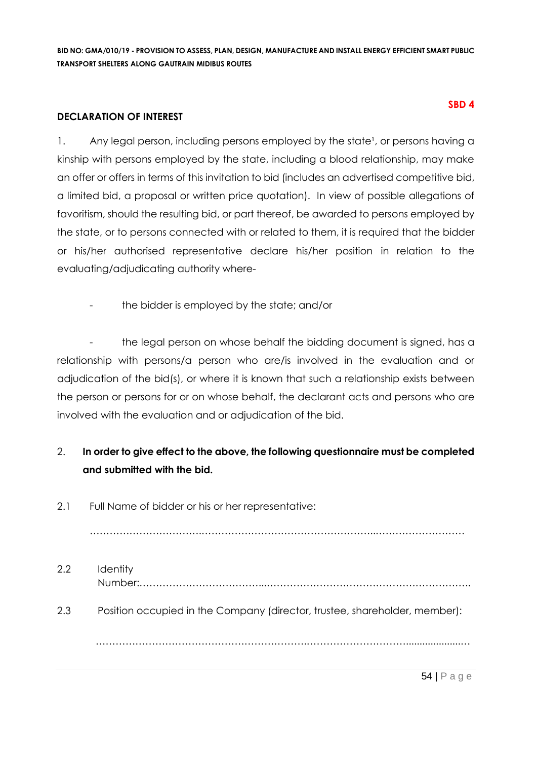#### **DECLARATION OF INTEREST**

1. Any legal person, including persons employed by the state<sup>1</sup>, or persons having a kinship with persons employed by the state, including a blood relationship, may make an offer or offers in terms of this invitation to bid (includes an advertised competitive bid, a limited bid, a proposal or written price quotation). In view of possible allegations of favoritism, should the resulting bid, or part thereof, be awarded to persons employed by the state, or to persons connected with or related to them, it is required that the bidder or his/her authorised representative declare his/her position in relation to the evaluating/adjudicating authority where-

the bidder is employed by the state; and/or

the legal person on whose behalf the bidding document is signed, has a relationship with persons/a person who are/is involved in the evaluation and or adjudication of the bid(s), or where it is known that such a relationship exists between the person or persons for or on whose behalf, the declarant acts and persons who are involved with the evaluation and or adjudication of the bid.

# 2. **In order to give effect to the above, the following questionnaire must be completed and submitted with the bid.**

2.1 Full Name of bidder or his or her representative:

…………………………….……………………………………………..………………………

2.2 Identity Number:………………………………...…………………………………………………….. 2.3 Position occupied in the Company (director, trustee, shareholder, member): ……………………………………………………….…………………………....................…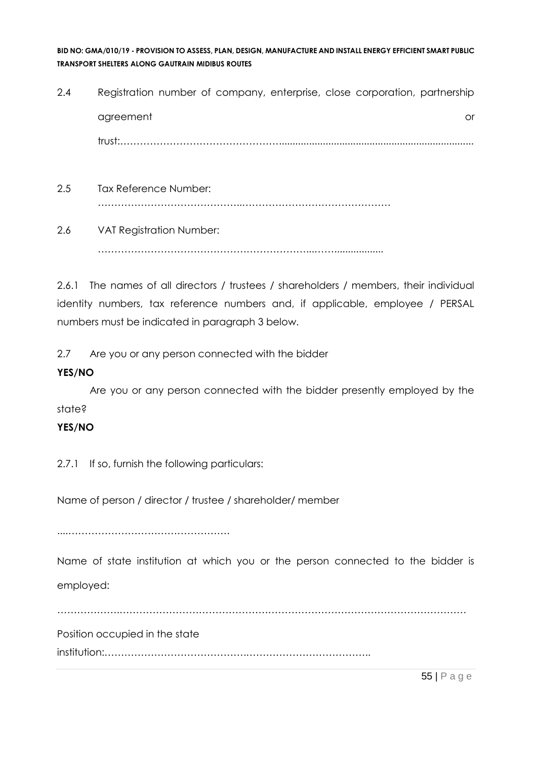- 2.4 Registration number of company, enterprise, close corporation, partnership agreement or and a structure or an analysis of the structure or an analysis of the structure or or  $\alpha$ trust:…………………………………………....................................................................... 2.5 Tax Reference Number:
- 2.6 VAT Registration Number: ………………………………………………………...……..................

……………………………………..………………………………………

2.6.1 The names of all directors / trustees / shareholders / members, their individual identity numbers, tax reference numbers and, if applicable, employee / PERSAL numbers must be indicated in paragraph 3 below.

2.7 Are you or any person connected with the bidder

### **YES/NO**

Are you or any person connected with the bidder presently employed by the state?

# **YES/NO**

2.7.1 If so, furnish the following particulars:

Name of person / director / trustee / shareholder/ member

....………………………………………….

Name of state institution at which you or the person connected to the bidder is employed:

……………….……………………………………………………………………………………………

Position occupied in the state

institution:…………………………………….………………………………..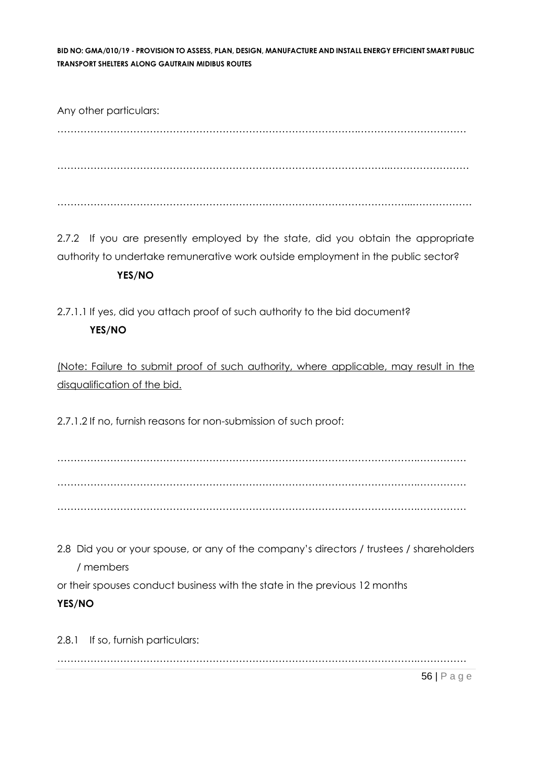Any other particulars: ……………………………………………………………………………….…………………………… ………………………………………………………………………………………..…………………… ……………………………………………………………………………………………...………………

2.7.2 If you are presently employed by the state, did you obtain the appropriate authority to undertake remunerative work outside employment in the public sector?

### **YES/NO**

2.7.1.1 If yes, did you attach proof of such authority to the bid document? **YES/NO**

(Note: Failure to submit proof of such authority, where applicable, may result in the disqualification of the bid.

2.7.1.2 If no, furnish reasons for non-submission of such proof:

……………………………………………………………………………………………….…………… ……………………………………………………………………………………………….…………… ……………………………………………………………………………………………….……………

2.8 Did you or your spouse, or any of the company's directors / trustees / shareholders / members

or their spouses conduct business with the state in the previous 12 months

# **YES/NO**

2.8.1 If so, furnish particulars: ……………………………………………………………………………………………….……………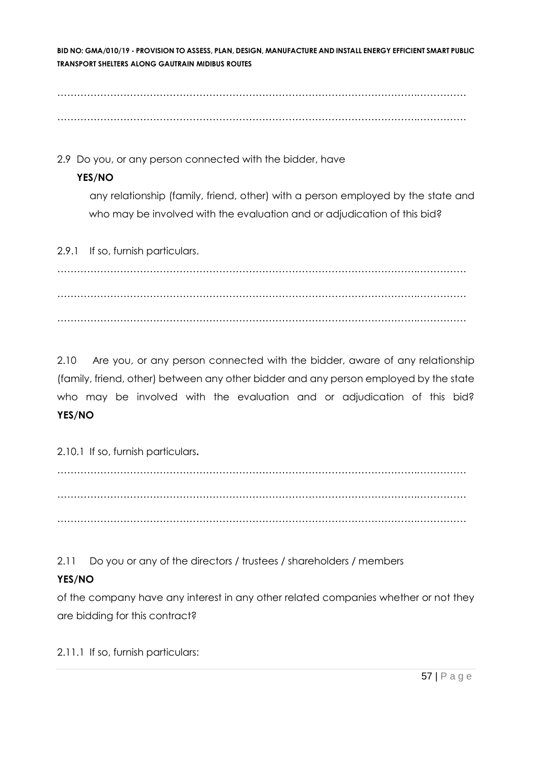……………………………………………………………………………………………….…………… ……………………………………………………………………………………………….……………

2.9 Do you, or any person connected with the bidder, have

# **YES/NO**

any relationship (family, friend, other) with a person employed by the state and who may be involved with the evaluation and or adjudication of this bid?

2.9.1 If so, furnish particulars.

……………………………………………………………………………………………….…………… ……………………………………………………………………………………………….…………… ……………………………………………………………………………………………….……………

2.10 Are you, or any person connected with the bidder, aware of any relationship (family, friend, other) between any other bidder and any person employed by the state who may be involved with the evaluation and or adjudication of this bid? **YES/NO**

2.10.1 If so, furnish particulars**.**

……………………………………………………………………………………………….…………… ……………………………………………………………………………………………….…………… ……………………………………………………………………………………………….……………

2.11 Do you or any of the directors / trustees / shareholders / members

# **YES/NO**

of the company have any interest in any other related companies whether or not they are bidding for this contract?

2.11.1 If so, furnish particulars: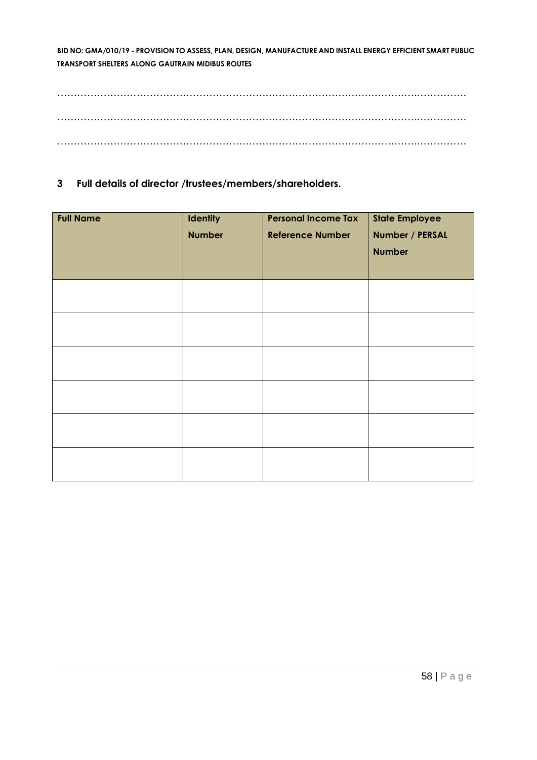……………………………………………………………………………………………….…………… ……………………………………………………………………………………………….…………… ……………………………………………………………………………………………….……………

**3 Full details of director /trustees/members/shareholders.**

| <b>Full Name</b> | <b>Identity</b><br><b>Number</b> | <b>Personal Income Tax</b><br><b>Reference Number</b> | <b>State Employee</b><br>Number / PERSAL<br><b>Number</b> |
|------------------|----------------------------------|-------------------------------------------------------|-----------------------------------------------------------|
|                  |                                  |                                                       |                                                           |
|                  |                                  |                                                       |                                                           |
|                  |                                  |                                                       |                                                           |
|                  |                                  |                                                       |                                                           |
|                  |                                  |                                                       |                                                           |
|                  |                                  |                                                       |                                                           |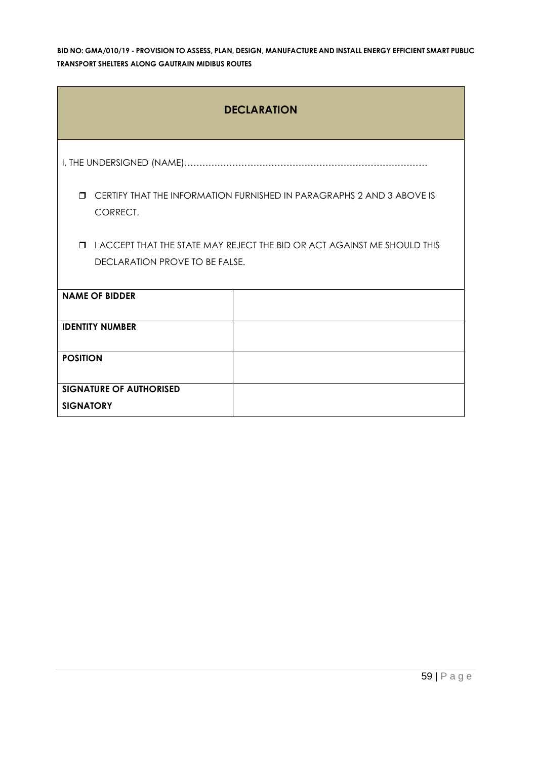| <b>DECLARATION</b>                                                                          |                                                                          |  |  |  |  |
|---------------------------------------------------------------------------------------------|--------------------------------------------------------------------------|--|--|--|--|
|                                                                                             |                                                                          |  |  |  |  |
| CERTIFY THAT THE INFORMATION FURNISHED IN PARAGRAPHS 2 AND 3 ABOVE IS<br>$\Box$<br>CORRECT. |                                                                          |  |  |  |  |
| $\Box$                                                                                      | I ACCEPT THAT THE STATE MAY REJECT THE BID OR ACT AGAINST ME SHOULD THIS |  |  |  |  |
| DECLARATION PROVE TO BE FALSE.                                                              |                                                                          |  |  |  |  |
| <b>NAME OF BIDDER</b>                                                                       |                                                                          |  |  |  |  |
| <b>IDENTITY NUMBER</b>                                                                      |                                                                          |  |  |  |  |
| <b>POSITION</b>                                                                             |                                                                          |  |  |  |  |
| <b>SIGNATURE OF AUTHORISED</b>                                                              |                                                                          |  |  |  |  |
| <b>SIGNATORY</b>                                                                            |                                                                          |  |  |  |  |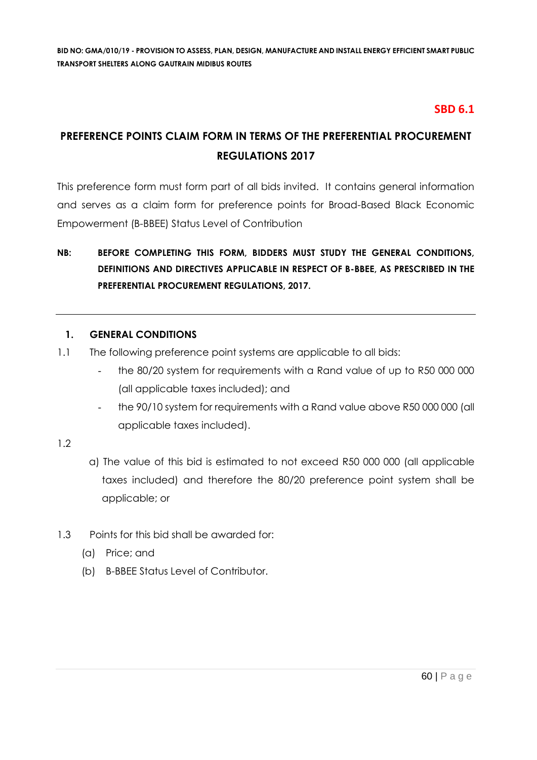# **SBD 6.1**

# **PREFERENCE POINTS CLAIM FORM IN TERMS OF THE PREFERENTIAL PROCUREMENT REGULATIONS 2017**

This preference form must form part of all bids invited. It contains general information and serves as a claim form for preference points for Broad-Based Black Economic Empowerment (B-BBEE) Status Level of Contribution

# **NB: BEFORE COMPLETING THIS FORM, BIDDERS MUST STUDY THE GENERAL CONDITIONS, DEFINITIONS AND DIRECTIVES APPLICABLE IN RESPECT OF B-BBEE, AS PRESCRIBED IN THE PREFERENTIAL PROCUREMENT REGULATIONS, 2017.**

### **1. GENERAL CONDITIONS**

- 1.1 The following preference point systems are applicable to all bids:
	- the 80/20 system for requirements with a Rand value of up to R50 000 000 (all applicable taxes included); and
	- the 90/10 system for requirements with a Rand value above R50 000 000 (all applicable taxes included).

#### 1.2

- a) The value of this bid is estimated to not exceed R50 000 000 (all applicable taxes included) and therefore the 80/20 preference point system shall be applicable; or
- 1.3 Points for this bid shall be awarded for:
	- (a) Price; and
	- (b) B-BBEE Status Level of Contributor.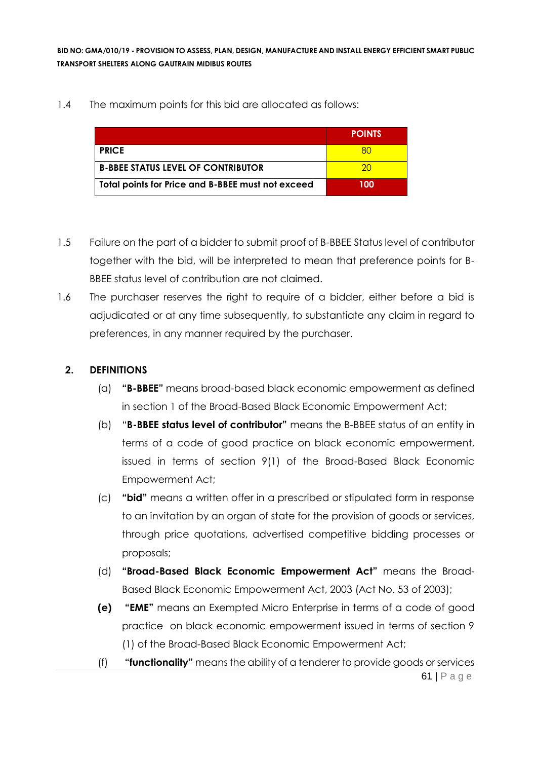1.4 The maximum points for this bid are allocated as follows:

|                                                   | <b>POINTS</b> |
|---------------------------------------------------|---------------|
| <b>PRICE</b>                                      |               |
| <b>B-BBEE STATUS LEVEL OF CONTRIBUTOR</b>         | 20            |
| Total points for Price and B-BBEE must not exceed | 100           |

- 1.5 Failure on the part of a bidder to submit proof of B-BBEE Status level of contributor together with the bid, will be interpreted to mean that preference points for B-BBEE status level of contribution are not claimed.
- 1.6 The purchaser reserves the right to require of a bidder, either before a bid is adjudicated or at any time subsequently, to substantiate any claim in regard to preferences, in any manner required by the purchaser.

### **2. DEFINITIONS**

- (a) **"B-BBEE"** means broad-based black economic empowerment as defined in section 1 of the Broad-Based Black Economic Empowerment Act;
- (b) "**B-BBEE status level of contributor"** means the B-BBEE status of an entity in terms of a code of good practice on black economic empowerment, issued in terms of section 9(1) of the Broad-Based Black Economic Empowerment Act;
- (c) **"bid"** means a written offer in a prescribed or stipulated form in response to an invitation by an organ of state for the provision of goods or services, through price quotations, advertised competitive bidding processes or proposals;
- (d) **"Broad-Based Black Economic Empowerment Act"** means the Broad-Based Black Economic Empowerment Act, 2003 (Act No. 53 of 2003);
- **(e) "EME"** means an Exempted Micro Enterprise in terms of a code of good practice on black economic empowerment issued in terms of section 9 (1) of the Broad-Based Black Economic Empowerment Act;
- 61 | P a g e (f) **"functionality"** means the ability of a tenderer to provide goods or services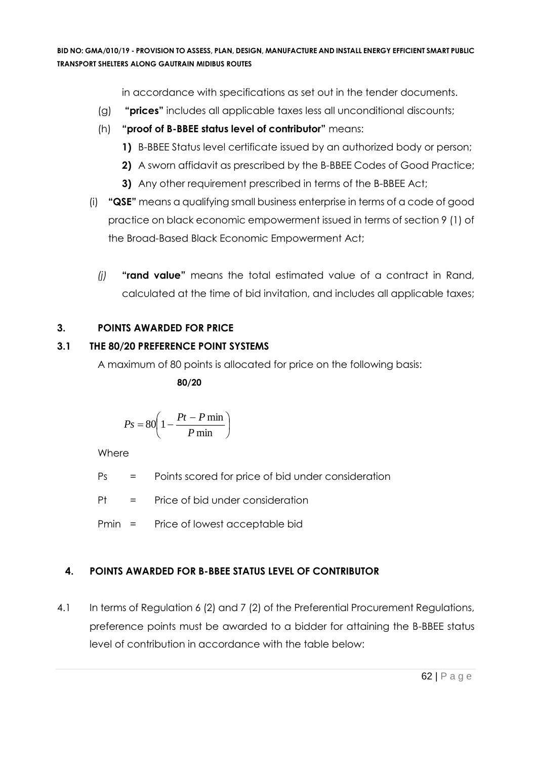in accordance with specifications as set out in the tender documents.

- (g) **"prices"** includes all applicable taxes less all unconditional discounts;
- (h) **"proof of B-BBEE status level of contributor"** means:
	- **1)** B-BBEE Status level certificate issued by an authorized body or person;
	- **2)** A sworn affidavit as prescribed by the B-BBEE Codes of Good Practice;
	- **3)** Any other requirement prescribed in terms of the B-BBEE Act;
- (i) **"QSE"** means a qualifying small business enterprise in terms of a code of good practice on black economic empowerment issued in terms of section 9 (1) of the Broad-Based Black Economic Empowerment Act;
	- *(j)* **"rand value"** means the total estimated value of a contract in Rand, calculated at the time of bid invitation, and includes all applicable taxes;

# **3. POINTS AWARDED FOR PRICE**

# **3.1 THE 80/20 PREFERENCE POINT SYSTEMS**

A maximum of 80 points is allocated for price on the following basis:

 **80/20**

$$
Ps = 80 \left( 1 - \frac{Pt - P \min}{P \min} \right)
$$

Where

Ps = Points scored for price of bid under consideration

Pt = Price of bid under consideration

Pmin = Price of lowest acceptable bid

# **4. POINTS AWARDED FOR B-BBEE STATUS LEVEL OF CONTRIBUTOR**

4.1 In terms of Regulation 6 (2) and 7 (2) of the Preferential Procurement Regulations, preference points must be awarded to a bidder for attaining the B-BBEE status level of contribution in accordance with the table below: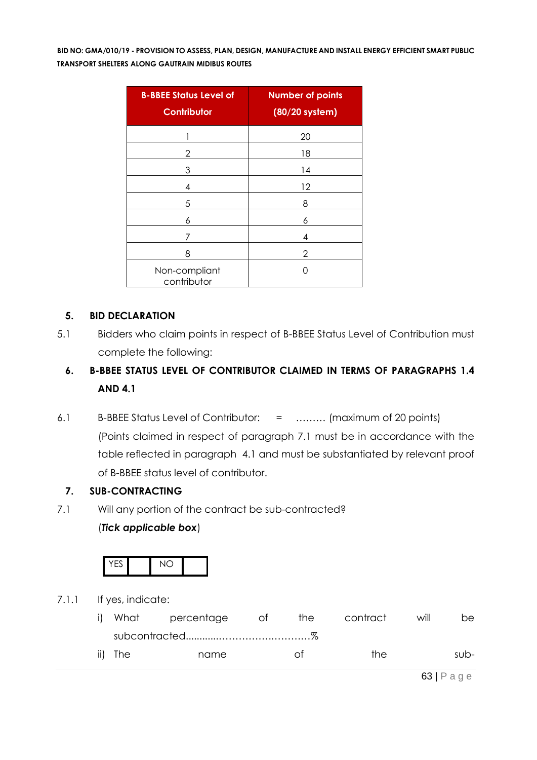| <b>B-BBEE Status Level of</b><br><b>Contributor</b> | <b>Number of points</b><br>(80/20 system) |
|-----------------------------------------------------|-------------------------------------------|
|                                                     | 20                                        |
| 2                                                   | 18                                        |
| 3                                                   | 14                                        |
| 4                                                   | 12                                        |
| 5                                                   | 8                                         |
| 6                                                   | 6                                         |
| 7                                                   | 4                                         |
| 8                                                   | 2                                         |
| Non-compliant<br>contributor                        | ( )                                       |

### **5. BID DECLARATION**

5.1 Bidders who claim points in respect of B-BBEE Status Level of Contribution must complete the following:

# **6. B-BBEE STATUS LEVEL OF CONTRIBUTOR CLAIMED IN TERMS OF PARAGRAPHS 1.4 AND 4.1**

6.1 B-BBEE Status Level of Contributor: = ……… (maximum of 20 points) (Points claimed in respect of paragraph 7.1 must be in accordance with the table reflected in paragraph 4.1 and must be substantiated by relevant proof of B-BBEE status level of contributor.

#### **7. SUB-CONTRACTING**

7.1 Will any portion of the contract be sub-contracted?

#### (*Tick applicable box*)



7.1.1 If yes, indicate:

|         | What percentage | ot of | the | contract | will | be.    |
|---------|-----------------|-------|-----|----------|------|--------|
|         |                 |       |     |          |      |        |
| ii) The | name            |       | Ωt  | the      |      | $sub-$ |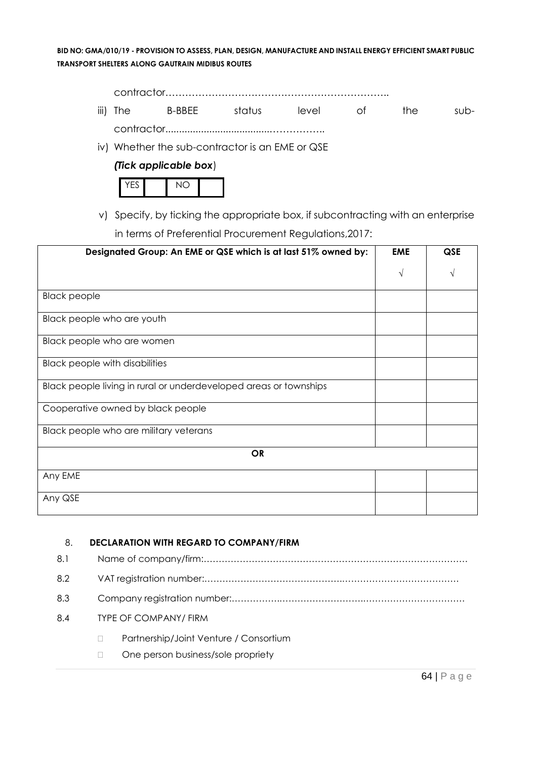contractor………………………………………………………….. iii) The B-BBEE status level of the subcontractor......................................……………..

iv) Whether the sub-contractor is an EME or QSE

#### *(Tick applicable box*)



v) Specify, by ticking the appropriate box, if subcontracting with an enterprise in terms of Preferential Procurement Regulations,2017:

| Designated Group: An EME or QSE which is at last 51% owned by:    |            | <b>QSE</b> |  |
|-------------------------------------------------------------------|------------|------------|--|
|                                                                   | $\sqrt{ }$ | V          |  |
| <b>Black people</b>                                               |            |            |  |
| Black people who are youth                                        |            |            |  |
| Black people who are women                                        |            |            |  |
| <b>Black people with disabilities</b>                             |            |            |  |
| Black people living in rural or underdeveloped areas or townships |            |            |  |
| Cooperative owned by black people                                 |            |            |  |
| Black people who are military veterans                            |            |            |  |
| <b>OR</b>                                                         |            |            |  |
| Any EME                                                           |            |            |  |
| Any QSE                                                           |            |            |  |

#### 8. **DECLARATION WITH REGARD TO COMPANY/FIRM**

| 8.1 |  |                                        |  |
|-----|--|----------------------------------------|--|
| 8.2 |  |                                        |  |
| 8.3 |  |                                        |  |
| 8.4 |  | <b>TYPE OF COMPANY/ FIRM</b>           |  |
|     |  | Partnership/Joint Venture / Consortium |  |
|     |  | One person business/sole propriety     |  |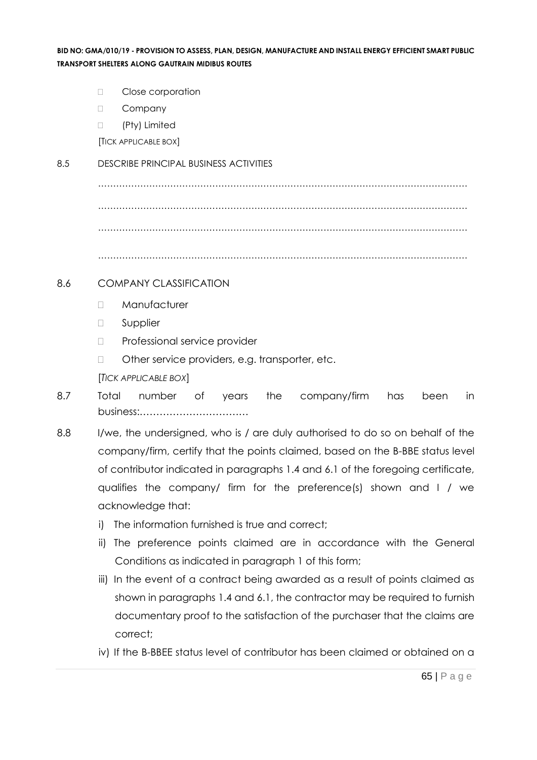- D Close corporation
- D Company
- □ (Pty) Limited

[TICK APPLICABLE BOX]

#### 8.5 DESCRIBE PRINCIPAL BUSINESS ACTIVITIES

…………………………………………………………………………………………………………… …………………………………………………………………………………………………………… ……………………………………………………………………………………………………………

……………………………………………………………………………………………………………

#### 8.6 COMPANY CLASSIFICATION

- Manufacturer
- **D** Supplier
- D Professional service provider
- □ Other service providers, e.g. transporter, etc.

[*TICK APPLICABLE BOX*]

- 8.7 Total number of years the company/firm has been in business:……………………………
- 8.8 I/we, the undersigned, who is / are duly authorised to do so on behalf of the company/firm, certify that the points claimed, based on the B-BBE status level of contributor indicated in paragraphs 1.4 and 6.1 of the foregoing certificate, qualifies the company/ firm for the preference(s) shown and I / we acknowledge that:
	- i) The information furnished is true and correct;
	- ii) The preference points claimed are in accordance with the General Conditions as indicated in paragraph 1 of this form;
	- iii) In the event of a contract being awarded as a result of points claimed as shown in paragraphs 1.4 and 6.1, the contractor may be required to furnish documentary proof to the satisfaction of the purchaser that the claims are correct;
	- iv) If the B-BBEE status level of contributor has been claimed or obtained on a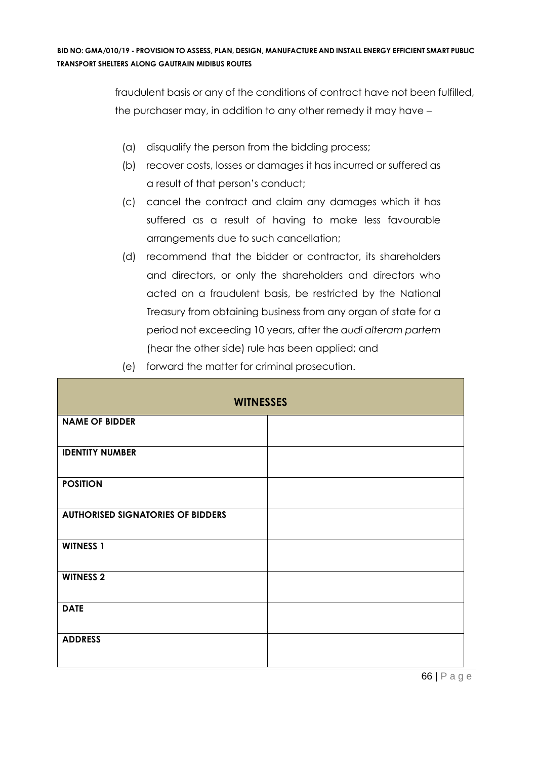fraudulent basis or any of the conditions of contract have not been fulfilled, the purchaser may, in addition to any other remedy it may have –

- (a) disqualify the person from the bidding process;
- (b) recover costs, losses or damages it has incurred or suffered as a result of that person's conduct;
- (c) cancel the contract and claim any damages which it has suffered as a result of having to make less favourable arrangements due to such cancellation;
- (d) recommend that the bidder or contractor, its shareholders and directors, or only the shareholders and directors who acted on a fraudulent basis, be restricted by the National Treasury from obtaining business from any organ of state for a period not exceeding 10 years, after the *audi alteram partem* (hear the other side) rule has been applied; and
- (e) forward the matter for criminal prosecution.

| <b>WITNESSES</b>                         |  |  |  |  |
|------------------------------------------|--|--|--|--|
| <b>NAME OF BIDDER</b>                    |  |  |  |  |
| <b>IDENTITY NUMBER</b>                   |  |  |  |  |
| <b>POSITION</b>                          |  |  |  |  |
| <b>AUTHORISED SIGNATORIES OF BIDDERS</b> |  |  |  |  |
| <b>WITNESS 1</b>                         |  |  |  |  |
| <b>WITNESS 2</b>                         |  |  |  |  |
| <b>DATE</b>                              |  |  |  |  |
| <b>ADDRESS</b>                           |  |  |  |  |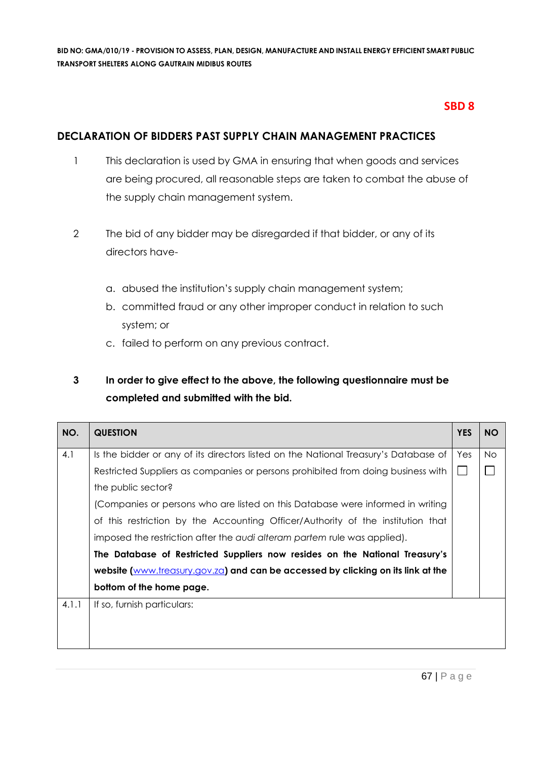# **SBD 8**

# **DECLARATION OF BIDDERS PAST SUPPLY CHAIN MANAGEMENT PRACTICES**

- 1 This declaration is used by GMA in ensuring that when goods and services are being procured, all reasonable steps are taken to combat the abuse of the supply chain management system.
- 2 The bid of any bidder may be disregarded if that bidder, or any of its directors have
	- a. abused the institution's supply chain management system;
	- b. committed fraud or any other improper conduct in relation to such system; or
	- c. failed to perform on any previous contract.

# **3 In order to give effect to the above, the following questionnaire must be completed and submitted with the bid.**

| NO.   | <b>QUESTION</b>                                                                     | <b>YES</b> | <b>NO</b> |
|-------|-------------------------------------------------------------------------------------|------------|-----------|
| 4.1   | Is the bidder or any of its directors listed on the National Treasury's Database of | Yes        | No.       |
|       | Restricted Suppliers as companies or persons prohibited from doing business with    |            |           |
|       | the public sector?                                                                  |            |           |
|       | (Companies or persons who are listed on this Database were informed in writing      |            |           |
|       | of this restriction by the Accounting Officer/Authority of the institution that     |            |           |
|       | imposed the restriction after the audi alteram partem rule was applied).            |            |           |
|       | The Database of Restricted Suppliers now resides on the National Treasury's         |            |           |
|       | website (www.treasury.gov.za) and can be accessed by clicking on its link at the    |            |           |
|       | bottom of the home page.                                                            |            |           |
| 4.1.1 | If so, furnish particulars:                                                         |            |           |
|       |                                                                                     |            |           |
|       |                                                                                     |            |           |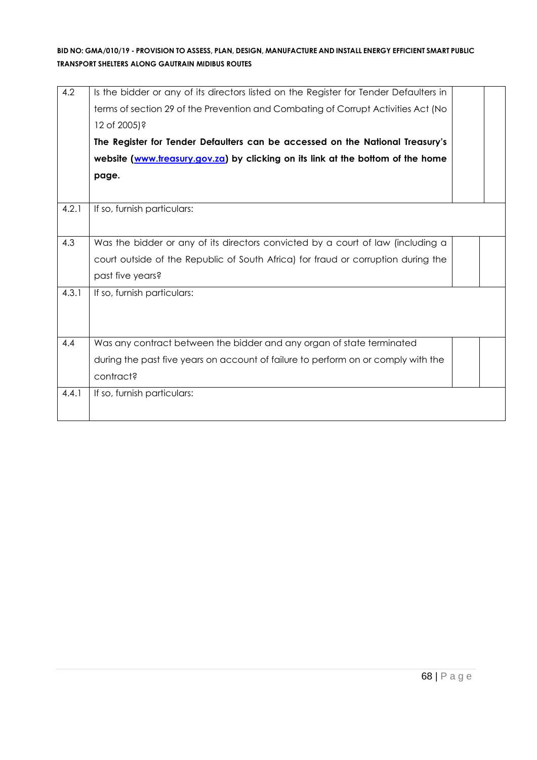| 4.2   | Is the bidder or any of its directors listed on the Register for Tender Defaulters in<br>terms of section 29 of the Prevention and Combating of Corrupt Activities Act (No<br>12 of 2005)?<br>The Register for Tender Defaulters can be accessed on the National Treasury's<br>website (www.treasury.gov.za) by clicking on its link at the bottom of the home<br>page. |  |
|-------|-------------------------------------------------------------------------------------------------------------------------------------------------------------------------------------------------------------------------------------------------------------------------------------------------------------------------------------------------------------------------|--|
| 4.2.1 | If so, furnish particulars:                                                                                                                                                                                                                                                                                                                                             |  |
| 4.3   | Was the bidder or any of its directors convicted by a court of law (including a<br>court outside of the Republic of South Africa) for fraud or corruption during the<br>past five years?                                                                                                                                                                                |  |
| 4.3.1 | If so, furnish particulars:                                                                                                                                                                                                                                                                                                                                             |  |
| 4.4   | Was any contract between the bidder and any organ of state terminated<br>during the past five years on account of failure to perform on or comply with the<br>contract?                                                                                                                                                                                                 |  |
| 4.4.1 | If so, furnish particulars:                                                                                                                                                                                                                                                                                                                                             |  |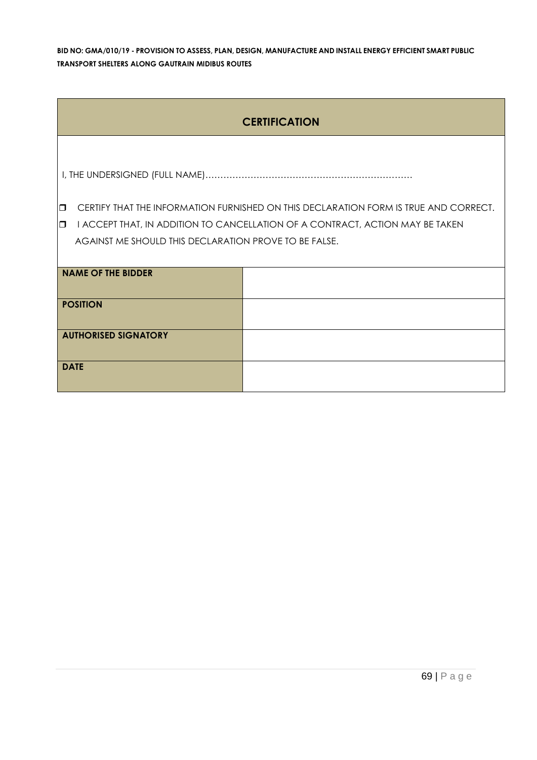| <b>CERTIFICATION</b>                                  |                                                                                      |  |  |  |
|-------------------------------------------------------|--------------------------------------------------------------------------------------|--|--|--|
|                                                       |                                                                                      |  |  |  |
|                                                       |                                                                                      |  |  |  |
| $\Box$                                                | CERTIFY THAT THE INFORMATION FURNISHED ON THIS DECLARATION FORM IS TRUE AND CORRECT. |  |  |  |
| $\Box$                                                | I ACCEPT THAT, IN ADDITION TO CANCELLATION OF A CONTRACT, ACTION MAY BE TAKEN        |  |  |  |
| AGAINST ME SHOULD THIS DECLARATION PROVE TO BE FALSE. |                                                                                      |  |  |  |
|                                                       |                                                                                      |  |  |  |
| <b>NAME OF THE BIDDER</b>                             |                                                                                      |  |  |  |
|                                                       |                                                                                      |  |  |  |
| <b>POSITION</b>                                       |                                                                                      |  |  |  |
|                                                       |                                                                                      |  |  |  |
| <b>AUTHORISED SIGNATORY</b>                           |                                                                                      |  |  |  |
|                                                       |                                                                                      |  |  |  |
| <b>DATE</b>                                           |                                                                                      |  |  |  |
|                                                       |                                                                                      |  |  |  |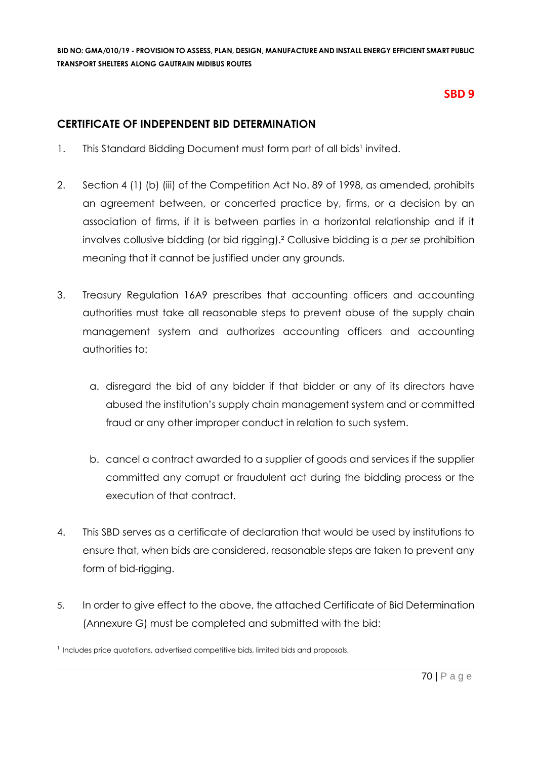# **SBD 9**

### **CERTIFICATE OF INDEPENDENT BID DETERMINATION**

- 1. This Standard Bidding Document must form part of all bids<sup>1</sup> invited.
- 2. Section 4 (1) (b) (iii) of the Competition Act No. 89 of 1998, as amended, prohibits an agreement between, or concerted practice by, firms, or a decision by an association of firms, if it is between parties in a horizontal relationship and if it involves collusive bidding (or bid rigging).² Collusive bidding is a *per se* prohibition meaning that it cannot be justified under any grounds.
- 3. Treasury Regulation 16A9 prescribes that accounting officers and accounting authorities must take all reasonable steps to prevent abuse of the supply chain management system and authorizes accounting officers and accounting authorities to:
	- a. disregard the bid of any bidder if that bidder or any of its directors have abused the institution's supply chain management system and or committed fraud or any other improper conduct in relation to such system.
	- b. cancel a contract awarded to a supplier of goods and services if the supplier committed any corrupt or fraudulent act during the bidding process or the execution of that contract.
- 4. This SBD serves as a certificate of declaration that would be used by institutions to ensure that, when bids are considered, reasonable steps are taken to prevent any form of bid-rigging.
- 5. In order to give effect to the above, the attached Certificate of Bid Determination (Annexure G) must be completed and submitted with the bid:

<sup>&</sup>lt;sup>1</sup> Includes price quotations, advertised competitive bids, limited bids and proposals.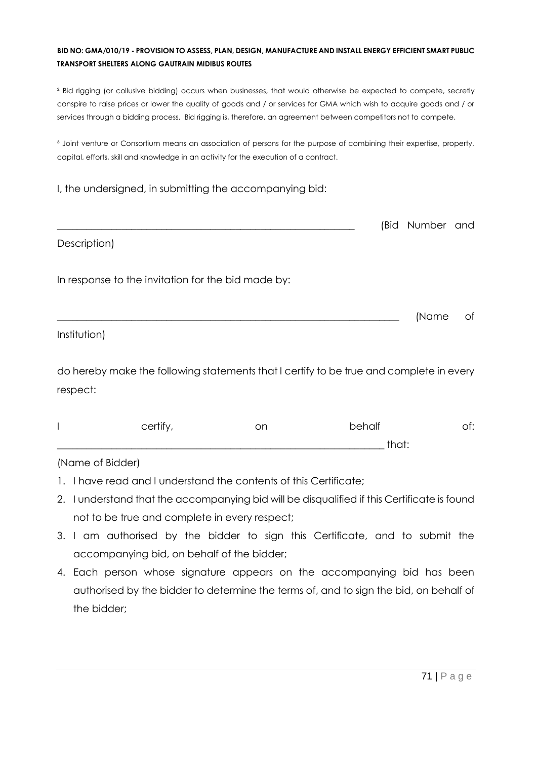² Bid rigging (or collusive bidding) occurs when businesses, that would otherwise be expected to compete, secretly conspire to raise prices or lower the quality of goods and / or services for GMA which wish to acquire goods and / or services through a bidding process. Bid rigging is, therefore, an agreement between competitors not to compete.

<sup>3</sup> Joint venture or Consortium means an association of persons for the purpose of combining their expertise, property, capital, efforts, skill and knowledge in an activity for the execution of a contract.

#### I, the undersigned, in submitting the accompanying bid:

|                                                    | (Bid Number and |    |
|----------------------------------------------------|-----------------|----|
| Description)                                       |                 |    |
| In response to the invitation for the bid made by: |                 |    |
|                                                    | (Name           | of |
| Institution)                                       |                 |    |

do hereby make the following statements that I certify to be true and complete in every respect:

| certify | on | behalf   | .<br>◡. |
|---------|----|----------|---------|
|         |    | +∽∼+<br> |         |

#### (Name of Bidder)

- 1. I have read and I understand the contents of this Certificate;
- 2. I understand that the accompanying bid will be disqualified if this Certificate is found not to be true and complete in every respect;
- 3. I am authorised by the bidder to sign this Certificate, and to submit the accompanying bid, on behalf of the bidder;
- 4. Each person whose signature appears on the accompanying bid has been authorised by the bidder to determine the terms of, and to sign the bid, on behalf of the bidder;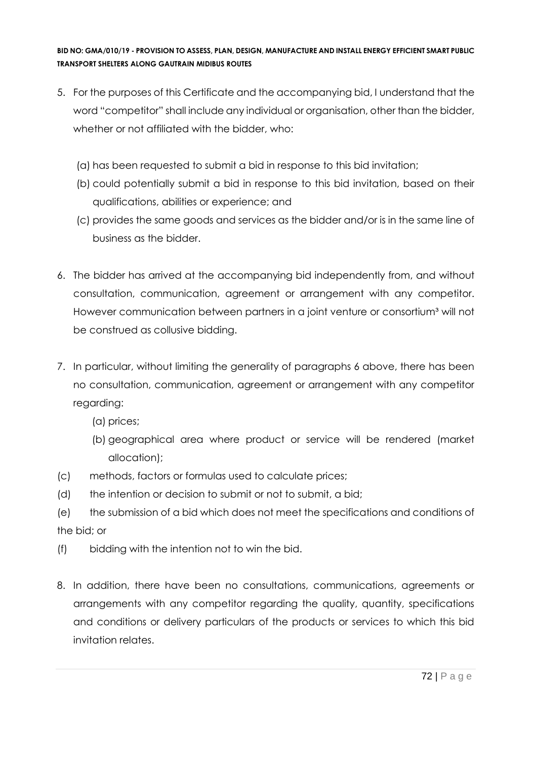- 5. For the purposes of this Certificate and the accompanying bid, I understand that the word "competitor" shall include any individual or organisation, other than the bidder, whether or not affiliated with the bidder, who:
	- (a) has been requested to submit a bid in response to this bid invitation;
	- (b) could potentially submit a bid in response to this bid invitation, based on their qualifications, abilities or experience; and
	- (c) provides the same goods and services as the bidder and/or is in the same line of business as the bidder.
- 6. The bidder has arrived at the accompanying bid independently from, and without consultation, communication, agreement or arrangement with any competitor. However communication between partners in a joint venture or consortium<sup>3</sup> will not be construed as collusive bidding.
- 7. In particular, without limiting the generality of paragraphs 6 above, there has been no consultation, communication, agreement or arrangement with any competitor regarding:
	- (a) prices;
	- (b) geographical area where product or service will be rendered (market allocation);
- (c) methods, factors or formulas used to calculate prices;
- (d) the intention or decision to submit or not to submit, a bid;
- (e) the submission of a bid which does not meet the specifications and conditions of the bid; or
- (f) bidding with the intention not to win the bid.
- 8. In addition, there have been no consultations, communications, agreements or arrangements with any competitor regarding the quality, quantity, specifications and conditions or delivery particulars of the products or services to which this bid invitation relates.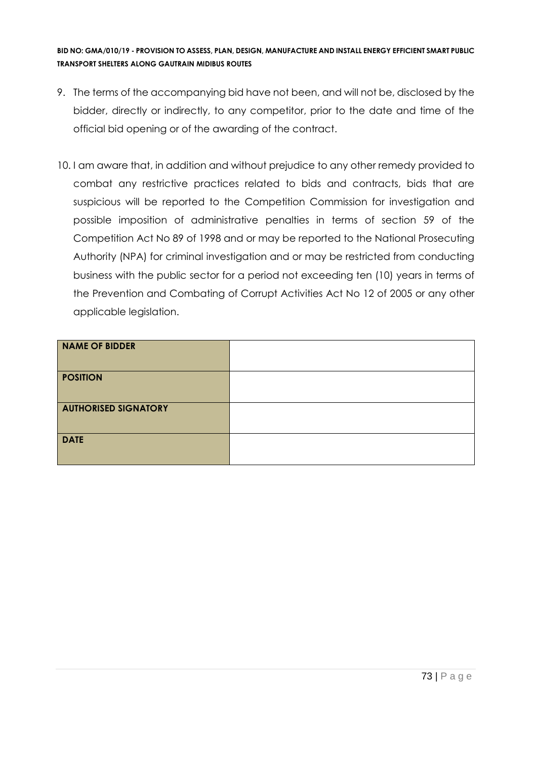- 9. The terms of the accompanying bid have not been, and will not be, disclosed by the bidder, directly or indirectly, to any competitor, prior to the date and time of the official bid opening or of the awarding of the contract.
- 10. I am aware that, in addition and without prejudice to any other remedy provided to combat any restrictive practices related to bids and contracts, bids that are suspicious will be reported to the Competition Commission for investigation and possible imposition of administrative penalties in terms of section 59 of the Competition Act No 89 of 1998 and or may be reported to the National Prosecuting Authority (NPA) for criminal investigation and or may be restricted from conducting business with the public sector for a period not exceeding ten (10) years in terms of the Prevention and Combating of Corrupt Activities Act No 12 of 2005 or any other applicable legislation.

| <b>NAME OF BIDDER</b>       |  |
|-----------------------------|--|
| <b>POSITION</b>             |  |
| <b>AUTHORISED SIGNATORY</b> |  |
| <b>DATE</b>                 |  |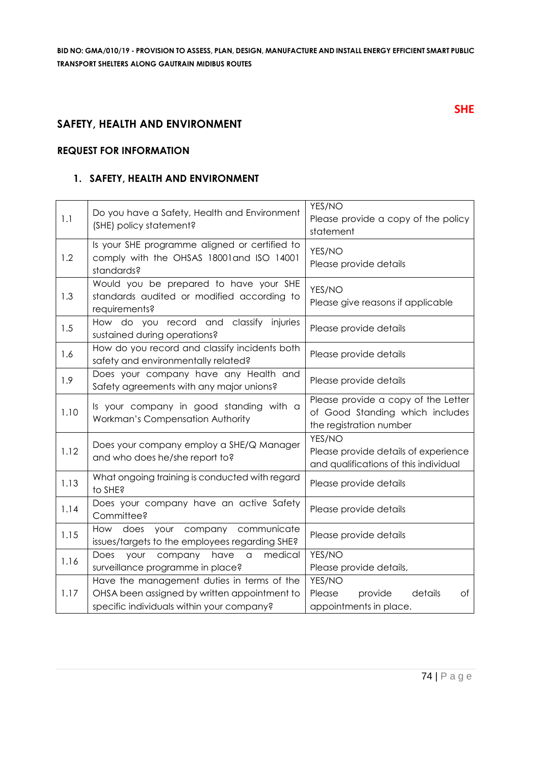# **SAFETY, HEALTH AND ENVIRONMENT**

#### **REQUEST FOR INFORMATION**

#### **1. SAFETY, HEALTH AND ENVIRONMENT**

| 1.1  | Do you have a Safety, Health and Environment<br>(SHE) policy statement?                                                                 | YES/NO<br>Please provide a copy of the policy<br>statement                                        |
|------|-----------------------------------------------------------------------------------------------------------------------------------------|---------------------------------------------------------------------------------------------------|
| 1.2  | Is your SHE programme aligned or certified to<br>comply with the OHSAS 18001 and ISO 14001<br>standards?                                | YES/NO<br>Please provide details                                                                  |
| 1.3  | Would you be prepared to have your SHE<br>standards audited or modified according to<br>requirements?                                   | YES/NO<br>Please give reasons if applicable                                                       |
| 1.5  | How do you record and classify injuries<br>sustained during operations?                                                                 | Please provide details                                                                            |
| 1.6  | How do you record and classify incidents both<br>safety and environmentally related?                                                    | Please provide details                                                                            |
| 1.9  | Does your company have any Health and<br>Safety agreements with any major unions?                                                       | Please provide details                                                                            |
| 1.10 | Is your company in good standing with a<br>Workman's Compensation Authority                                                             | Please provide a copy of the Letter<br>of Good Standing which includes<br>the registration number |
| 1.12 | Does your company employ a SHE/Q Manager<br>and who does he/she report to?                                                              | YES/NO<br>Please provide details of experience<br>and qualifications of this individual           |
| 1.13 | What ongoing training is conducted with regard<br>to SHE?                                                                               | Please provide details                                                                            |
| 1.14 | Does your company have an active Safety<br>Committee?                                                                                   | Please provide details                                                                            |
| 1.15 | How does your company communicate<br>issues/targets to the employees regarding SHE?                                                     | Please provide details                                                                            |
| 1.16 | Does<br>medical<br>your<br>company<br>have<br>a<br>surveillance programme in place?                                                     | YES/NO<br>Please provide details,                                                                 |
| 1.17 | Have the management duties in terms of the<br>OHSA been assigned by written appointment to<br>specific individuals within your company? | YES/NO<br>details<br>Please<br>provide<br>Оf<br>appointments in place.                            |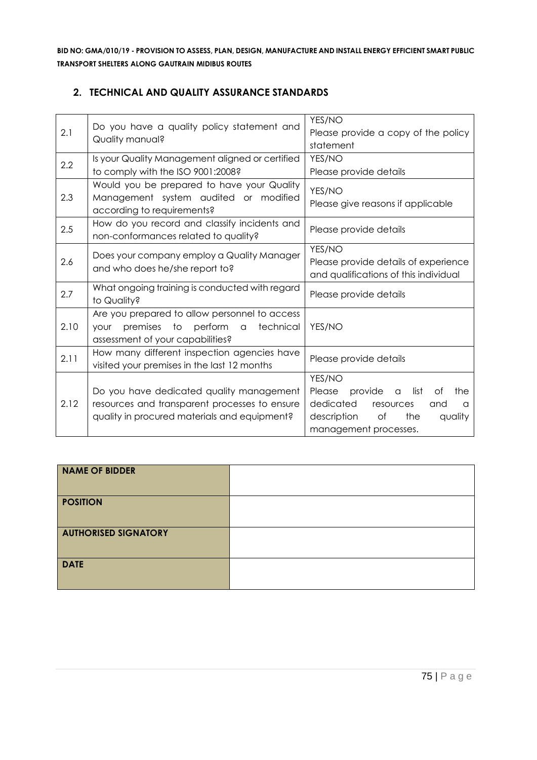# **2. TECHNICAL AND QUALITY ASSURANCE STANDARDS**

| 2.1  | Do you have a quality policy statement and<br>Quality manual?                                                                             | YES/NO<br>Please provide a copy of the policy<br>statement                                                                                                                |
|------|-------------------------------------------------------------------------------------------------------------------------------------------|---------------------------------------------------------------------------------------------------------------------------------------------------------------------------|
| 2.2  | Is your Quality Management aligned or certified<br>to comply with the ISO 9001:2008?                                                      | YES/NO<br>Please provide details                                                                                                                                          |
| 2.3  | Would you be prepared to have your Quality<br>Management system audited or modified<br>according to requirements?                         | YES/NO<br>Please give reasons if applicable                                                                                                                               |
| 2.5  | How do you record and classify incidents and<br>non-conformances related to quality?                                                      | Please provide details                                                                                                                                                    |
| 2.6  | Does your company employ a Quality Manager<br>and who does he/she report to?                                                              | YES/NO<br>Please provide details of experience<br>and qualifications of this individual                                                                                   |
| 2.7  | What ongoing training is conducted with regard<br>to Quality?                                                                             | Please provide details                                                                                                                                                    |
| 2.10 | Are you prepared to allow personnel to access<br>premises to perform a<br>technical<br>your<br>assessment of your capabilities?           | YES/NO                                                                                                                                                                    |
| 2.11 | How many different inspection agencies have<br>visited your premises in the last 12 months                                                | Please provide details                                                                                                                                                    |
| 2.12 | Do you have dedicated quality management<br>resources and transparent processes to ensure<br>quality in procured materials and equipment? | YES/NO<br>Please<br>provide<br>list<br>the<br>Οf<br>$\alpha$<br>dedicated<br>resources<br>and<br>$\alpha$<br>description<br>Оf<br>the<br>quality<br>management processes. |

| <b>NAME OF BIDDER</b>       |  |
|-----------------------------|--|
| <b>POSITION</b>             |  |
| <b>AUTHORISED SIGNATORY</b> |  |
| <b>DATE</b>                 |  |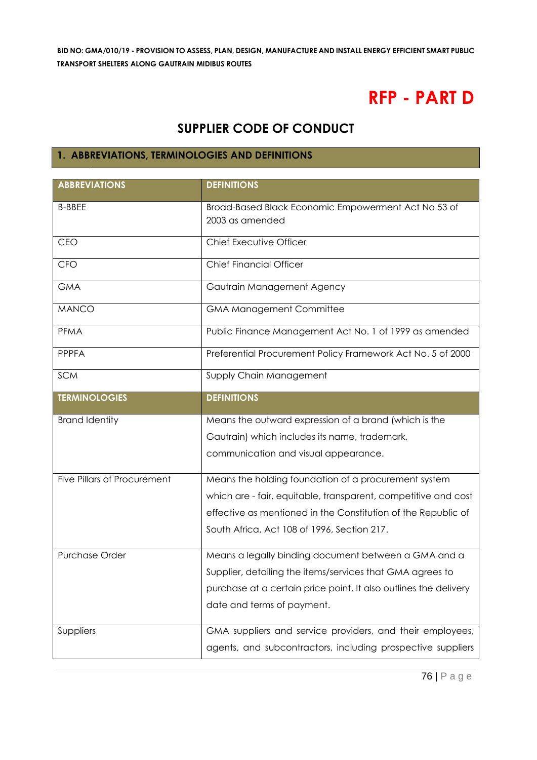# **RFP - PART D**

# **SUPPLIER CODE OF CONDUCT**

# **1. ABBREVIATIONS, TERMINOLOGIES AND DEFINITIONS**

| <b>ABBREVIATIONS</b>        | <b>DEFINITIONS</b>                                               |
|-----------------------------|------------------------------------------------------------------|
| <b>B-BBEE</b>               | Broad-Based Black Economic Empowerment Act No 53 of              |
|                             | 2003 as amended                                                  |
| <b>CEO</b>                  | Chief Executive Officer                                          |
| <b>CFO</b>                  | <b>Chief Financial Officer</b>                                   |
| <b>GMA</b>                  | Gautrain Management Agency                                       |
| <b>MANCO</b>                | <b>GMA Management Committee</b>                                  |
| <b>PFMA</b>                 | Public Finance Management Act No. 1 of 1999 as amended           |
| <b>PPPFA</b>                | Preferential Procurement Policy Framework Act No. 5 of 2000      |
| <b>SCM</b>                  | Supply Chain Management                                          |
| <b>TERMINOLOGIES</b>        | <b>DEFINITIONS</b>                                               |
| <b>Brand Identity</b>       | Means the outward expression of a brand (which is the            |
|                             | Gautrain) which includes its name, trademark,                    |
|                             | communication and visual appearance.                             |
|                             |                                                                  |
| Five Pillars of Procurement | Means the holding foundation of a procurement system             |
|                             | which are - fair, equitable, transparent, competitive and cost   |
|                             | effective as mentioned in the Constitution of the Republic of    |
|                             | South Africa, Act 108 of 1996, Section 217.                      |
| Purchase Order              | Means a legally binding document between a GMA and a             |
|                             | Supplier, detailing the items/services that GMA agrees to        |
|                             | purchase at a certain price point. It also outlines the delivery |
|                             | date and terms of payment.                                       |
|                             |                                                                  |
| Suppliers                   | GMA suppliers and service providers, and their employees,        |
|                             | agents, and subcontractors, including prospective suppliers      |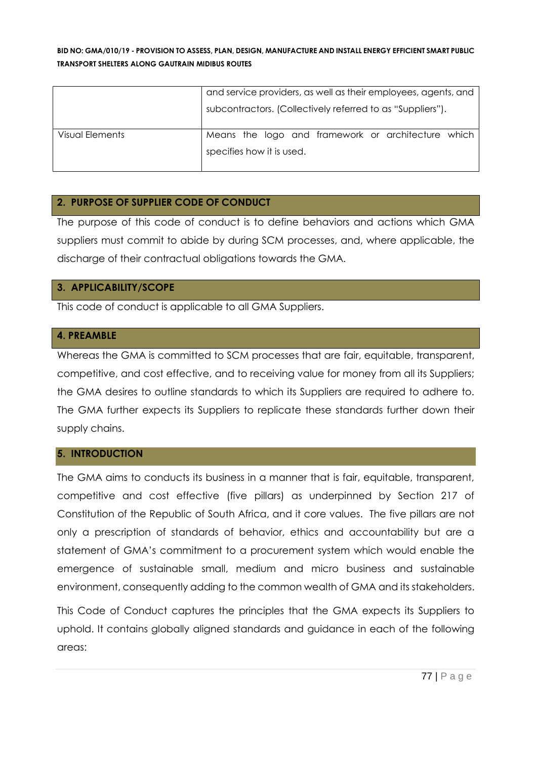|                 | and service providers, as well as their employees, agents, and |  |
|-----------------|----------------------------------------------------------------|--|
|                 | subcontractors. (Collectively referred to as "Suppliers").     |  |
| Visual Elements | Means the logo and framework or architecture which             |  |
|                 | specifies how it is used.                                      |  |

# **2. PURPOSE OF SUPPLIER CODE OF CONDUCT**

The purpose of this code of conduct is to define behaviors and actions which GMA suppliers must commit to abide by during SCM processes, and, where applicable, the discharge of their contractual obligations towards the GMA.

# **3. APPLICABILITY/SCOPE**

This code of conduct is applicable to all GMA Suppliers.

# **4. PREAMBLE**

Whereas the GMA is committed to SCM processes that are fair, equitable, transparent, competitive, and cost effective, and to receiving value for money from all its Suppliers; the GMA desires to outline standards to which its Suppliers are required to adhere to. The GMA further expects its Suppliers to replicate these standards further down their supply chains.

# **5. INTRODUCTION**

The GMA aims to conducts its business in a manner that is fair, equitable, transparent, competitive and cost effective (five pillars) as underpinned by Section 217 of Constitution of the Republic of South Africa, and it core values. The five pillars are not only a prescription of standards of behavior, ethics and accountability but are a statement of GMA's commitment to a procurement system which would enable the emergence of sustainable small, medium and micro business and sustainable environment, consequently adding to the common wealth of GMA and its stakeholders.

This Code of Conduct captures the principles that the GMA expects its Suppliers to uphold. It contains globally aligned standards and guidance in each of the following areas: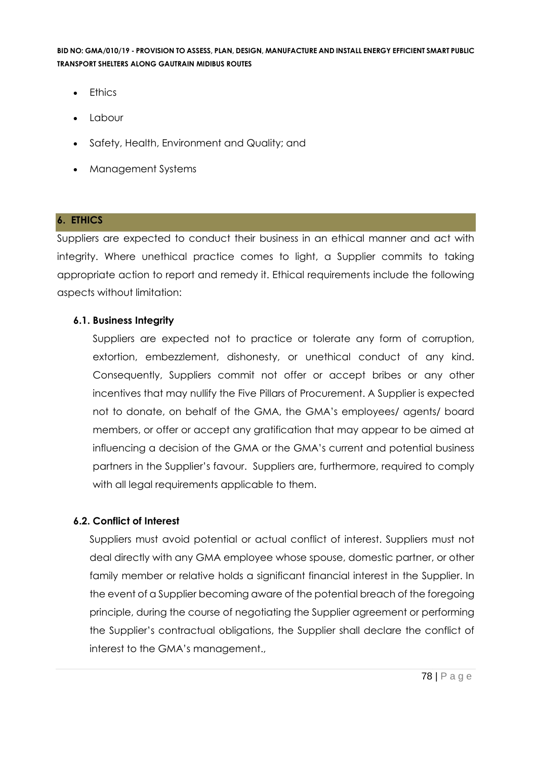- Ethics
- Labour
- Safety, Health, Environment and Quality; and
- Management Systems

# **6. ETHICS**

Suppliers are expected to conduct their business in an ethical manner and act with integrity. Where unethical practice comes to light, a Supplier commits to taking appropriate action to report and remedy it. Ethical requirements include the following aspects without limitation:

# **6.1. Business Integrity**

Suppliers are expected not to practice or tolerate any form of corruption, extortion, embezzlement, dishonesty, or unethical conduct of any kind. Consequently, Suppliers commit not offer or accept bribes or any other incentives that may nullify the Five Pillars of Procurement. A Supplier is expected not to donate, on behalf of the GMA, the GMA's employees/ agents/ board members, or offer or accept any gratification that may appear to be aimed at influencing a decision of the GMA or the GMA's current and potential business partners in the Supplier's favour. Suppliers are, furthermore, required to comply with all legal requirements applicable to them.

# **6.2. Conflict of Interest**

Suppliers must avoid potential or actual conflict of interest. Suppliers must not deal directly with any GMA employee whose spouse, domestic partner, or other family member or relative holds a significant financial interest in the Supplier. In the event of a Supplier becoming aware of the potential breach of the foregoing principle, during the course of negotiating the Supplier agreement or performing the Supplier's contractual obligations, the Supplier shall declare the conflict of interest to the GMA's management.,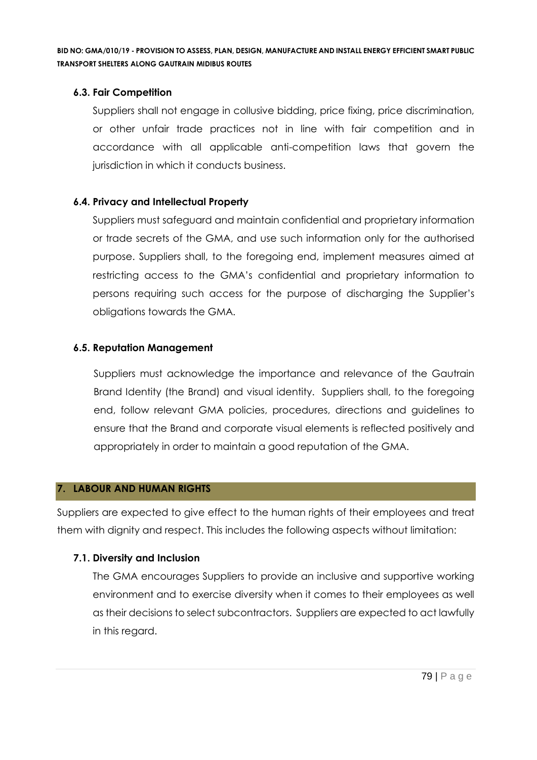# **6.3. Fair Competition**

Suppliers shall not engage in collusive bidding, price fixing, price discrimination, or other unfair trade practices not in line with fair competition and in accordance with all applicable anti-competition laws that govern the jurisdiction in which it conducts business.

# **6.4. Privacy and Intellectual Property**

Suppliers must safeguard and maintain confidential and proprietary information or trade secrets of the GMA, and use such information only for the authorised purpose. Suppliers shall, to the foregoing end, implement measures aimed at restricting access to the GMA's confidential and proprietary information to persons requiring such access for the purpose of discharging the Supplier's obligations towards the GMA.

# **6.5. Reputation Management**

Suppliers must acknowledge the importance and relevance of the Gautrain Brand Identity (the Brand) and visual identity. Suppliers shall, to the foregoing end, follow relevant GMA policies, procedures, directions and guidelines to ensure that the Brand and corporate visual elements is reflected positively and appropriately in order to maintain a good reputation of the GMA.

# **7. LABOUR AND HUMAN RIGHTS**

Suppliers are expected to give effect to the human rights of their employees and treat them with dignity and respect. This includes the following aspects without limitation:

# **7.1. Diversity and Inclusion**

The GMA encourages Suppliers to provide an inclusive and supportive working environment and to exercise diversity when it comes to their employees as well as their decisions to select subcontractors. Suppliers are expected to act lawfully in this regard.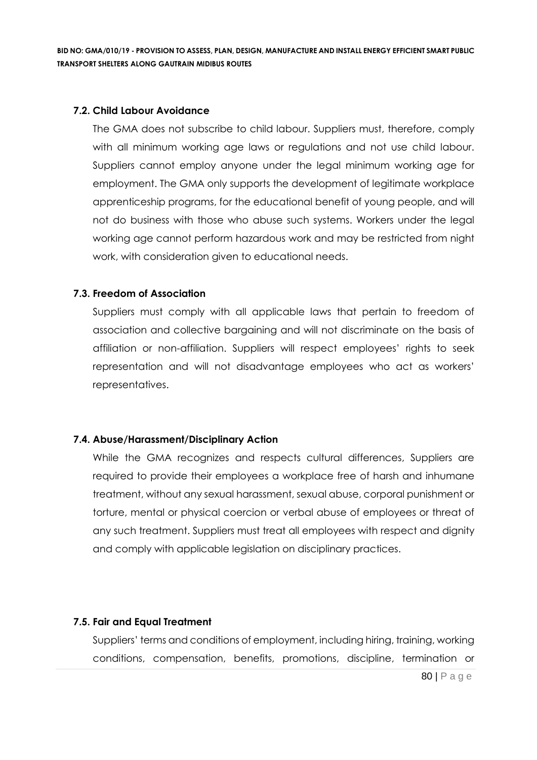#### **7.2. Child Labour Avoidance**

The GMA does not subscribe to child labour. Suppliers must, therefore, comply with all minimum working age laws or regulations and not use child labour. Suppliers cannot employ anyone under the legal minimum working age for employment. The GMA only supports the development of legitimate workplace apprenticeship programs, for the educational benefit of young people, and will not do business with those who abuse such systems. Workers under the legal working age cannot perform hazardous work and may be restricted from night work, with consideration given to educational needs.

# **7.3. Freedom of Association**

Suppliers must comply with all applicable laws that pertain to freedom of association and collective bargaining and will not discriminate on the basis of affiliation or non-affiliation. Suppliers will respect employees' rights to seek representation and will not disadvantage employees who act as workers' representatives.

#### **7.4. Abuse/Harassment/Disciplinary Action**

While the GMA recognizes and respects cultural differences, Suppliers are required to provide their employees a workplace free of harsh and inhumane treatment, without any sexual harassment, sexual abuse, corporal punishment or torture, mental or physical coercion or verbal abuse of employees or threat of any such treatment. Suppliers must treat all employees with respect and dignity and comply with applicable legislation on disciplinary practices.

#### **7.5. Fair and Equal Treatment**

Suppliers' terms and conditions of employment, including hiring, training, working conditions, compensation, benefits, promotions, discipline, termination or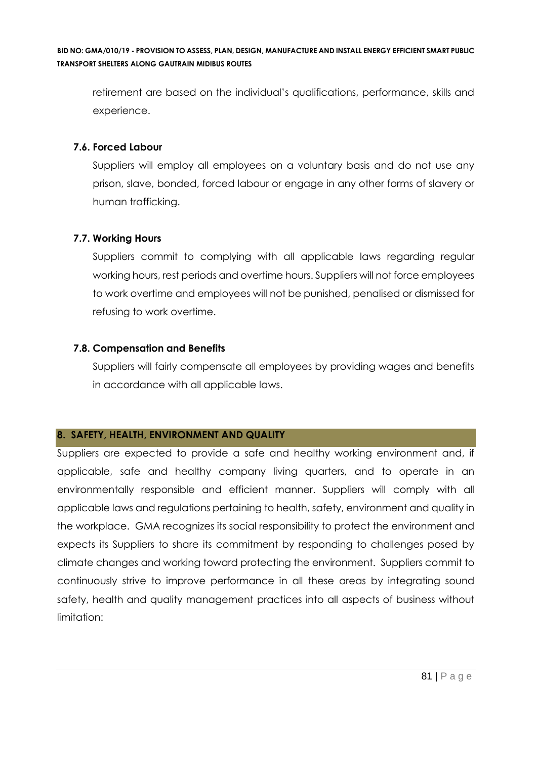retirement are based on the individual's qualifications, performance, skills and experience.

# **7.6. Forced Labour**

Suppliers will employ all employees on a voluntary basis and do not use any prison, slave, bonded, forced labour or engage in any other forms of slavery or human trafficking.

# **7.7. Working Hours**

Suppliers commit to complying with all applicable laws regarding regular working hours, rest periods and overtime hours. Suppliers will not force employees to work overtime and employees will not be punished, penalised or dismissed for refusing to work overtime.

# **7.8. Compensation and Benefits**

Suppliers will fairly compensate all employees by providing wages and benefits in accordance with all applicable laws.

# **8. SAFETY, HEALTH, ENVIRONMENT AND QUALITY**

Suppliers are expected to provide a safe and healthy working environment and, if applicable, safe and healthy company living quarters, and to operate in an environmentally responsible and efficient manner. Suppliers will comply with all applicable laws and regulations pertaining to health, safety, environment and quality in the workplace. GMA recognizes its social responsibility to protect the environment and expects its Suppliers to share its commitment by responding to challenges posed by climate changes and working toward protecting the environment. Suppliers commit to continuously strive to improve performance in all these areas by integrating sound safety, health and quality management practices into all aspects of business without limitation: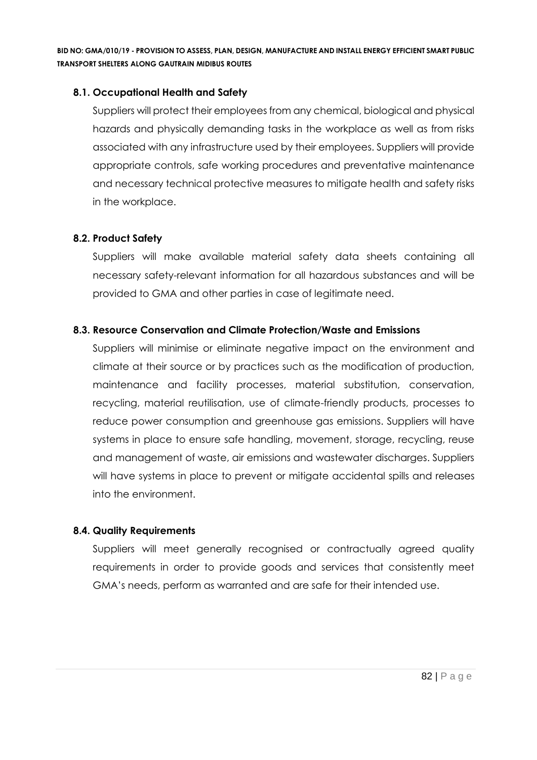# **8.1. Occupational Health and Safety**

Suppliers will protect their employees from any chemical, biological and physical hazards and physically demanding tasks in the workplace as well as from risks associated with any infrastructure used by their employees. Suppliers will provide appropriate controls, safe working procedures and preventative maintenance and necessary technical protective measures to mitigate health and safety risks in the workplace.

# **8.2. Product Safety**

Suppliers will make available material safety data sheets containing all necessary safety-relevant information for all hazardous substances and will be provided to GMA and other parties in case of legitimate need.

# **8.3. Resource Conservation and Climate Protection/Waste and Emissions**

Suppliers will minimise or eliminate negative impact on the environment and climate at their source or by practices such as the modification of production, maintenance and facility processes, material substitution, conservation, recycling, material reutilisation, use of climate-friendly products, processes to reduce power consumption and greenhouse gas emissions. Suppliers will have systems in place to ensure safe handling, movement, storage, recycling, reuse and management of waste, air emissions and wastewater discharges. Suppliers will have systems in place to prevent or mitigate accidental spills and releases into the environment.

#### **8.4. Quality Requirements**

Suppliers will meet generally recognised or contractually agreed quality requirements in order to provide goods and services that consistently meet GMA's needs, perform as warranted and are safe for their intended use.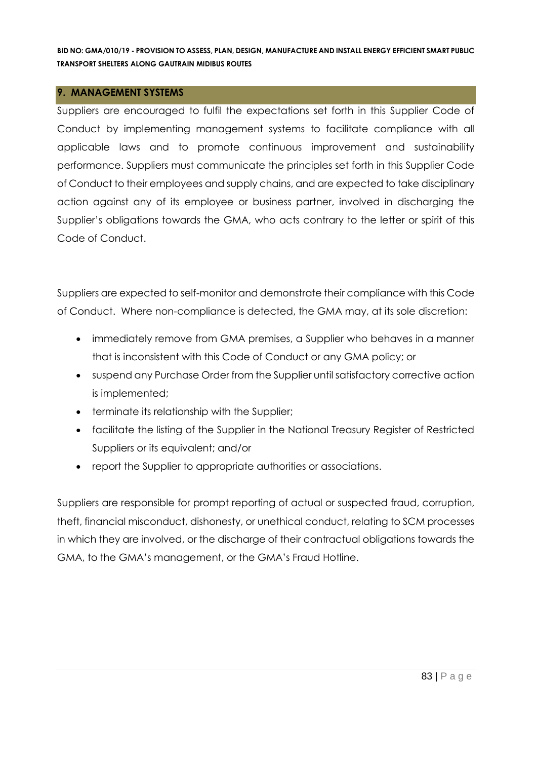#### **9. MANAGEMENT SYSTEMS**

Suppliers are encouraged to fulfil the expectations set forth in this Supplier Code of Conduct by implementing management systems to facilitate compliance with all applicable laws and to promote continuous improvement and sustainability performance. Suppliers must communicate the principles set forth in this Supplier Code of Conduct to their employees and supply chains, and are expected to take disciplinary action against any of its employee or business partner, involved in discharging the Supplier's obligations towards the GMA, who acts contrary to the letter or spirit of this Code of Conduct.

Suppliers are expected to self-monitor and demonstrate their compliance with this Code of Conduct. Where non-compliance is detected, the GMA may, at its sole discretion:

- immediately remove from GMA premises, a Supplier who behaves in a manner that is inconsistent with this Code of Conduct or any GMA policy; or
- suspend any Purchase Order from the Supplier until satisfactory corrective action is implemented;
- terminate its relationship with the Supplier;
- facilitate the listing of the Supplier in the National Treasury Register of Restricted Suppliers or its equivalent; and/or
- report the Supplier to appropriate authorities or associations.

Suppliers are responsible for prompt reporting of actual or suspected fraud, corruption, theft, financial misconduct, dishonesty, or unethical conduct, relating to SCM processes in which they are involved, or the discharge of their contractual obligations towards the GMA, to the GMA's management, or the GMA's Fraud Hotline.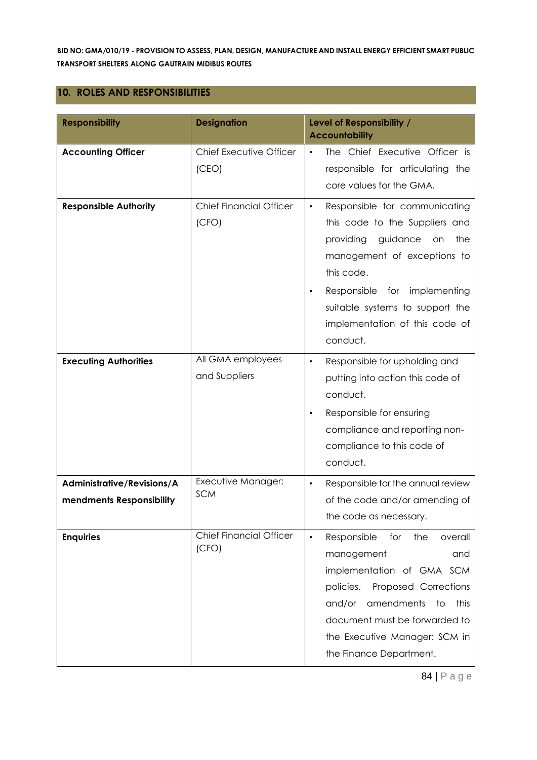## **10. ROLES AND RESPONSIBILITIES**

| <b>Responsibility</b>                                  | <b>Designation</b>                      | Level of Responsibility /<br><b>Accountability</b>                                                                                                                                                                                                                                       |
|--------------------------------------------------------|-----------------------------------------|------------------------------------------------------------------------------------------------------------------------------------------------------------------------------------------------------------------------------------------------------------------------------------------|
| <b>Accounting Officer</b>                              | Chief Executive Officer<br>(CEO)        | The Chief Executive Officer is<br>$\bullet$<br>responsible for articulating the<br>core values for the GMA.                                                                                                                                                                              |
| <b>Responsible Authority</b>                           | <b>Chief Financial Officer</b><br>(CFO) | Responsible for communicating<br>$\bullet$<br>this code to the Suppliers and<br>providing<br>guidance<br>the<br>on<br>management of exceptions to<br>this code.<br>Responsible<br>for implementing<br>٠<br>suitable systems to support the<br>implementation of this code of<br>conduct. |
| <b>Executing Authorities</b>                           | All GMA employees<br>and Suppliers      | Responsible for upholding and<br>$\bullet$<br>putting into action this code of<br>conduct.<br>Responsible for ensuring<br>compliance and reporting non-<br>compliance to this code of<br>conduct.                                                                                        |
| Administrative/Revisions/A<br>mendments Responsibility | Executive Manager:<br><b>SCM</b>        | Responsible for the annual review<br>$\bullet$<br>of the code and/or amending of<br>the code as necessary.                                                                                                                                                                               |
| <b>Enquiries</b>                                       | <b>Chief Financial Officer</b><br>(CFO) | Responsible<br>for<br>the<br>overall<br>$\bullet$<br>management<br>and<br>implementation of GMA SCM<br>policies.<br>Proposed Corrections<br>amendments<br>and/or<br>to<br>this<br>document must be forwarded to<br>the Executive Manager: SCM in<br>the Finance Department.              |